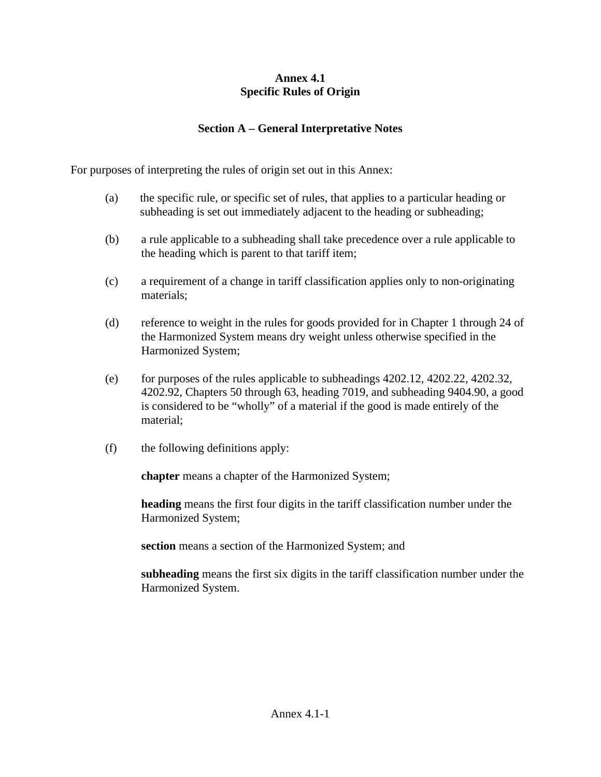## **Annex 4.1 Specific Rules of Origin**

## **Section A – General Interpretative Notes**

For purposes of interpreting the rules of origin set out in this Annex:

- (a) the specific rule, or specific set of rules, that applies to a particular heading or subheading is set out immediately adjacent to the heading or subheading;
- (b) a rule applicable to a subheading shall take precedence over a rule applicable to the heading which is parent to that tariff item;
- (c) a requirement of a change in tariff classification applies only to non-originating materials;
- (d) reference to weight in the rules for goods provided for in Chapter 1 through 24 of the Harmonized System means dry weight unless otherwise specified in the Harmonized System;
- (e) for purposes of the rules applicable to subheadings  $4202.12$ ,  $4202.22$ ,  $4202.32$ , 4202.92, Chapters 50 through 63, heading 7019, and subheading 9404.90, a good is considered to be "wholly" of a material if the good is made entirely of the material;
- (f) the following definitions apply:

**chapter** means a chapter of the Harmonized System;

**heading** means the first four digits in the tariff classification number under the Harmonized System;

**section** means a section of the Harmonized System; and

**subheading** means the first six digits in the tariff classification number under the Harmonized System.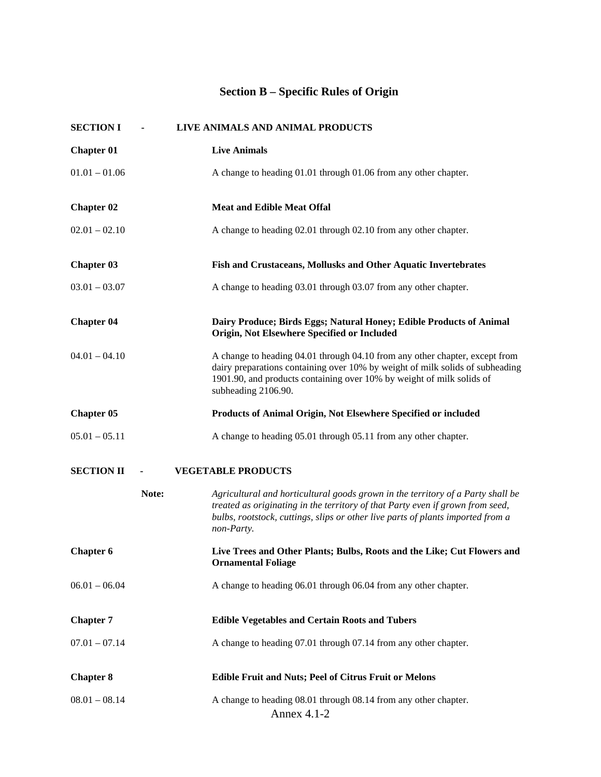## **Section B – Specific Rules of Origin**

| <b>SECTION I</b>  |       | LIVE ANIMALS AND ANIMAL PRODUCTS                                                                                                                                                                                                                                   |
|-------------------|-------|--------------------------------------------------------------------------------------------------------------------------------------------------------------------------------------------------------------------------------------------------------------------|
| <b>Chapter 01</b> |       | <b>Live Animals</b>                                                                                                                                                                                                                                                |
| $01.01 - 01.06$   |       | A change to heading 01.01 through 01.06 from any other chapter.                                                                                                                                                                                                    |
| <b>Chapter 02</b> |       | <b>Meat and Edible Meat Offal</b>                                                                                                                                                                                                                                  |
| $02.01 - 02.10$   |       | A change to heading 02.01 through 02.10 from any other chapter.                                                                                                                                                                                                    |
| <b>Chapter 03</b> |       | Fish and Crustaceans, Mollusks and Other Aquatic Invertebrates                                                                                                                                                                                                     |
| $03.01 - 03.07$   |       | A change to heading 03.01 through 03.07 from any other chapter.                                                                                                                                                                                                    |
| <b>Chapter 04</b> |       | Dairy Produce; Birds Eggs; Natural Honey; Edible Products of Animal<br>Origin, Not Elsewhere Specified or Included                                                                                                                                                 |
| $04.01 - 04.10$   |       | A change to heading 04.01 through 04.10 from any other chapter, except from<br>dairy preparations containing over 10% by weight of milk solids of subheading<br>1901.90, and products containing over 10% by weight of milk solids of<br>subheading 2106.90.       |
| <b>Chapter 05</b> |       | Products of Animal Origin, Not Elsewhere Specified or included                                                                                                                                                                                                     |
| $05.01 - 05.11$   |       | A change to heading 05.01 through 05.11 from any other chapter.                                                                                                                                                                                                    |
| <b>SECTION II</b> |       | <b>VEGETABLE PRODUCTS</b>                                                                                                                                                                                                                                          |
|                   | Note: | Agricultural and horticultural goods grown in the territory of a Party shall be<br>treated as originating in the territory of that Party even if grown from seed,<br>bulbs, rootstock, cuttings, slips or other live parts of plants imported from a<br>non-Party. |
| <b>Chapter 6</b>  |       | Live Trees and Other Plants; Bulbs, Roots and the Like; Cut Flowers and<br><b>Ornamental Foliage</b>                                                                                                                                                               |
| $06.01 - 06.04$   |       | A change to heading 06.01 through 06.04 from any other chapter.                                                                                                                                                                                                    |
| <b>Chapter 7</b>  |       | <b>Edible Vegetables and Certain Roots and Tubers</b>                                                                                                                                                                                                              |
| $07.01 - 07.14$   |       | A change to heading 07.01 through 07.14 from any other chapter.                                                                                                                                                                                                    |
| <b>Chapter 8</b>  |       | <b>Edible Fruit and Nuts; Peel of Citrus Fruit or Melons</b>                                                                                                                                                                                                       |
| $08.01 - 08.14$   |       | A change to heading 08.01 through 08.14 from any other chapter.<br>Annex 4.1-2                                                                                                                                                                                     |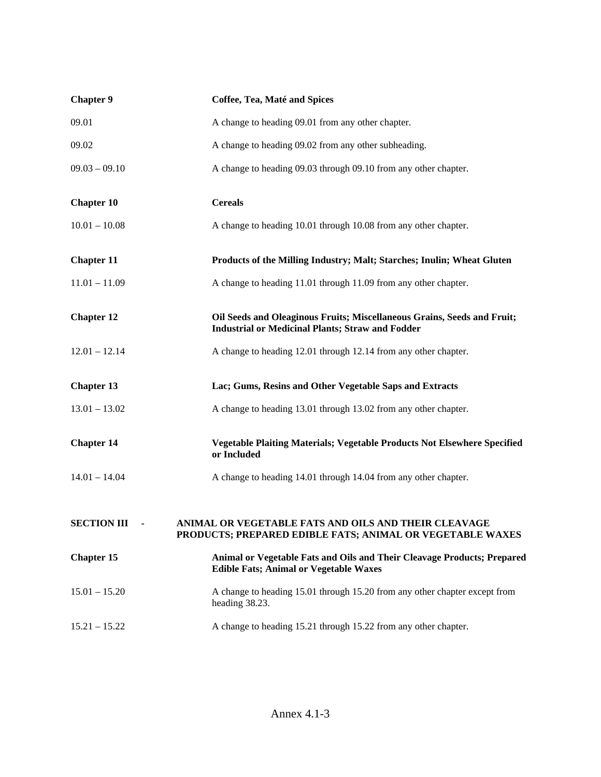| <b>Chapter 9</b>   | Coffee, Tea, Maté and Spices                                                                                                       |
|--------------------|------------------------------------------------------------------------------------------------------------------------------------|
| 09.01              | A change to heading 09.01 from any other chapter.                                                                                  |
| 09.02              | A change to heading 09.02 from any other subheading.                                                                               |
| $09.03 - 09.10$    | A change to heading 09.03 through 09.10 from any other chapter.                                                                    |
| <b>Chapter 10</b>  | <b>Cereals</b>                                                                                                                     |
| $10.01 - 10.08$    | A change to heading 10.01 through 10.08 from any other chapter.                                                                    |
| <b>Chapter 11</b>  | Products of the Milling Industry; Malt; Starches; Inulin; Wheat Gluten                                                             |
| $11.01 - 11.09$    | A change to heading 11.01 through 11.09 from any other chapter.                                                                    |
| <b>Chapter 12</b>  | Oil Seeds and Oleaginous Fruits; Miscellaneous Grains, Seeds and Fruit;<br><b>Industrial or Medicinal Plants; Straw and Fodder</b> |
| $12.01 - 12.14$    | A change to heading 12.01 through 12.14 from any other chapter.                                                                    |
| <b>Chapter 13</b>  | Lac; Gums, Resins and Other Vegetable Saps and Extracts                                                                            |
| $13.01 - 13.02$    | A change to heading 13.01 through 13.02 from any other chapter.                                                                    |
| <b>Chapter 14</b>  | Vegetable Plaiting Materials; Vegetable Products Not Elsewhere Specified<br>or Included                                            |
| $14.01 - 14.04$    | A change to heading 14.01 through 14.04 from any other chapter.                                                                    |
| <b>SECTION III</b> | ANIMAL OR VEGETABLE FATS AND OILS AND THEIR CLEAVAGE<br>PRODUCTS; PREPARED EDIBLE FATS; ANIMAL OR VEGETABLE WAXES                  |
| <b>Chapter 15</b>  | Animal or Vegetable Fats and Oils and Their Cleavage Products; Prepared<br><b>Edible Fats; Animal or Vegetable Waxes</b>           |
| $15.01 - 15.20$    | A change to heading 15.01 through 15.20 from any other chapter except from<br>heading 38.23.                                       |
| $15.21 - 15.22$    | A change to heading 15.21 through 15.22 from any other chapter.                                                                    |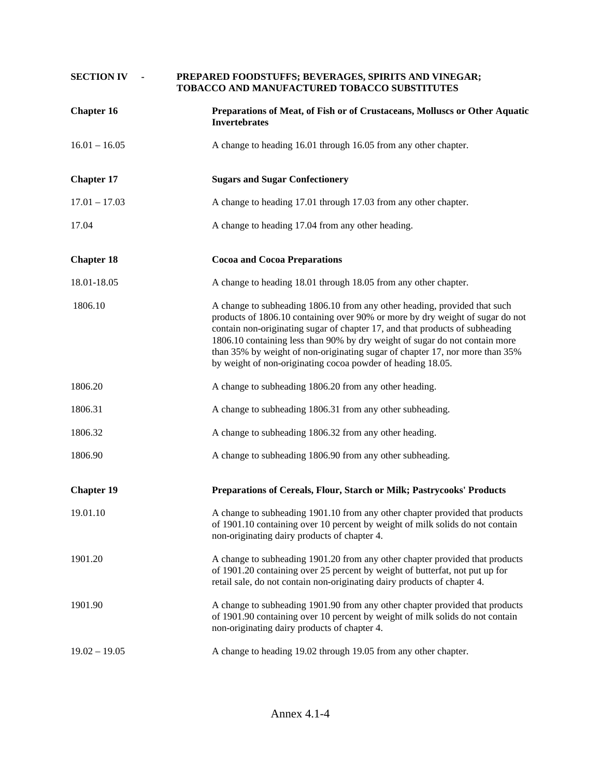| <b>SECTION IV</b> | PREPARED FOODSTUFFS; BEVERAGES, SPIRITS AND VINEGAR;<br>TOBACCO AND MANUFACTURED TOBACCO SUBSTITUTES                                                                                                                                                                                                                                                                                                                                                                     |
|-------------------|--------------------------------------------------------------------------------------------------------------------------------------------------------------------------------------------------------------------------------------------------------------------------------------------------------------------------------------------------------------------------------------------------------------------------------------------------------------------------|
| <b>Chapter 16</b> | Preparations of Meat, of Fish or of Crustaceans, Molluscs or Other Aquatic<br><b>Invertebrates</b>                                                                                                                                                                                                                                                                                                                                                                       |
| $16.01 - 16.05$   | A change to heading 16.01 through 16.05 from any other chapter.                                                                                                                                                                                                                                                                                                                                                                                                          |
| <b>Chapter 17</b> | <b>Sugars and Sugar Confectionery</b>                                                                                                                                                                                                                                                                                                                                                                                                                                    |
| $17.01 - 17.03$   | A change to heading 17.01 through 17.03 from any other chapter.                                                                                                                                                                                                                                                                                                                                                                                                          |
| 17.04             | A change to heading 17.04 from any other heading.                                                                                                                                                                                                                                                                                                                                                                                                                        |
| <b>Chapter 18</b> | <b>Cocoa and Cocoa Preparations</b>                                                                                                                                                                                                                                                                                                                                                                                                                                      |
| 18.01-18.05       | A change to heading 18.01 through 18.05 from any other chapter.                                                                                                                                                                                                                                                                                                                                                                                                          |
| 1806.10           | A change to subheading 1806.10 from any other heading, provided that such<br>products of 1806.10 containing over 90% or more by dry weight of sugar do not<br>contain non-originating sugar of chapter 17, and that products of subheading<br>1806.10 containing less than 90% by dry weight of sugar do not contain more<br>than 35% by weight of non-originating sugar of chapter 17, nor more than 35%<br>by weight of non-originating cocoa powder of heading 18.05. |
| 1806.20           | A change to subheading 1806.20 from any other heading.                                                                                                                                                                                                                                                                                                                                                                                                                   |
| 1806.31           | A change to subheading 1806.31 from any other subheading.                                                                                                                                                                                                                                                                                                                                                                                                                |
| 1806.32           | A change to subheading 1806.32 from any other heading.                                                                                                                                                                                                                                                                                                                                                                                                                   |
| 1806.90           | A change to subheading 1806.90 from any other subheading.                                                                                                                                                                                                                                                                                                                                                                                                                |
| <b>Chapter 19</b> | Preparations of Cereals, Flour, Starch or Milk; Pastrycooks' Products                                                                                                                                                                                                                                                                                                                                                                                                    |
| 19.01.10          | A change to subheading 1901.10 from any other chapter provided that products<br>of 1901.10 containing over 10 percent by weight of milk solids do not contain<br>non-originating dairy products of chapter 4.                                                                                                                                                                                                                                                            |
| 1901.20           | A change to subheading 1901.20 from any other chapter provided that products<br>of 1901.20 containing over 25 percent by weight of butterfat, not put up for<br>retail sale, do not contain non-originating dairy products of chapter 4.                                                                                                                                                                                                                                 |
| 1901.90           | A change to subheading 1901.90 from any other chapter provided that products<br>of 1901.90 containing over 10 percent by weight of milk solids do not contain<br>non-originating dairy products of chapter 4.                                                                                                                                                                                                                                                            |
| $19.02 - 19.05$   | A change to heading 19.02 through 19.05 from any other chapter.                                                                                                                                                                                                                                                                                                                                                                                                          |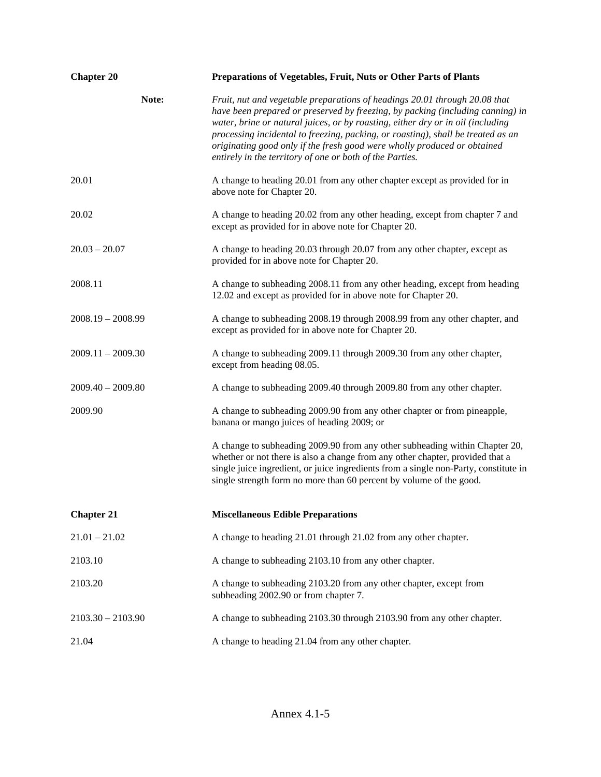| <b>Chapter 20</b>   | Preparations of Vegetables, Fruit, Nuts or Other Parts of Plants                                                                                                                                                                                                                                                                                                                                                                                                            |
|---------------------|-----------------------------------------------------------------------------------------------------------------------------------------------------------------------------------------------------------------------------------------------------------------------------------------------------------------------------------------------------------------------------------------------------------------------------------------------------------------------------|
| Note:               | Fruit, nut and vegetable preparations of headings 20.01 through 20.08 that<br>have been prepared or preserved by freezing, by packing (including canning) in<br>water, brine or natural juices, or by roasting, either dry or in oil (including<br>processing incidental to freezing, packing, or roasting), shall be treated as an<br>originating good only if the fresh good were wholly produced or obtained<br>entirely in the territory of one or both of the Parties. |
| 20.01               | A change to heading 20.01 from any other chapter except as provided for in<br>above note for Chapter 20.                                                                                                                                                                                                                                                                                                                                                                    |
| 20.02               | A change to heading 20.02 from any other heading, except from chapter 7 and<br>except as provided for in above note for Chapter 20.                                                                                                                                                                                                                                                                                                                                         |
| $20.03 - 20.07$     | A change to heading 20.03 through 20.07 from any other chapter, except as<br>provided for in above note for Chapter 20.                                                                                                                                                                                                                                                                                                                                                     |
| 2008.11             | A change to subheading 2008.11 from any other heading, except from heading<br>12.02 and except as provided for in above note for Chapter 20.                                                                                                                                                                                                                                                                                                                                |
| $2008.19 - 2008.99$ | A change to subheading 2008.19 through 2008.99 from any other chapter, and<br>except as provided for in above note for Chapter 20.                                                                                                                                                                                                                                                                                                                                          |
| $2009.11 - 2009.30$ | A change to subheading 2009.11 through 2009.30 from any other chapter,<br>except from heading 08.05.                                                                                                                                                                                                                                                                                                                                                                        |
| $2009.40 - 2009.80$ | A change to subheading 2009.40 through 2009.80 from any other chapter.                                                                                                                                                                                                                                                                                                                                                                                                      |
| 2009.90             | A change to subheading 2009.90 from any other chapter or from pineapple,<br>banana or mango juices of heading 2009; or                                                                                                                                                                                                                                                                                                                                                      |
|                     | A change to subheading 2009.90 from any other subheading within Chapter 20,<br>whether or not there is also a change from any other chapter, provided that a<br>single juice ingredient, or juice ingredients from a single non-Party, constitute in<br>single strength form no more than 60 percent by volume of the good.                                                                                                                                                 |
| <b>Chapter 21</b>   | <b>Miscellaneous Edible Preparations</b>                                                                                                                                                                                                                                                                                                                                                                                                                                    |
| $21.01 - 21.02$     | A change to heading 21.01 through 21.02 from any other chapter.                                                                                                                                                                                                                                                                                                                                                                                                             |
| 2103.10             | A change to subheading 2103.10 from any other chapter.                                                                                                                                                                                                                                                                                                                                                                                                                      |
| 2103.20             | A change to subheading 2103.20 from any other chapter, except from<br>subheading 2002.90 or from chapter 7.                                                                                                                                                                                                                                                                                                                                                                 |
| $2103.30 - 2103.90$ | A change to subheading 2103.30 through 2103.90 from any other chapter.                                                                                                                                                                                                                                                                                                                                                                                                      |
| 21.04               | A change to heading 21.04 from any other chapter.                                                                                                                                                                                                                                                                                                                                                                                                                           |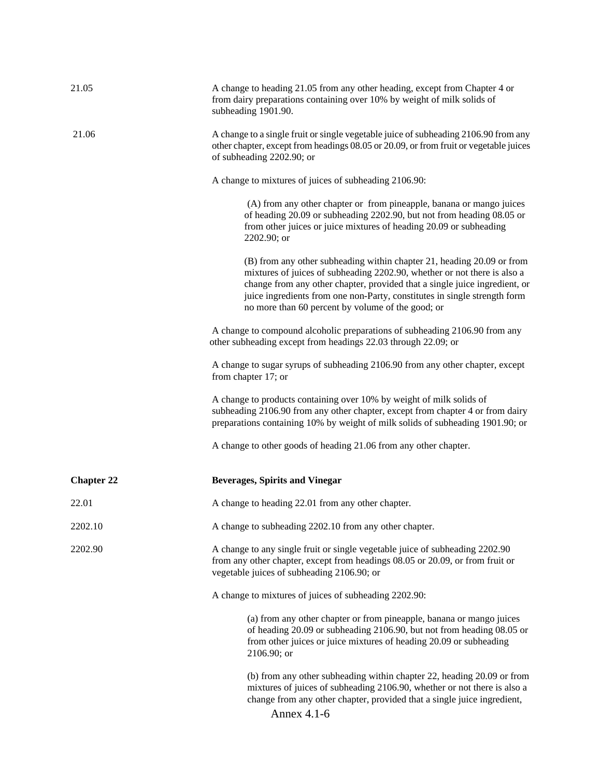| 21.05             | A change to heading 21.05 from any other heading, except from Chapter 4 or<br>from dairy preparations containing over 10% by weight of milk solids of<br>subheading 1901.90.                                                                                                                                                                                       |
|-------------------|--------------------------------------------------------------------------------------------------------------------------------------------------------------------------------------------------------------------------------------------------------------------------------------------------------------------------------------------------------------------|
| 21.06             | A change to a single fruit or single vegetable juice of subheading 2106.90 from any<br>other chapter, except from headings 08.05 or 20.09, or from fruit or vegetable juices<br>of subheading 2202.90; or                                                                                                                                                          |
|                   | A change to mixtures of juices of subheading 2106.90:                                                                                                                                                                                                                                                                                                              |
|                   | (A) from any other chapter or from pineapple, banana or mango juices<br>of heading 20.09 or subheading 2202.90, but not from heading 08.05 or<br>from other juices or juice mixtures of heading 20.09 or subheading<br>2202.90; or                                                                                                                                 |
|                   | (B) from any other subheading within chapter 21, heading 20.09 or from<br>mixtures of juices of subheading 2202.90, whether or not there is also a<br>change from any other chapter, provided that a single juice ingredient, or<br>juice ingredients from one non-Party, constitutes in single strength form<br>no more than 60 percent by volume of the good; or |
|                   | A change to compound alcoholic preparations of subheading 2106.90 from any<br>other subheading except from headings 22.03 through 22.09; or                                                                                                                                                                                                                        |
|                   | A change to sugar syrups of subheading 2106.90 from any other chapter, except<br>from chapter 17; or                                                                                                                                                                                                                                                               |
|                   | A change to products containing over 10% by weight of milk solids of<br>subheading 2106.90 from any other chapter, except from chapter 4 or from dairy<br>preparations containing 10% by weight of milk solids of subheading 1901.90; or                                                                                                                           |
|                   | A change to other goods of heading 21.06 from any other chapter.                                                                                                                                                                                                                                                                                                   |
| <b>Chapter 22</b> | <b>Beverages, Spirits and Vinegar</b>                                                                                                                                                                                                                                                                                                                              |
| 22.01             | A change to heading 22.01 from any other chapter.                                                                                                                                                                                                                                                                                                                  |
| 2202.10           | A change to subheading 2202.10 from any other chapter.                                                                                                                                                                                                                                                                                                             |
| 2202.90           | A change to any single fruit or single vegetable juice of subheading 2202.90<br>from any other chapter, except from headings 08.05 or 20.09, or from fruit or<br>vegetable juices of subheading 2106.90; or                                                                                                                                                        |
|                   | A change to mixtures of juices of subheading 2202.90:                                                                                                                                                                                                                                                                                                              |
|                   | (a) from any other chapter or from pineapple, banana or mango juices<br>of heading 20.09 or subheading 2106.90, but not from heading 08.05 or<br>from other juices or juice mixtures of heading 20.09 or subheading<br>2106.90; or                                                                                                                                 |
|                   | (b) from any other subheading within chapter 22, heading 20.09 or from<br>mixtures of juices of subheading 2106.90, whether or not there is also a<br>change from any other chapter, provided that a single juice ingredient,<br>Annex 4.1-6                                                                                                                       |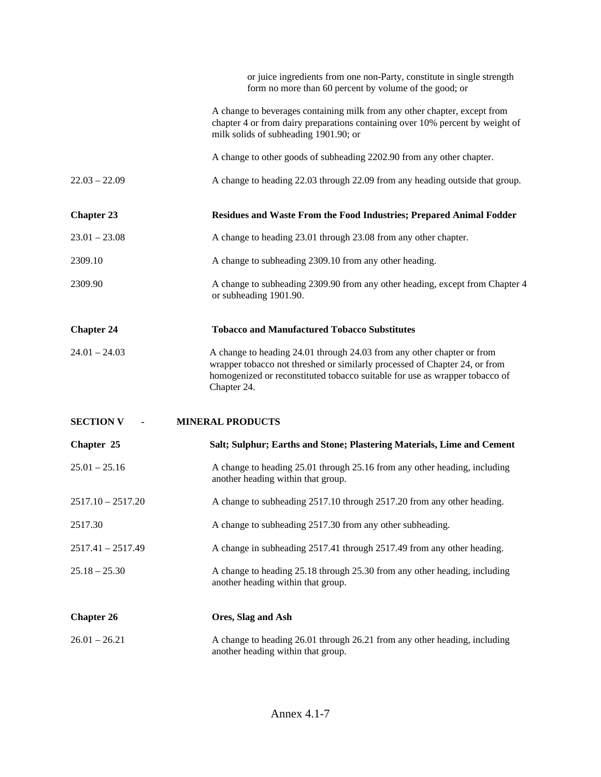|                     | or juice ingredients from one non-Party, constitute in single strength<br>form no more than 60 percent by volume of the good; or                                                                                                                   |
|---------------------|----------------------------------------------------------------------------------------------------------------------------------------------------------------------------------------------------------------------------------------------------|
|                     | A change to beverages containing milk from any other chapter, except from<br>chapter 4 or from dairy preparations containing over 10% percent by weight of<br>milk solids of subheading 1901.90; or                                                |
|                     | A change to other goods of subheading 2202.90 from any other chapter.                                                                                                                                                                              |
| $22.03 - 22.09$     | A change to heading 22.03 through 22.09 from any heading outside that group.                                                                                                                                                                       |
| <b>Chapter 23</b>   | Residues and Waste From the Food Industries; Prepared Animal Fodder                                                                                                                                                                                |
| $23.01 - 23.08$     | A change to heading 23.01 through 23.08 from any other chapter.                                                                                                                                                                                    |
| 2309.10             | A change to subheading 2309.10 from any other heading.                                                                                                                                                                                             |
| 2309.90             | A change to subheading 2309.90 from any other heading, except from Chapter 4<br>or subheading 1901.90.                                                                                                                                             |
| <b>Chapter 24</b>   | <b>Tobacco and Manufactured Tobacco Substitutes</b>                                                                                                                                                                                                |
| $24.01 - 24.03$     | A change to heading 24.01 through 24.03 from any other chapter or from<br>wrapper tobacco not threshed or similarly processed of Chapter 24, or from<br>homogenized or reconstituted tobacco suitable for use as wrapper tobacco of<br>Chapter 24. |
| <b>SECTION V</b>    | <b>MINERAL PRODUCTS</b>                                                                                                                                                                                                                            |
| Chapter 25          | Salt; Sulphur; Earths and Stone; Plastering Materials, Lime and Cement                                                                                                                                                                             |
| $25.01 - 25.16$     | A change to heading 25.01 through 25.16 from any other heading, including<br>another heading within that group.                                                                                                                                    |
| $2517.10 - 2517.20$ | A change to subheading 2517.10 through 2517.20 from any other heading.                                                                                                                                                                             |
| 2517.30             | A change to subheading 2517.30 from any other subheading.                                                                                                                                                                                          |
| $2517.41 - 2517.49$ | A change in subheading 2517.41 through 2517.49 from any other heading.                                                                                                                                                                             |
| $25.18 - 25.30$     | A change to heading 25.18 through 25.30 from any other heading, including<br>another heading within that group.                                                                                                                                    |
| <b>Chapter 26</b>   | Ores, Slag and Ash                                                                                                                                                                                                                                 |
| $26.01 - 26.21$     | A change to heading 26.01 through 26.21 from any other heading, including<br>another heading within that group.                                                                                                                                    |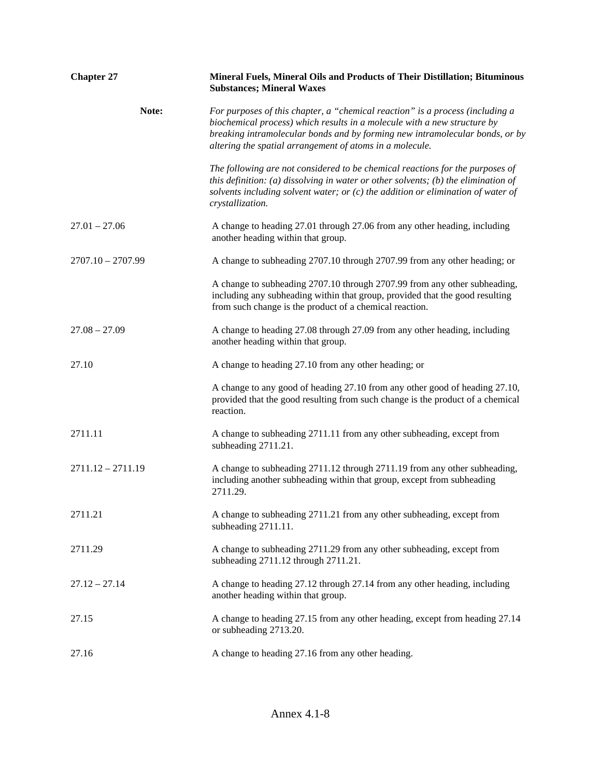| <b>Chapter 27</b>   | Mineral Fuels, Mineral Oils and Products of Their Distillation; Bituminous<br><b>Substances; Mineral Waxes</b>                                                                                                                                                                                        |
|---------------------|-------------------------------------------------------------------------------------------------------------------------------------------------------------------------------------------------------------------------------------------------------------------------------------------------------|
| Note:               | For purposes of this chapter, a "chemical reaction" is a process (including a<br>biochemical process) which results in a molecule with a new structure by<br>breaking intramolecular bonds and by forming new intramolecular bonds, or by<br>altering the spatial arrangement of atoms in a molecule. |
|                     | The following are not considered to be chemical reactions for the purposes of<br>this definition: (a) dissolving in water or other solvents; (b) the elimination of<br>solvents including solvent water; or $(c)$ the addition or elimination of water of<br>crystallization.                         |
| $27.01 - 27.06$     | A change to heading 27.01 through 27.06 from any other heading, including<br>another heading within that group.                                                                                                                                                                                       |
| $2707.10 - 2707.99$ | A change to subheading 2707.10 through 2707.99 from any other heading; or                                                                                                                                                                                                                             |
|                     | A change to subheading 2707.10 through 2707.99 from any other subheading,<br>including any subheading within that group, provided that the good resulting<br>from such change is the product of a chemical reaction.                                                                                  |
| $27.08 - 27.09$     | A change to heading 27.08 through 27.09 from any other heading, including<br>another heading within that group.                                                                                                                                                                                       |
| 27.10               | A change to heading 27.10 from any other heading; or                                                                                                                                                                                                                                                  |
|                     | A change to any good of heading 27.10 from any other good of heading 27.10,<br>provided that the good resulting from such change is the product of a chemical<br>reaction.                                                                                                                            |
| 2711.11             | A change to subheading 2711.11 from any other subheading, except from<br>subheading 2711.21.                                                                                                                                                                                                          |
| $2711.12 - 2711.19$ | A change to subheading 2711.12 through 2711.19 from any other subheading,<br>including another subheading within that group, except from subheading<br>2711.29.                                                                                                                                       |
| 2711.21             | A change to subheading 2711.21 from any other subheading, except from<br>subheading 2711.11.                                                                                                                                                                                                          |
| 2711.29             | A change to subheading 2711.29 from any other subheading, except from<br>subheading 2711.12 through 2711.21.                                                                                                                                                                                          |
| $27.12 - 27.14$     | A change to heading 27.12 through 27.14 from any other heading, including<br>another heading within that group.                                                                                                                                                                                       |
| 27.15               | A change to heading 27.15 from any other heading, except from heading 27.14<br>or subheading 2713.20.                                                                                                                                                                                                 |
| 27.16               | A change to heading 27.16 from any other heading.                                                                                                                                                                                                                                                     |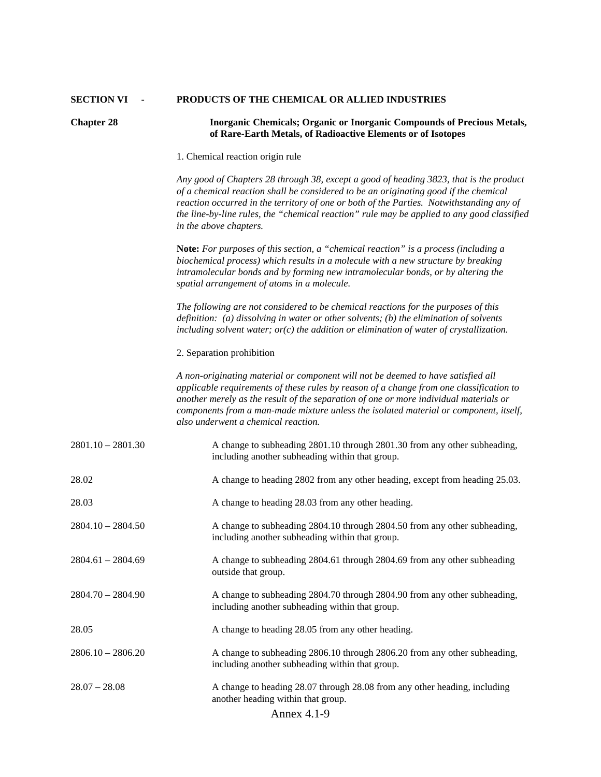## **SECTION VI - PRODUCTS OF THE CHEMICAL OR ALLIED INDUSTRIES**

| <b>Chapter 28</b>   | Inorganic Chemicals; Organic or Inorganic Compounds of Precious Metals,<br>of Rare-Earth Metals, of Radioactive Elements or of Isotopes                                                                                                                                                                                                                                                              |
|---------------------|------------------------------------------------------------------------------------------------------------------------------------------------------------------------------------------------------------------------------------------------------------------------------------------------------------------------------------------------------------------------------------------------------|
|                     | 1. Chemical reaction origin rule                                                                                                                                                                                                                                                                                                                                                                     |
|                     | Any good of Chapters 28 through 38, except a good of heading 3823, that is the product<br>of a chemical reaction shall be considered to be an originating good if the chemical<br>reaction occurred in the territory of one or both of the Parties. Notwithstanding any of<br>the line-by-line rules, the "chemical reaction" rule may be applied to any good classified<br>in the above chapters.   |
|                     | <b>Note:</b> For purposes of this section, a "chemical reaction" is a process (including a<br>biochemical process) which results in a molecule with a new structure by breaking<br>intramolecular bonds and by forming new intramolecular bonds, or by altering the<br>spatial arrangement of atoms in a molecule.                                                                                   |
|                     | The following are not considered to be chemical reactions for the purposes of this<br>definition: (a) dissolving in water or other solvents; (b) the elimination of solvents<br>including solvent water; $or(c)$ the addition or elimination of water of crystallization.                                                                                                                            |
|                     | 2. Separation prohibition                                                                                                                                                                                                                                                                                                                                                                            |
|                     | A non-originating material or component will not be deemed to have satisfied all<br>applicable requirements of these rules by reason of a change from one classification to<br>another merely as the result of the separation of one or more individual materials or<br>components from a man-made mixture unless the isolated material or component, itself,<br>also underwent a chemical reaction. |
| $2801.10 - 2801.30$ | A change to subheading 2801.10 through 2801.30 from any other subheading,<br>including another subheading within that group.                                                                                                                                                                                                                                                                         |
| 28.02               | A change to heading 2802 from any other heading, except from heading 25.03.                                                                                                                                                                                                                                                                                                                          |
| 28.03               | A change to heading 28.03 from any other heading.                                                                                                                                                                                                                                                                                                                                                    |
| $2804.10 - 2804.50$ | A change to subheading 2804.10 through 2804.50 from any other subheading,<br>including another subheading within that group.                                                                                                                                                                                                                                                                         |
| $2804.61 - 2804.69$ | A change to subheading 2804.61 through 2804.69 from any other subheading<br>outside that group.                                                                                                                                                                                                                                                                                                      |
| $2804.70 - 2804.90$ | A change to subheading 2804.70 through 2804.90 from any other subheading,<br>including another subheading within that group.                                                                                                                                                                                                                                                                         |
| 28.05               | A change to heading 28.05 from any other heading.                                                                                                                                                                                                                                                                                                                                                    |
| $2806.10 - 2806.20$ | A change to subheading 2806.10 through 2806.20 from any other subheading,<br>including another subheading within that group.                                                                                                                                                                                                                                                                         |
| $28.07 - 28.08$     | A change to heading 28.07 through 28.08 from any other heading, including<br>another heading within that group.<br>Annex 4.1-9                                                                                                                                                                                                                                                                       |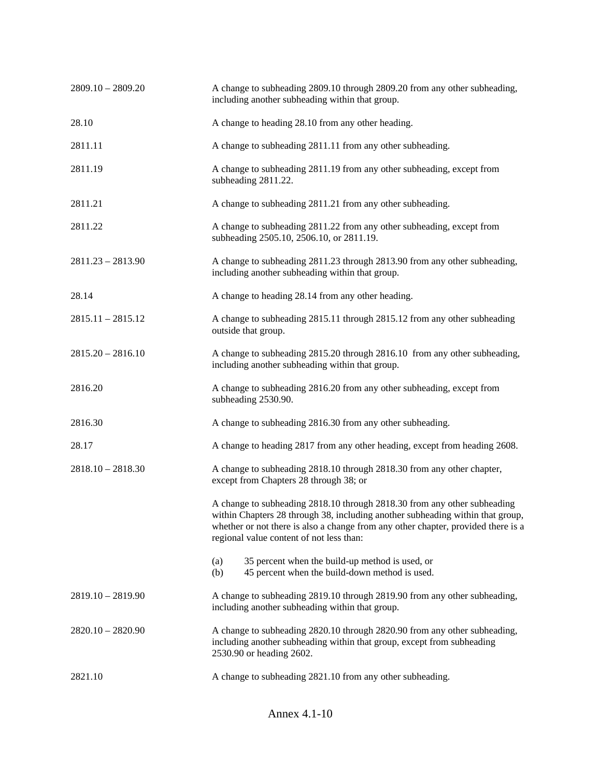| $2809.10 - 2809.20$ | A change to subheading 2809.10 through 2809.20 from any other subheading,<br>including another subheading within that group.                                                                                                                                                                |
|---------------------|---------------------------------------------------------------------------------------------------------------------------------------------------------------------------------------------------------------------------------------------------------------------------------------------|
| 28.10               | A change to heading 28.10 from any other heading.                                                                                                                                                                                                                                           |
| 2811.11             | A change to subheading 2811.11 from any other subheading.                                                                                                                                                                                                                                   |
| 2811.19             | A change to subheading 2811.19 from any other subheading, except from<br>subheading 2811.22.                                                                                                                                                                                                |
| 2811.21             | A change to subheading 2811.21 from any other subheading.                                                                                                                                                                                                                                   |
| 2811.22             | A change to subheading 2811.22 from any other subheading, except from<br>subheading 2505.10, 2506.10, or 2811.19.                                                                                                                                                                           |
| $2811.23 - 2813.90$ | A change to subheading 2811.23 through 2813.90 from any other subheading,<br>including another subheading within that group.                                                                                                                                                                |
| 28.14               | A change to heading 28.14 from any other heading.                                                                                                                                                                                                                                           |
| $2815.11 - 2815.12$ | A change to subheading 2815.11 through 2815.12 from any other subheading<br>outside that group.                                                                                                                                                                                             |
| $2815.20 - 2816.10$ | A change to subheading 2815.20 through 2816.10 from any other subheading,<br>including another subheading within that group.                                                                                                                                                                |
| 2816.20             | A change to subheading 2816.20 from any other subheading, except from<br>subheading 2530.90.                                                                                                                                                                                                |
| 2816.30             | A change to subheading 2816.30 from any other subheading.                                                                                                                                                                                                                                   |
| 28.17               | A change to heading 2817 from any other heading, except from heading 2608.                                                                                                                                                                                                                  |
| $2818.10 - 2818.30$ | A change to subheading 2818.10 through 2818.30 from any other chapter,<br>except from Chapters 28 through 38; or                                                                                                                                                                            |
|                     | A change to subheading 2818.10 through 2818.30 from any other subheading<br>within Chapters 28 through 38, including another subheading within that group,<br>whether or not there is also a change from any other chapter, provided there is a<br>regional value content of not less than: |
|                     | 35 percent when the build-up method is used, or<br>(a)<br>45 percent when the build-down method is used.<br>(b)                                                                                                                                                                             |
| $2819.10 - 2819.90$ | A change to subheading 2819.10 through 2819.90 from any other subheading,<br>including another subheading within that group.                                                                                                                                                                |
| $2820.10 - 2820.90$ | A change to subheading 2820.10 through 2820.90 from any other subheading,<br>including another subheading within that group, except from subheading<br>2530.90 or heading 2602.                                                                                                             |
| 2821.10             | A change to subheading 2821.10 from any other subheading.                                                                                                                                                                                                                                   |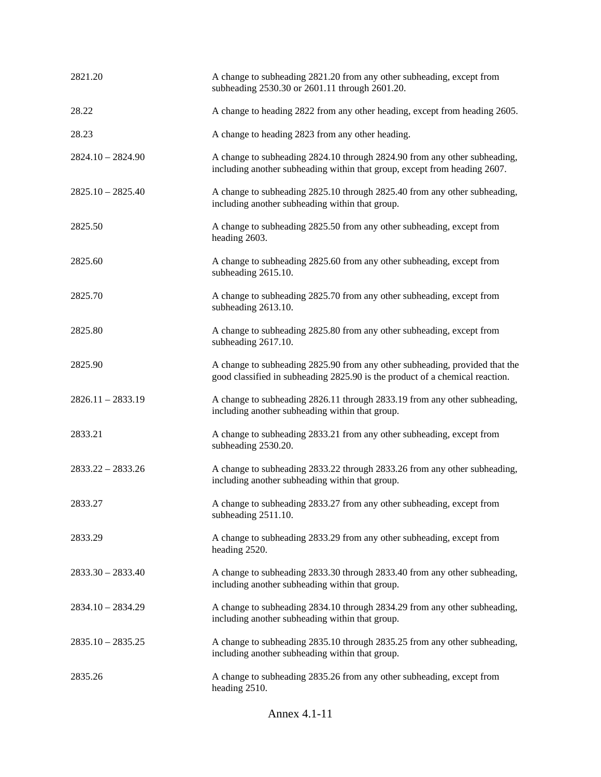| 2821.20             | A change to subheading 2821.20 from any other subheading, except from<br>subheading 2530.30 or 2601.11 through 2601.20.                                     |
|---------------------|-------------------------------------------------------------------------------------------------------------------------------------------------------------|
| 28.22               | A change to heading 2822 from any other heading, except from heading 2605.                                                                                  |
| 28.23               | A change to heading 2823 from any other heading.                                                                                                            |
| $2824.10 - 2824.90$ | A change to subheading 2824.10 through 2824.90 from any other subheading,<br>including another subheading within that group, except from heading 2607.      |
| $2825.10 - 2825.40$ | A change to subheading 2825.10 through 2825.40 from any other subheading,<br>including another subheading within that group.                                |
| 2825.50             | A change to subheading 2825.50 from any other subheading, except from<br>heading 2603.                                                                      |
| 2825.60             | A change to subheading 2825.60 from any other subheading, except from<br>subheading 2615.10.                                                                |
| 2825.70             | A change to subheading 2825.70 from any other subheading, except from<br>subheading 2613.10.                                                                |
| 2825.80             | A change to subheading 2825.80 from any other subheading, except from<br>subheading 2617.10.                                                                |
| 2825.90             | A change to subheading 2825.90 from any other subheading, provided that the<br>good classified in subheading 2825.90 is the product of a chemical reaction. |
| $2826.11 - 2833.19$ | A change to subheading 2826.11 through 2833.19 from any other subheading,<br>including another subheading within that group.                                |
| 2833.21             | A change to subheading 2833.21 from any other subheading, except from<br>subheading 2530.20.                                                                |
| $2833.22 - 2833.26$ | A change to subheading 2833.22 through 2833.26 from any other subheading,<br>including another subheading within that group.                                |
| 2833.27             | A change to subheading 2833.27 from any other subheading, except from<br>subheading 2511.10.                                                                |
| 2833.29             | A change to subheading 2833.29 from any other subheading, except from<br>heading 2520.                                                                      |
| $2833.30 - 2833.40$ | A change to subheading 2833.30 through 2833.40 from any other subheading,<br>including another subheading within that group.                                |
| $2834.10 - 2834.29$ | A change to subheading 2834.10 through 2834.29 from any other subheading,<br>including another subheading within that group.                                |
| $2835.10 - 2835.25$ | A change to subheading 2835.10 through 2835.25 from any other subheading,<br>including another subheading within that group.                                |
| 2835.26             | A change to subheading 2835.26 from any other subheading, except from<br>heading 2510.                                                                      |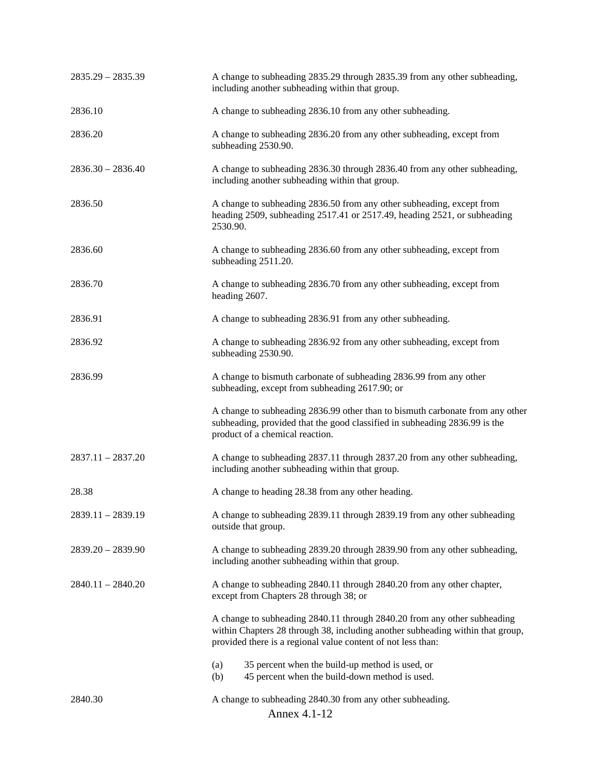| $2835.29 - 2835.39$ | A change to subheading 2835.29 through 2835.39 from any other subheading,<br>including another subheading within that group.                                                                                               |
|---------------------|----------------------------------------------------------------------------------------------------------------------------------------------------------------------------------------------------------------------------|
| 2836.10             | A change to subheading 2836.10 from any other subheading.                                                                                                                                                                  |
| 2836.20             | A change to subheading 2836.20 from any other subheading, except from<br>subheading 2530.90.                                                                                                                               |
| $2836.30 - 2836.40$ | A change to subheading 2836.30 through 2836.40 from any other subheading,<br>including another subheading within that group.                                                                                               |
| 2836.50             | A change to subheading 2836.50 from any other subheading, except from<br>heading 2509, subheading 2517.41 or 2517.49, heading 2521, or subheading<br>2530.90.                                                              |
| 2836.60             | A change to subheading 2836.60 from any other subheading, except from<br>subheading 2511.20.                                                                                                                               |
| 2836.70             | A change to subheading 2836.70 from any other subheading, except from<br>heading 2607.                                                                                                                                     |
| 2836.91             | A change to subheading 2836.91 from any other subheading.                                                                                                                                                                  |
| 2836.92             | A change to subheading 2836.92 from any other subheading, except from<br>subheading 2530.90.                                                                                                                               |
| 2836.99             | A change to bismuth carbonate of subheading 2836.99 from any other<br>subheading, except from subheading 2617.90; or                                                                                                       |
|                     | A change to subheading 2836.99 other than to bismuth carbonate from any other<br>subheading, provided that the good classified in subheading 2836.99 is the<br>product of a chemical reaction.                             |
| $2837.11 - 2837.20$ | A change to subheading 2837.11 through 2837.20 from any other subheading,<br>including another subheading within that group.                                                                                               |
| 28.38               | A change to heading 28.38 from any other heading.                                                                                                                                                                          |
| $2839.11 - 2839.19$ | A change to subheading 2839.11 through 2839.19 from any other subheading<br>outside that group.                                                                                                                            |
| $2839.20 - 2839.90$ | A change to subheading 2839.20 through 2839.90 from any other subheading,<br>including another subheading within that group.                                                                                               |
| $2840.11 - 2840.20$ | A change to subheading 2840.11 through 2840.20 from any other chapter,<br>except from Chapters 28 through 38; or                                                                                                           |
|                     | A change to subheading 2840.11 through 2840.20 from any other subheading<br>within Chapters 28 through 38, including another subheading within that group,<br>provided there is a regional value content of not less than: |
|                     | 35 percent when the build-up method is used, or<br>(a)<br>(b)<br>45 percent when the build-down method is used.                                                                                                            |
| 2840.30             | A change to subheading 2840.30 from any other subheading.<br>Annex 4.1-12                                                                                                                                                  |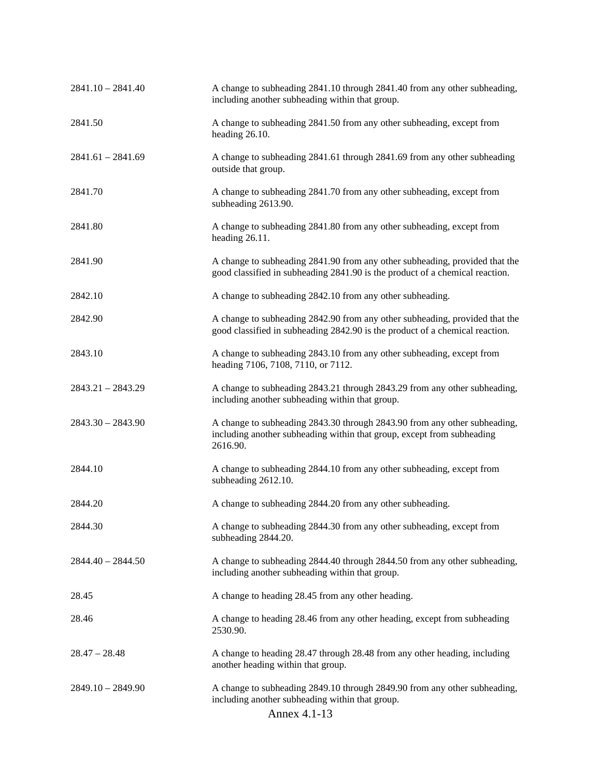| $2841.10 - 2841.40$ | A change to subheading 2841.10 through 2841.40 from any other subheading,<br>including another subheading within that group.                                    |
|---------------------|-----------------------------------------------------------------------------------------------------------------------------------------------------------------|
| 2841.50             | A change to subheading 2841.50 from any other subheading, except from<br>heading 26.10.                                                                         |
| $2841.61 - 2841.69$ | A change to subheading 2841.61 through 2841.69 from any other subheading<br>outside that group.                                                                 |
| 2841.70             | A change to subheading 2841.70 from any other subheading, except from<br>subheading 2613.90.                                                                    |
| 2841.80             | A change to subheading 2841.80 from any other subheading, except from<br>heading 26.11.                                                                         |
| 2841.90             | A change to subheading 2841.90 from any other subheading, provided that the<br>good classified in subheading 2841.90 is the product of a chemical reaction.     |
| 2842.10             | A change to subheading 2842.10 from any other subheading.                                                                                                       |
| 2842.90             | A change to subheading 2842.90 from any other subheading, provided that the<br>good classified in subheading 2842.90 is the product of a chemical reaction.     |
| 2843.10             | A change to subheading 2843.10 from any other subheading, except from<br>heading 7106, 7108, 7110, or 7112.                                                     |
| $2843.21 - 2843.29$ | A change to subheading 2843.21 through 2843.29 from any other subheading,<br>including another subheading within that group.                                    |
| $2843.30 - 2843.90$ | A change to subheading 2843.30 through 2843.90 from any other subheading,<br>including another subheading within that group, except from subheading<br>2616.90. |
| 2844.10             | A change to subheading 2844.10 from any other subheading, except from<br>subheading 2612.10.                                                                    |
| 2844.20             | A change to subheading 2844.20 from any other subheading.                                                                                                       |
| 2844.30             | A change to subheading 2844.30 from any other subheading, except from<br>subheading 2844.20.                                                                    |
| $2844.40 - 2844.50$ | A change to subheading 2844.40 through 2844.50 from any other subheading,<br>including another subheading within that group.                                    |
| 28.45               | A change to heading 28.45 from any other heading.                                                                                                               |
| 28.46               | A change to heading 28.46 from any other heading, except from subheading<br>2530.90.                                                                            |
| $28.47 - 28.48$     | A change to heading 28.47 through 28.48 from any other heading, including<br>another heading within that group.                                                 |
| $2849.10 - 2849.90$ | A change to subheading 2849.10 through 2849.90 from any other subheading,<br>including another subheading within that group.<br>Annex 4.1-13                    |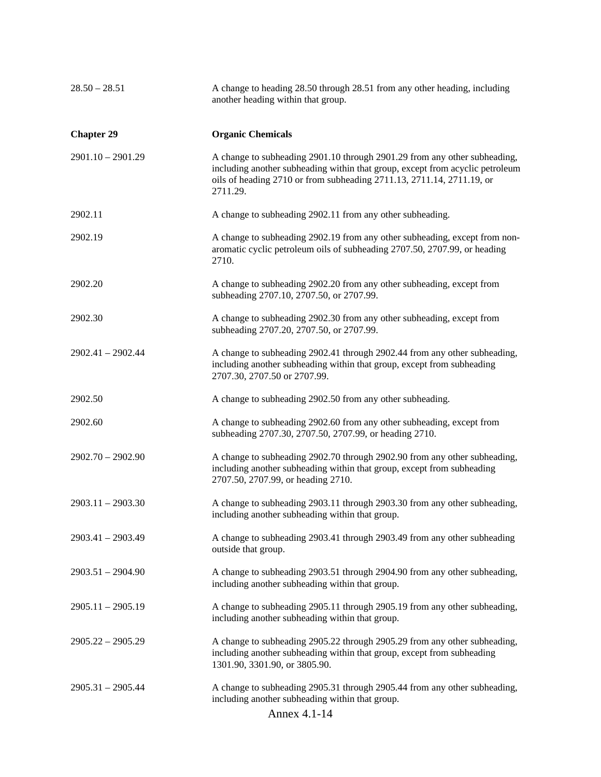| $28.50 - 28.51$     | A change to heading 28.50 through 28.51 from any other heading, including<br>another heading within that group.                                                                                                                                 |
|---------------------|-------------------------------------------------------------------------------------------------------------------------------------------------------------------------------------------------------------------------------------------------|
| <b>Chapter 29</b>   | <b>Organic Chemicals</b>                                                                                                                                                                                                                        |
| $2901.10 - 2901.29$ | A change to subheading 2901.10 through 2901.29 from any other subheading,<br>including another subheading within that group, except from acyclic petroleum<br>oils of heading 2710 or from subheading 2711.13, 2711.14, 2711.19, or<br>2711.29. |
| 2902.11             | A change to subheading 2902.11 from any other subheading.                                                                                                                                                                                       |
| 2902.19             | A change to subheading 2902.19 from any other subheading, except from non-<br>aromatic cyclic petroleum oils of subheading 2707.50, 2707.99, or heading<br>2710.                                                                                |
| 2902.20             | A change to subheading 2902.20 from any other subheading, except from<br>subheading 2707.10, 2707.50, or 2707.99.                                                                                                                               |
| 2902.30             | A change to subheading 2902.30 from any other subheading, except from<br>subheading 2707.20, 2707.50, or 2707.99.                                                                                                                               |
| 2902.41 - 2902.44   | A change to subheading 2902.41 through 2902.44 from any other subheading,<br>including another subheading within that group, except from subheading<br>2707.30, 2707.50 or 2707.99.                                                             |
| 2902.50             | A change to subheading 2902.50 from any other subheading.                                                                                                                                                                                       |
| 2902.60             | A change to subheading 2902.60 from any other subheading, except from<br>subheading 2707.30, 2707.50, 2707.99, or heading 2710.                                                                                                                 |
| $2902.70 - 2902.90$ | A change to subheading 2902.70 through 2902.90 from any other subheading,<br>including another subheading within that group, except from subheading<br>2707.50, 2707.99, or heading 2710.                                                       |
| $2903.11 - 2903.30$ | A change to subheading 2903.11 through 2903.30 from any other subheading,<br>including another subheading within that group.                                                                                                                    |
| 2903.41 - 2903.49   | A change to subheading 2903.41 through 2903.49 from any other subheading<br>outside that group.                                                                                                                                                 |
| $2903.51 - 2904.90$ | A change to subheading 2903.51 through 2904.90 from any other subheading,<br>including another subheading within that group.                                                                                                                    |
| $2905.11 - 2905.19$ | A change to subheading 2905.11 through 2905.19 from any other subheading,<br>including another subheading within that group.                                                                                                                    |
| $2905.22 - 2905.29$ | A change to subheading 2905.22 through 2905.29 from any other subheading,<br>including another subheading within that group, except from subheading<br>1301.90, 3301.90, or 3805.90.                                                            |
| $2905.31 - 2905.44$ | A change to subheading 2905.31 through 2905.44 from any other subheading,<br>including another subheading within that group.<br>Annex 4.1-14                                                                                                    |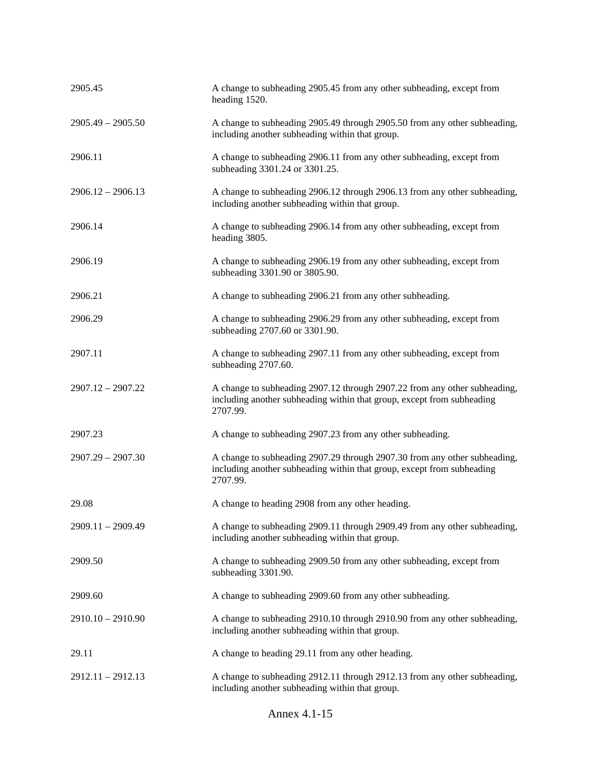| 2905.45             | A change to subheading 2905.45 from any other subheading, except from<br>heading 1520.                                                                          |
|---------------------|-----------------------------------------------------------------------------------------------------------------------------------------------------------------|
| $2905.49 - 2905.50$ | A change to subheading 2905.49 through 2905.50 from any other subheading,<br>including another subheading within that group.                                    |
| 2906.11             | A change to subheading 2906.11 from any other subheading, except from<br>subheading 3301.24 or 3301.25.                                                         |
| $2906.12 - 2906.13$ | A change to subheading 2906.12 through 2906.13 from any other subheading,<br>including another subheading within that group.                                    |
| 2906.14             | A change to subheading 2906.14 from any other subheading, except from<br>heading 3805.                                                                          |
| 2906.19             | A change to subheading 2906.19 from any other subheading, except from<br>subheading 3301.90 or 3805.90.                                                         |
| 2906.21             | A change to subheading 2906.21 from any other subheading.                                                                                                       |
| 2906.29             | A change to subheading 2906.29 from any other subheading, except from<br>subheading 2707.60 or 3301.90.                                                         |
| 2907.11             | A change to subheading 2907.11 from any other subheading, except from<br>subheading 2707.60.                                                                    |
| $2907.12 - 2907.22$ | A change to subheading 2907.12 through 2907.22 from any other subheading,<br>including another subheading within that group, except from subheading<br>2707.99. |
| 2907.23             | A change to subheading 2907.23 from any other subheading.                                                                                                       |
| $2907.29 - 2907.30$ | A change to subheading 2907.29 through 2907.30 from any other subheading,<br>including another subheading within that group, except from subheading<br>2707.99. |
| 29.08               | A change to heading 2908 from any other heading.                                                                                                                |
| 2909.11 - 2909.49   | A change to subheading 2909.11 through 2909.49 from any other subheading,<br>including another subheading within that group.                                    |
| 2909.50             | A change to subheading 2909.50 from any other subheading, except from<br>subheading 3301.90.                                                                    |
| 2909.60             | A change to subheading 2909.60 from any other subheading.                                                                                                       |
| $2910.10 - 2910.90$ | A change to subheading 2910.10 through 2910.90 from any other subheading,<br>including another subheading within that group.                                    |
| 29.11               | A change to heading 29.11 from any other heading.                                                                                                               |
| $2912.11 - 2912.13$ | A change to subheading 2912.11 through 2912.13 from any other subheading,<br>including another subheading within that group.                                    |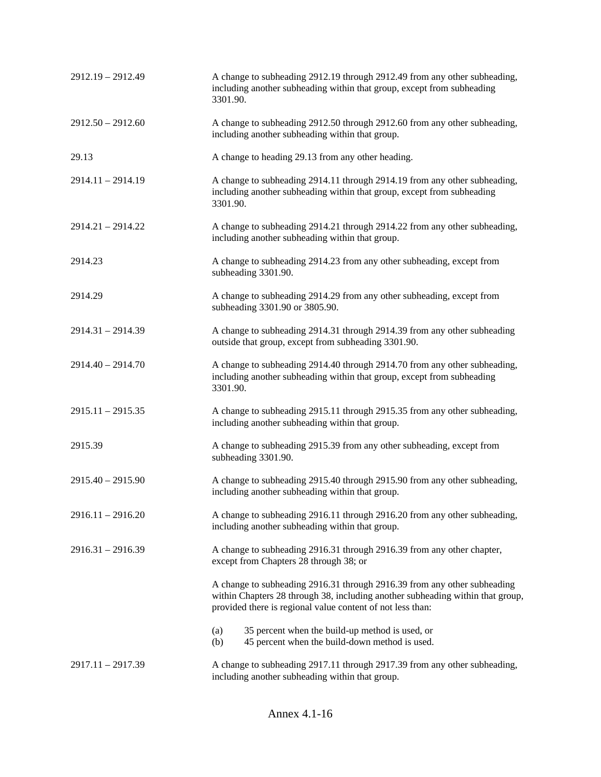| 2912.19 - 2912.49   | A change to subheading 2912.19 through 2912.49 from any other subheading,<br>including another subheading within that group, except from subheading<br>3301.90.                                                          |
|---------------------|--------------------------------------------------------------------------------------------------------------------------------------------------------------------------------------------------------------------------|
| $2912.50 - 2912.60$ | A change to subheading 2912.50 through 2912.60 from any other subheading,<br>including another subheading within that group.                                                                                             |
| 29.13               | A change to heading 29.13 from any other heading.                                                                                                                                                                        |
| 2914.11 - 2914.19   | A change to subheading 2914.11 through 2914.19 from any other subheading,<br>including another subheading within that group, except from subheading<br>3301.90.                                                          |
| $2914.21 - 2914.22$ | A change to subheading 2914.21 through 2914.22 from any other subheading,<br>including another subheading within that group.                                                                                             |
| 2914.23             | A change to subheading 2914.23 from any other subheading, except from<br>subheading 3301.90.                                                                                                                             |
| 2914.29             | A change to subheading 2914.29 from any other subheading, except from<br>subheading 3301.90 or 3805.90.                                                                                                                  |
| $2914.31 - 2914.39$ | A change to subheading 2914.31 through 2914.39 from any other subheading<br>outside that group, except from subheading 3301.90.                                                                                          |
| $2914.40 - 2914.70$ | A change to subheading 2914.40 through 2914.70 from any other subheading,<br>including another subheading within that group, except from subheading<br>3301.90.                                                          |
| $2915.11 - 2915.35$ | A change to subheading 2915.11 through 2915.35 from any other subheading,<br>including another subheading within that group.                                                                                             |
| 2915.39             | A change to subheading 2915.39 from any other subheading, except from<br>subheading 3301.90.                                                                                                                             |
| $2915.40 - 2915.90$ | A change to subheading 2915.40 through 2915.90 from any other subheading,<br>including another subheading within that group.                                                                                             |
| $2916.11 - 2916.20$ | A change to subheading 2916.11 through 2916.20 from any other subheading,<br>including another subheading within that group.                                                                                             |
| $2916.31 - 2916.39$ | A change to subheading 2916.31 through 2916.39 from any other chapter,<br>except from Chapters 28 through 38; or                                                                                                         |
|                     | A change to subheading 2916.31 through 2916.39 from any other subheading<br>within Chapters 28 through 38, including another subheading within that group,<br>provided there is regional value content of not less than: |
|                     | 35 percent when the build-up method is used, or<br>(a)<br>45 percent when the build-down method is used.<br>(b)                                                                                                          |
| 2917.11 - 2917.39   | A change to subheading 2917.11 through 2917.39 from any other subheading,<br>including another subheading within that group.                                                                                             |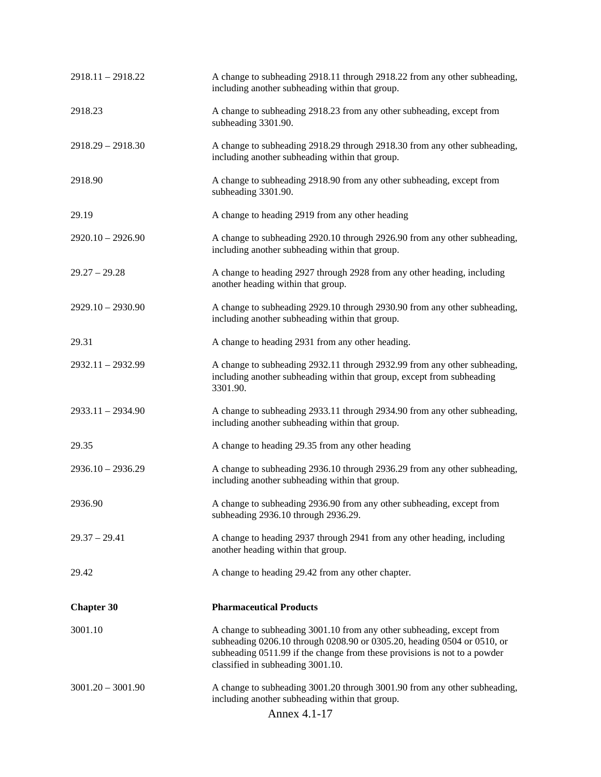| $2918.11 - 2918.22$ | A change to subheading 2918.11 through 2918.22 from any other subheading,<br>including another subheading within that group.                                                                                                                                       |
|---------------------|--------------------------------------------------------------------------------------------------------------------------------------------------------------------------------------------------------------------------------------------------------------------|
| 2918.23             | A change to subheading 2918.23 from any other subheading, except from<br>subheading 3301.90.                                                                                                                                                                       |
| $2918.29 - 2918.30$ | A change to subheading 2918.29 through 2918.30 from any other subheading,<br>including another subheading within that group.                                                                                                                                       |
| 2918.90             | A change to subheading 2918.90 from any other subheading, except from<br>subheading 3301.90.                                                                                                                                                                       |
| 29.19               | A change to heading 2919 from any other heading                                                                                                                                                                                                                    |
| $2920.10 - 2926.90$ | A change to subheading 2920.10 through 2926.90 from any other subheading,<br>including another subheading within that group.                                                                                                                                       |
| $29.27 - 29.28$     | A change to heading 2927 through 2928 from any other heading, including<br>another heading within that group.                                                                                                                                                      |
| $2929.10 - 2930.90$ | A change to subheading 2929.10 through 2930.90 from any other subheading,<br>including another subheading within that group.                                                                                                                                       |
| 29.31               | A change to heading 2931 from any other heading.                                                                                                                                                                                                                   |
| 2932.11 - 2932.99   | A change to subheading 2932.11 through 2932.99 from any other subheading,<br>including another subheading within that group, except from subheading<br>3301.90.                                                                                                    |
| $2933.11 - 2934.90$ | A change to subheading 2933.11 through 2934.90 from any other subheading,<br>including another subheading within that group.                                                                                                                                       |
| 29.35               | A change to heading 29.35 from any other heading                                                                                                                                                                                                                   |
| $2936.10 - 2936.29$ | A change to subheading 2936.10 through 2936.29 from any other subheading,<br>including another subheading within that group.                                                                                                                                       |
| 2936.90             | A change to subheading 2936.90 from any other subheading, except from<br>subheading 2936.10 through 2936.29.                                                                                                                                                       |
| $29.37 - 29.41$     | A change to heading 2937 through 2941 from any other heading, including<br>another heading within that group.                                                                                                                                                      |
| 29.42               | A change to heading 29.42 from any other chapter.                                                                                                                                                                                                                  |
| <b>Chapter 30</b>   | <b>Pharmaceutical Products</b>                                                                                                                                                                                                                                     |
| 3001.10             | A change to subheading 3001.10 from any other subheading, except from<br>subheading 0206.10 through 0208.90 or 0305.20, heading 0504 or 0510, or<br>subheading 0511.99 if the change from these provisions is not to a powder<br>classified in subheading 3001.10. |
| $3001.20 - 3001.90$ | A change to subheading 3001.20 through 3001.90 from any other subheading,<br>including another subheading within that group.<br>Annex 4.1-17                                                                                                                       |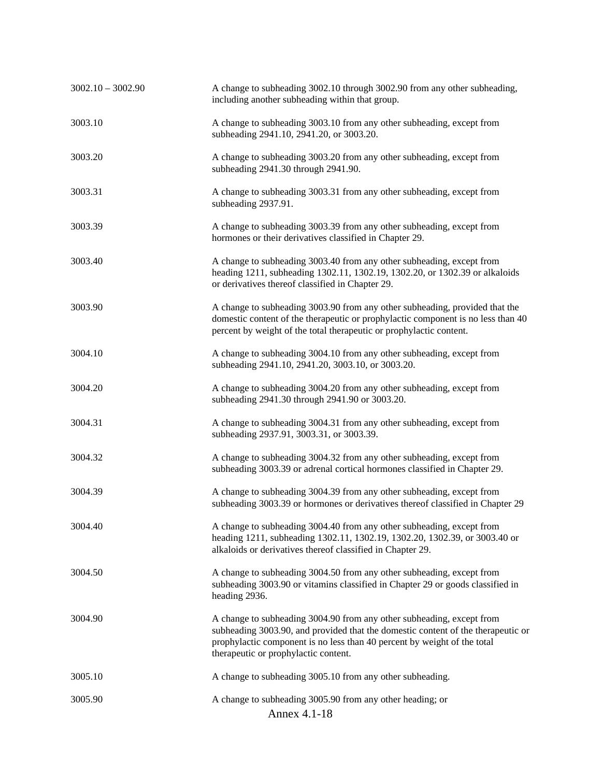| $3002.10 - 3002.90$ | A change to subheading 3002.10 through 3002.90 from any other subheading,<br>including another subheading within that group.                                                                                                                                                  |
|---------------------|-------------------------------------------------------------------------------------------------------------------------------------------------------------------------------------------------------------------------------------------------------------------------------|
| 3003.10             | A change to subheading 3003.10 from any other subheading, except from<br>subheading 2941.10, 2941.20, or 3003.20.                                                                                                                                                             |
| 3003.20             | A change to subheading 3003.20 from any other subheading, except from<br>subheading 2941.30 through 2941.90.                                                                                                                                                                  |
| 3003.31             | A change to subheading 3003.31 from any other subheading, except from<br>subheading 2937.91.                                                                                                                                                                                  |
| 3003.39             | A change to subheading 3003.39 from any other subheading, except from<br>hormones or their derivatives classified in Chapter 29.                                                                                                                                              |
| 3003.40             | A change to subheading 3003.40 from any other subheading, except from<br>heading 1211, subheading 1302.11, 1302.19, 1302.20, or 1302.39 or alkaloids<br>or derivatives thereof classified in Chapter 29.                                                                      |
| 3003.90             | A change to subheading 3003.90 from any other subheading, provided that the<br>domestic content of the therapeutic or prophylactic component is no less than 40<br>percent by weight of the total therapeutic or prophylactic content.                                        |
| 3004.10             | A change to subheading 3004.10 from any other subheading, except from<br>subheading 2941.10, 2941.20, 3003.10, or 3003.20.                                                                                                                                                    |
| 3004.20             | A change to subheading 3004.20 from any other subheading, except from<br>subheading 2941.30 through 2941.90 or 3003.20.                                                                                                                                                       |
| 3004.31             | A change to subheading 3004.31 from any other subheading, except from<br>subheading 2937.91, 3003.31, or 3003.39.                                                                                                                                                             |
| 3004.32             | A change to subheading 3004.32 from any other subheading, except from<br>subheading 3003.39 or adrenal cortical hormones classified in Chapter 29.                                                                                                                            |
| 3004.39             | A change to subheading 3004.39 from any other subheading, except from<br>subheading 3003.39 or hormones or derivatives thereof classified in Chapter 29                                                                                                                       |
| 3004.40             | A change to subheading 3004.40 from any other subheading, except from<br>heading 1211, subheading 1302.11, 1302.19, 1302.20, 1302.39, or 3003.40 or<br>alkaloids or derivatives thereof classified in Chapter 29.                                                             |
| 3004.50             | A change to subheading 3004.50 from any other subheading, except from<br>subheading 3003.90 or vitamins classified in Chapter 29 or goods classified in<br>heading 2936.                                                                                                      |
| 3004.90             | A change to subheading 3004.90 from any other subheading, except from<br>subheading 3003.90, and provided that the domestic content of the therapeutic or<br>prophylactic component is no less than 40 percent by weight of the total<br>therapeutic or prophylactic content. |
| 3005.10             | A change to subheading 3005.10 from any other subheading.                                                                                                                                                                                                                     |
| 3005.90             | A change to subheading 3005.90 from any other heading; or<br>Annex 4.1-18                                                                                                                                                                                                     |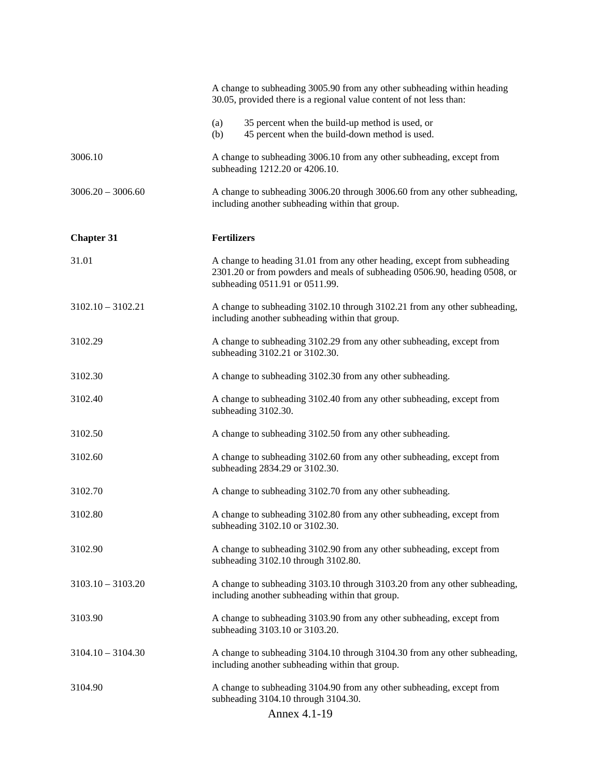|                     | A change to subheading 3005.90 from any other subheading within heading<br>30.05, provided there is a regional value content of not less than:                                          |
|---------------------|-----------------------------------------------------------------------------------------------------------------------------------------------------------------------------------------|
|                     | 35 percent when the build-up method is used, or<br>(a)<br>45 percent when the build-down method is used.<br>(b)                                                                         |
| 3006.10             | A change to subheading 3006.10 from any other subheading, except from<br>subheading 1212.20 or 4206.10.                                                                                 |
| $3006.20 - 3006.60$ | A change to subheading 3006.20 through 3006.60 from any other subheading,<br>including another subheading within that group.                                                            |
| <b>Chapter 31</b>   | <b>Fertilizers</b>                                                                                                                                                                      |
| 31.01               | A change to heading 31.01 from any other heading, except from subheading<br>2301.20 or from powders and meals of subheading 0506.90, heading 0508, or<br>subheading 0511.91 or 0511.99. |
| $3102.10 - 3102.21$ | A change to subheading 3102.10 through 3102.21 from any other subheading,<br>including another subheading within that group.                                                            |
| 3102.29             | A change to subheading 3102.29 from any other subheading, except from<br>subheading 3102.21 or 3102.30.                                                                                 |
| 3102.30             | A change to subheading 3102.30 from any other subheading.                                                                                                                               |
| 3102.40             | A change to subheading 3102.40 from any other subheading, except from<br>subheading 3102.30.                                                                                            |
| 3102.50             | A change to subheading 3102.50 from any other subheading.                                                                                                                               |
| 3102.60             | A change to subheading 3102.60 from any other subheading, except from<br>subheading 2834.29 or 3102.30.                                                                                 |
| 3102.70             | A change to subheading 3102.70 from any other subheading.                                                                                                                               |
| 3102.80             | A change to subheading 3102.80 from any other subheading, except from<br>subheading 3102.10 or 3102.30.                                                                                 |
| 3102.90             | A change to subheading 3102.90 from any other subheading, except from<br>subheading 3102.10 through 3102.80.                                                                            |
| $3103.10 - 3103.20$ | A change to subheading 3103.10 through 3103.20 from any other subheading,<br>including another subheading within that group.                                                            |
| 3103.90             | A change to subheading 3103.90 from any other subheading, except from<br>subheading 3103.10 or 3103.20.                                                                                 |
| $3104.10 - 3104.30$ | A change to subheading 3104.10 through 3104.30 from any other subheading,<br>including another subheading within that group.                                                            |
| 3104.90             | A change to subheading 3104.90 from any other subheading, except from<br>subheading 3104.10 through 3104.30.                                                                            |
|                     | Annex 4.1-19                                                                                                                                                                            |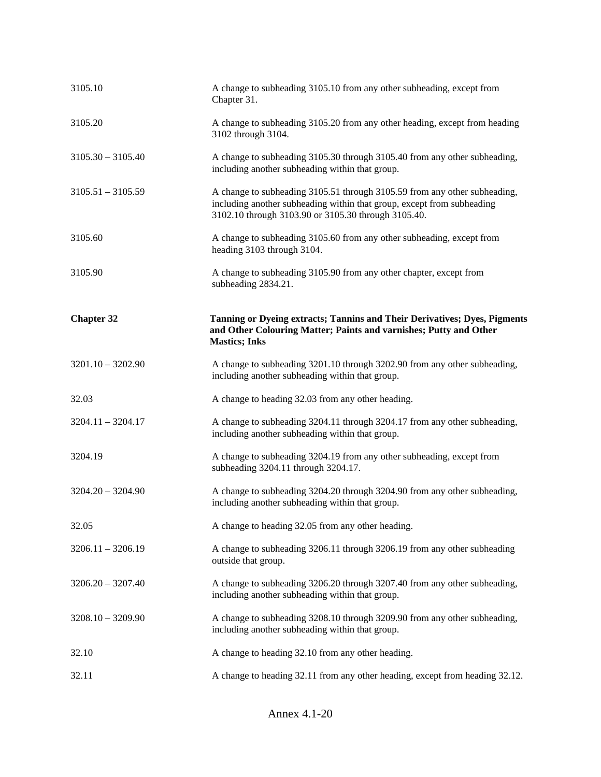| 3105.20<br>A change to subheading 3105.20 from any other heading, except from heading<br>3102 through 3104.<br>$3105.30 - 3105.40$<br>A change to subheading 3105.30 through 3105.40 from any other subheading,<br>including another subheading within that group.<br>$3105.51 - 3105.59$<br>A change to subheading 3105.51 through 3105.59 from any other subheading,<br>including another subheading within that group, except from subheading<br>3102.10 through 3103.90 or 3105.30 through 3105.40.<br>3105.60<br>A change to subheading 3105.60 from any other subheading, except from<br>heading 3103 through 3104.<br>3105.90<br>A change to subheading 3105.90 from any other chapter, except from<br>subheading 2834.21.<br>Tanning or Dyeing extracts; Tannins and Their Derivatives; Dyes, Pigments<br><b>Chapter 32</b><br>and Other Colouring Matter; Paints and varnishes; Putty and Other |  |
|----------------------------------------------------------------------------------------------------------------------------------------------------------------------------------------------------------------------------------------------------------------------------------------------------------------------------------------------------------------------------------------------------------------------------------------------------------------------------------------------------------------------------------------------------------------------------------------------------------------------------------------------------------------------------------------------------------------------------------------------------------------------------------------------------------------------------------------------------------------------------------------------------------|--|
|                                                                                                                                                                                                                                                                                                                                                                                                                                                                                                                                                                                                                                                                                                                                                                                                                                                                                                          |  |
|                                                                                                                                                                                                                                                                                                                                                                                                                                                                                                                                                                                                                                                                                                                                                                                                                                                                                                          |  |
|                                                                                                                                                                                                                                                                                                                                                                                                                                                                                                                                                                                                                                                                                                                                                                                                                                                                                                          |  |
|                                                                                                                                                                                                                                                                                                                                                                                                                                                                                                                                                                                                                                                                                                                                                                                                                                                                                                          |  |
|                                                                                                                                                                                                                                                                                                                                                                                                                                                                                                                                                                                                                                                                                                                                                                                                                                                                                                          |  |
| <b>Mastics</b> ; Inks                                                                                                                                                                                                                                                                                                                                                                                                                                                                                                                                                                                                                                                                                                                                                                                                                                                                                    |  |
| A change to subheading 3201.10 through 3202.90 from any other subheading,<br>$3201.10 - 3202.90$<br>including another subheading within that group.                                                                                                                                                                                                                                                                                                                                                                                                                                                                                                                                                                                                                                                                                                                                                      |  |
| A change to heading 32.03 from any other heading.<br>32.03                                                                                                                                                                                                                                                                                                                                                                                                                                                                                                                                                                                                                                                                                                                                                                                                                                               |  |
| A change to subheading 3204.11 through 3204.17 from any other subheading,<br>$3204.11 - 3204.17$<br>including another subheading within that group.                                                                                                                                                                                                                                                                                                                                                                                                                                                                                                                                                                                                                                                                                                                                                      |  |
| A change to subheading 3204.19 from any other subheading, except from<br>3204.19<br>subheading 3204.11 through 3204.17.                                                                                                                                                                                                                                                                                                                                                                                                                                                                                                                                                                                                                                                                                                                                                                                  |  |
| $3204.20 - 3204.90$<br>A change to subheading 3204.20 through 3204.90 from any other subheading,                                                                                                                                                                                                                                                                                                                                                                                                                                                                                                                                                                                                                                                                                                                                                                                                         |  |
| including another subheading within that group.                                                                                                                                                                                                                                                                                                                                                                                                                                                                                                                                                                                                                                                                                                                                                                                                                                                          |  |
| A change to heading 32.05 from any other heading.<br>32.05                                                                                                                                                                                                                                                                                                                                                                                                                                                                                                                                                                                                                                                                                                                                                                                                                                               |  |
| $3206.11 - 3206.19$<br>A change to subheading 3206.11 through 3206.19 from any other subheading<br>outside that group.                                                                                                                                                                                                                                                                                                                                                                                                                                                                                                                                                                                                                                                                                                                                                                                   |  |
| $3206.20 - 3207.40$<br>A change to subheading 3206.20 through 3207.40 from any other subheading,<br>including another subheading within that group.                                                                                                                                                                                                                                                                                                                                                                                                                                                                                                                                                                                                                                                                                                                                                      |  |
| A change to subheading 3208.10 through 3209.90 from any other subheading,<br>$3208.10 - 3209.90$<br>including another subheading within that group.                                                                                                                                                                                                                                                                                                                                                                                                                                                                                                                                                                                                                                                                                                                                                      |  |
| A change to heading 32.10 from any other heading.<br>32.10                                                                                                                                                                                                                                                                                                                                                                                                                                                                                                                                                                                                                                                                                                                                                                                                                                               |  |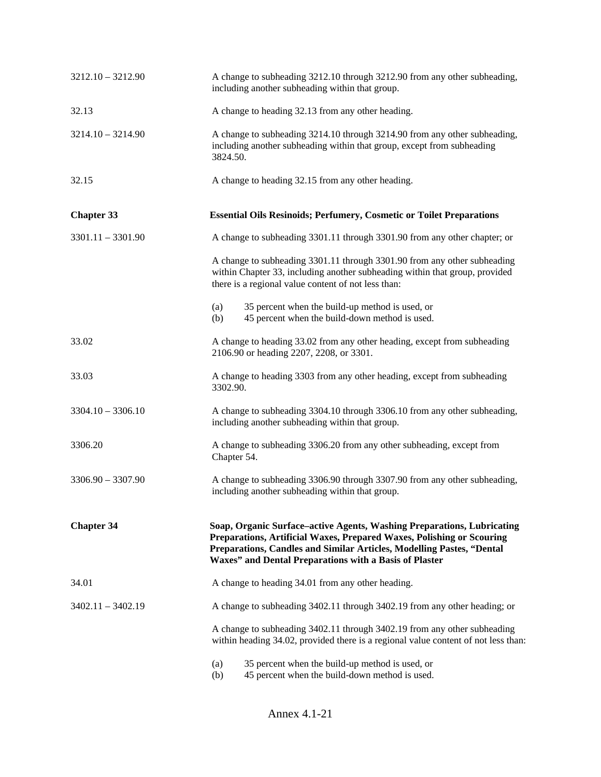| $3212.10 - 3212.90$ | A change to subheading 3212.10 through 3212.90 from any other subheading,<br>including another subheading within that group.                                                                                                                                                       |
|---------------------|------------------------------------------------------------------------------------------------------------------------------------------------------------------------------------------------------------------------------------------------------------------------------------|
| 32.13               | A change to heading 32.13 from any other heading.                                                                                                                                                                                                                                  |
| $3214.10 - 3214.90$ | A change to subheading 3214.10 through 3214.90 from any other subheading,<br>including another subheading within that group, except from subheading<br>3824.50.                                                                                                                    |
| 32.15               | A change to heading 32.15 from any other heading.                                                                                                                                                                                                                                  |
| <b>Chapter 33</b>   | <b>Essential Oils Resinoids; Perfumery, Cosmetic or Toilet Preparations</b>                                                                                                                                                                                                        |
| $3301.11 - 3301.90$ | A change to subheading 3301.11 through 3301.90 from any other chapter; or                                                                                                                                                                                                          |
|                     | A change to subheading 3301.11 through 3301.90 from any other subheading<br>within Chapter 33, including another subheading within that group, provided<br>there is a regional value content of not less than:                                                                     |
|                     | 35 percent when the build-up method is used, or<br>(a)<br>45 percent when the build-down method is used.<br>(b)                                                                                                                                                                    |
| 33.02               | A change to heading 33.02 from any other heading, except from subheading<br>2106.90 or heading 2207, 2208, or 3301.                                                                                                                                                                |
| 33.03               | A change to heading 3303 from any other heading, except from subheading<br>3302.90.                                                                                                                                                                                                |
| $3304.10 - 3306.10$ | A change to subheading 3304.10 through 3306.10 from any other subheading,<br>including another subheading within that group.                                                                                                                                                       |
| 3306.20             | A change to subheading 3306.20 from any other subheading, except from<br>Chapter 54.                                                                                                                                                                                               |
| $3306.90 - 3307.90$ | A change to subheading 3306.90 through 3307.90 from any other subheading,<br>including another subheading within that group.                                                                                                                                                       |
| <b>Chapter 34</b>   | Soap, Organic Surface-active Agents, Washing Preparations, Lubricating<br>Preparations, Artificial Waxes, Prepared Waxes, Polishing or Scouring<br>Preparations, Candles and Similar Articles, Modelling Pastes, "Dental<br>Waxes" and Dental Preparations with a Basis of Plaster |
| 34.01               | A change to heading 34.01 from any other heading.                                                                                                                                                                                                                                  |
| $3402.11 - 3402.19$ | A change to subheading 3402.11 through 3402.19 from any other heading; or                                                                                                                                                                                                          |
|                     | A change to subheading 3402.11 through 3402.19 from any other subheading<br>within heading 34.02, provided there is a regional value content of not less than:                                                                                                                     |
|                     | 35 percent when the build-up method is used, or<br>(a)<br>45 percent when the build-down method is used.<br>(b)                                                                                                                                                                    |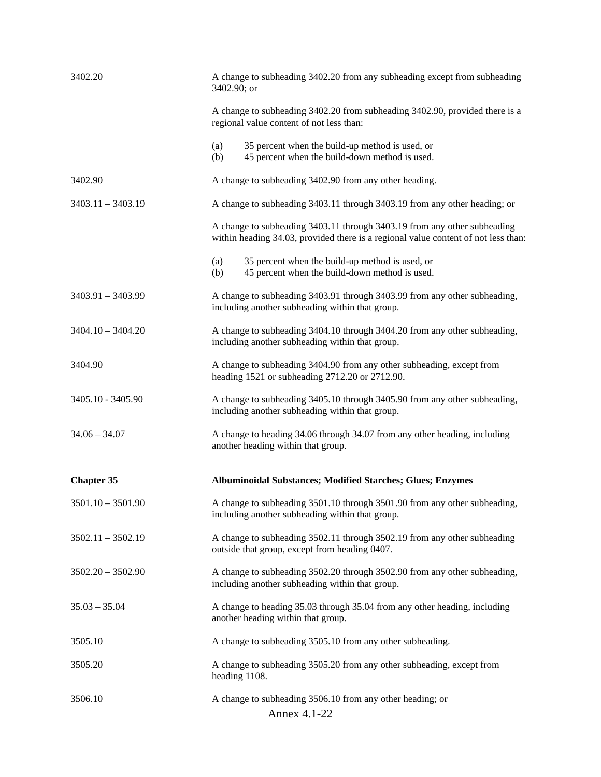| 3402.20             | A change to subheading 3402.20 from any subheading except from subheading<br>3402.90; or                                                                       |
|---------------------|----------------------------------------------------------------------------------------------------------------------------------------------------------------|
|                     | A change to subheading 3402.20 from subheading 3402.90, provided there is a<br>regional value content of not less than:                                        |
|                     | 35 percent when the build-up method is used, or<br>(a)<br>45 percent when the build-down method is used.<br>(b)                                                |
| 3402.90             | A change to subheading 3402.90 from any other heading.                                                                                                         |
| $3403.11 - 3403.19$ | A change to subheading 3403.11 through 3403.19 from any other heading; or                                                                                      |
|                     | A change to subheading 3403.11 through 3403.19 from any other subheading<br>within heading 34.03, provided there is a regional value content of not less than: |
|                     | 35 percent when the build-up method is used, or<br>(a)<br>45 percent when the build-down method is used.<br>(b)                                                |
| $3403.91 - 3403.99$ | A change to subheading 3403.91 through 3403.99 from any other subheading,<br>including another subheading within that group.                                   |
| $3404.10 - 3404.20$ | A change to subheading 3404.10 through 3404.20 from any other subheading,<br>including another subheading within that group.                                   |
| 3404.90             | A change to subheading 3404.90 from any other subheading, except from<br>heading 1521 or subheading 2712.20 or 2712.90.                                        |
| 3405.10 - 3405.90   | A change to subheading 3405.10 through 3405.90 from any other subheading,<br>including another subheading within that group.                                   |
| $34.06 - 34.07$     | A change to heading 34.06 through 34.07 from any other heading, including<br>another heading within that group.                                                |
| <b>Chapter 35</b>   | Albuminoidal Substances; Modified Starches; Glues; Enzymes                                                                                                     |
| $3501.10 - 3501.90$ | A change to subheading 3501.10 through 3501.90 from any other subheading,<br>including another subheading within that group.                                   |
| $3502.11 - 3502.19$ | A change to subheading 3502.11 through 3502.19 from any other subheading<br>outside that group, except from heading 0407.                                      |
| $3502.20 - 3502.90$ | A change to subheading 3502.20 through 3502.90 from any other subheading,<br>including another subheading within that group.                                   |
| $35.03 - 35.04$     | A change to heading 35.03 through 35.04 from any other heading, including<br>another heading within that group.                                                |
| 3505.10             | A change to subheading 3505.10 from any other subheading.                                                                                                      |
| 3505.20             | A change to subheading 3505.20 from any other subheading, except from<br>heading 1108.                                                                         |
| 3506.10             | A change to subheading 3506.10 from any other heading; or<br>Annex 4.1-22                                                                                      |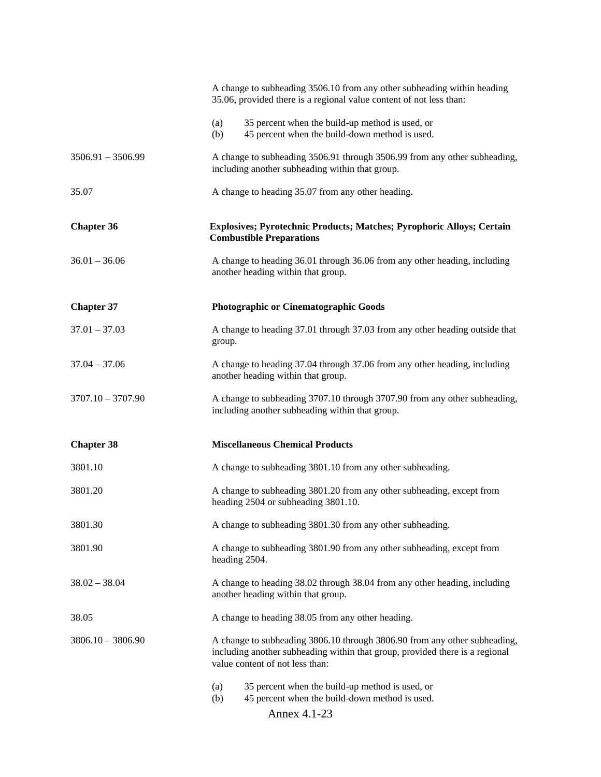|                     | A change to subheading 3506.10 from any other subheading within heading<br>35.06, provided there is a regional value content of not less than:                                               |
|---------------------|----------------------------------------------------------------------------------------------------------------------------------------------------------------------------------------------|
|                     | 35 percent when the build-up method is used, or<br>(a)<br>45 percent when the build-down method is used.<br>(b)                                                                              |
| $3506.91 - 3506.99$ | A change to subheading 3506.91 through 3506.99 from any other subheading,<br>including another subheading within that group.                                                                 |
| 35.07               | A change to heading 35.07 from any other heading.                                                                                                                                            |
| <b>Chapter 36</b>   | <b>Explosives; Pyrotechnic Products; Matches; Pyrophoric Alloys; Certain</b><br><b>Combustible Preparations</b>                                                                              |
| $36.01 - 36.06$     | A change to heading 36.01 through 36.06 from any other heading, including<br>another heading within that group.                                                                              |
| <b>Chapter 37</b>   | Photographic or Cinematographic Goods                                                                                                                                                        |
| $37.01 - 37.03$     | A change to heading 37.01 through 37.03 from any other heading outside that<br>group.                                                                                                        |
| $37.04 - 37.06$     | A change to heading 37.04 through 37.06 from any other heading, including<br>another heading within that group.                                                                              |
| $3707.10 - 3707.90$ | A change to subheading 3707.10 through 3707.90 from any other subheading,<br>including another subheading within that group.                                                                 |
| <b>Chapter 38</b>   | <b>Miscellaneous Chemical Products</b>                                                                                                                                                       |
| 3801.10             | A change to subheading 3801.10 from any other subheading.                                                                                                                                    |
| 3801.20             | A change to subheading 3801.20 from any other subheading, except from<br>heading 2504 or subheading 3801.10.                                                                                 |
| 3801.30             | A change to subheading 3801.30 from any other subheading.                                                                                                                                    |
| 3801.90             | A change to subheading 3801.90 from any other subheading, except from<br>heading 2504.                                                                                                       |
| $38.02 - 38.04$     | A change to heading 38.02 through 38.04 from any other heading, including<br>another heading within that group.                                                                              |
| 38.05               | A change to heading 38.05 from any other heading.                                                                                                                                            |
| $3806.10 - 3806.90$ | A change to subheading 3806.10 through 3806.90 from any other subheading,<br>including another subheading within that group, provided there is a regional<br>value content of not less than: |
|                     | 35 percent when the build-up method is used, or<br>(a)<br>45 percent when the build-down method is used.<br>(b)<br>Annex 4.1-23                                                              |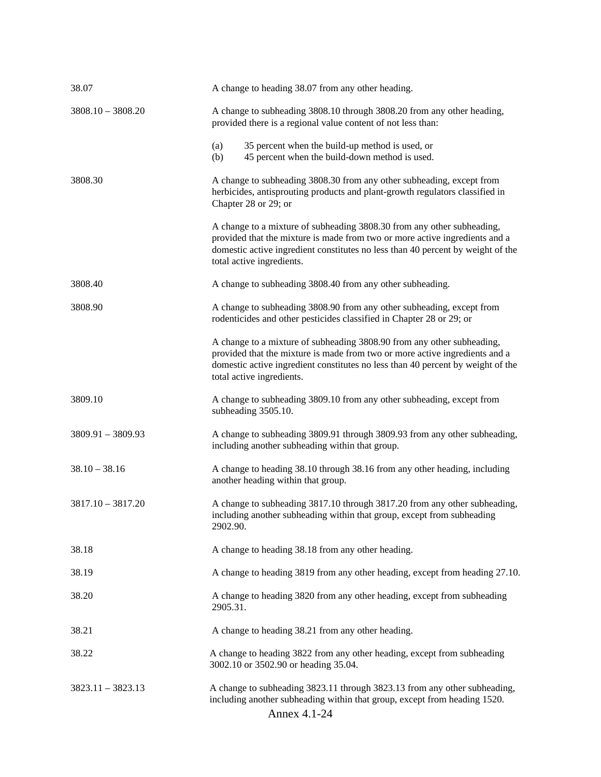| 38.07               | A change to heading 38.07 from any other heading.                                                                                                                                                                                                                     |
|---------------------|-----------------------------------------------------------------------------------------------------------------------------------------------------------------------------------------------------------------------------------------------------------------------|
| $3808.10 - 3808.20$ | A change to subheading 3808.10 through 3808.20 from any other heading,<br>provided there is a regional value content of not less than:                                                                                                                                |
|                     | 35 percent when the build-up method is used, or<br>(a)<br>45 percent when the build-down method is used.<br>(b)                                                                                                                                                       |
| 3808.30             | A change to subheading 3808.30 from any other subheading, except from<br>herbicides, antisprouting products and plant-growth regulators classified in<br>Chapter 28 or 29; or                                                                                         |
|                     | A change to a mixture of subheading 3808.30 from any other subheading,<br>provided that the mixture is made from two or more active ingredients and a<br>domestic active ingredient constitutes no less than 40 percent by weight of the<br>total active ingredients. |
| 3808.40             | A change to subheading 3808.40 from any other subheading.                                                                                                                                                                                                             |
| 3808.90             | A change to subheading 3808.90 from any other subheading, except from<br>rodenticides and other pesticides classified in Chapter 28 or 29; or                                                                                                                         |
|                     | A change to a mixture of subheading 3808.90 from any other subheading,<br>provided that the mixture is made from two or more active ingredients and a<br>domestic active ingredient constitutes no less than 40 percent by weight of the<br>total active ingredients. |
| 3809.10             | A change to subheading 3809.10 from any other subheading, except from<br>subheading 3505.10.                                                                                                                                                                          |
| $3809.91 - 3809.93$ | A change to subheading 3809.91 through 3809.93 from any other subheading,<br>including another subheading within that group.                                                                                                                                          |
| $38.10 - 38.16$     | A change to heading 38.10 through 38.16 from any other heading, including<br>another heading within that group.                                                                                                                                                       |
| $3817.10 - 3817.20$ | A change to subheading 3817.10 through 3817.20 from any other subheading,<br>including another subheading within that group, except from subheading<br>2902.90.                                                                                                       |
| 38.18               | A change to heading 38.18 from any other heading.                                                                                                                                                                                                                     |
| 38.19               | A change to heading 3819 from any other heading, except from heading 27.10.                                                                                                                                                                                           |
| 38.20               | A change to heading 3820 from any other heading, except from subheading<br>2905.31.                                                                                                                                                                                   |
| 38.21               | A change to heading 38.21 from any other heading.                                                                                                                                                                                                                     |
| 38.22               | A change to heading 3822 from any other heading, except from subheading<br>3002.10 or 3502.90 or heading 35.04.                                                                                                                                                       |
| $3823.11 - 3823.13$ | A change to subheading 3823.11 through 3823.13 from any other subheading,<br>including another subheading within that group, except from heading 1520.<br>Annex 4.1-24                                                                                                |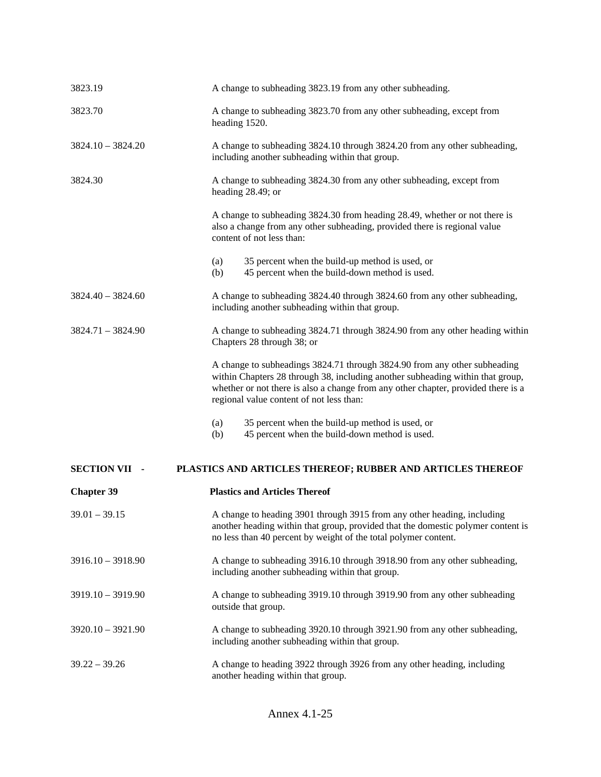| 3823.19              | A change to subheading 3823.19 from any other subheading.                                                                                                                                                                                                                                    |
|----------------------|----------------------------------------------------------------------------------------------------------------------------------------------------------------------------------------------------------------------------------------------------------------------------------------------|
| 3823.70              | A change to subheading 3823.70 from any other subheading, except from<br>heading 1520.                                                                                                                                                                                                       |
| $3824.10 - 3824.20$  | A change to subheading 3824.10 through 3824.20 from any other subheading,<br>including another subheading within that group.                                                                                                                                                                 |
| 3824.30              | A change to subheading 3824.30 from any other subheading, except from<br>heading 28.49; or                                                                                                                                                                                                   |
|                      | A change to subheading 3824.30 from heading 28.49, whether or not there is<br>also a change from any other subheading, provided there is regional value<br>content of not less than:                                                                                                         |
|                      | 35 percent when the build-up method is used, or<br>(a)<br>45 percent when the build-down method is used.<br>(b)                                                                                                                                                                              |
| $3824.40 - 3824.60$  | A change to subheading 3824.40 through 3824.60 from any other subheading,<br>including another subheading within that group.                                                                                                                                                                 |
| $3824.71 - 3824.90$  | A change to subheading 3824.71 through 3824.90 from any other heading within<br>Chapters 28 through 38; or                                                                                                                                                                                   |
|                      | A change to subheadings 3824.71 through 3824.90 from any other subheading<br>within Chapters 28 through 38, including another subheading within that group,<br>whether or not there is also a change from any other chapter, provided there is a<br>regional value content of not less than: |
|                      | 35 percent when the build-up method is used, or<br>(a)<br>45 percent when the build-down method is used.<br>(b)                                                                                                                                                                              |
| <b>SECTION VII -</b> | PLASTICS AND ARTICLES THEREOF; RUBBER AND ARTICLES THEREOF                                                                                                                                                                                                                                   |
| <b>Chapter 39</b>    | <b>Plastics and Articles Thereof</b>                                                                                                                                                                                                                                                         |
| $39.01 - 39.15$      | A change to heading 3901 through 3915 from any other heading, including<br>another heading within that group, provided that the domestic polymer content is<br>no less than 40 percent by weight of the total polymer content.                                                               |
| $3916.10 - 3918.90$  | A change to subheading 3916.10 through 3918.90 from any other subheading,<br>including another subheading within that group.                                                                                                                                                                 |
| $3919.10 - 3919.90$  | A change to subheading 3919.10 through 3919.90 from any other subheading<br>outside that group.                                                                                                                                                                                              |
| $3920.10 - 3921.90$  | A change to subheading 3920.10 through 3921.90 from any other subheading,<br>including another subheading within that group.                                                                                                                                                                 |
| $39.22 - 39.26$      | A change to heading 3922 through 3926 from any other heading, including<br>another heading within that group.                                                                                                                                                                                |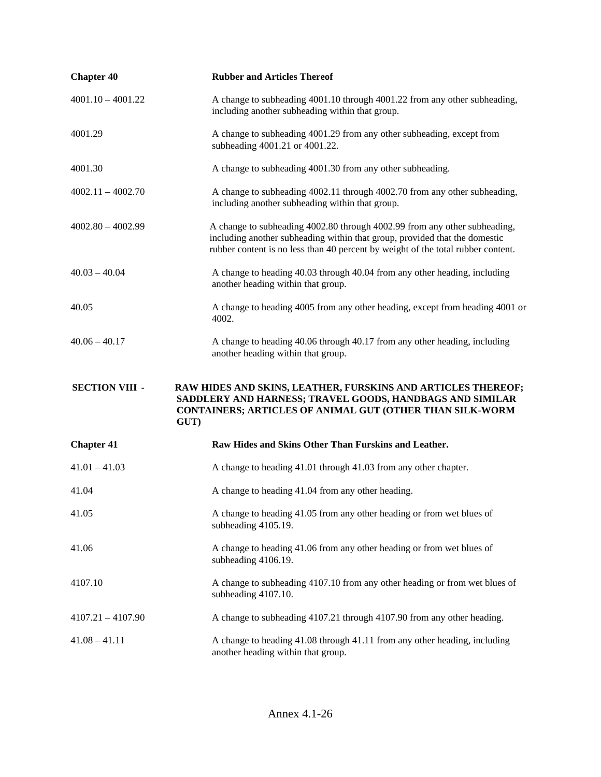| <b>Chapter 40</b>     | <b>Rubber and Articles Thereof</b>                                                                                                                                                                                                          |
|-----------------------|---------------------------------------------------------------------------------------------------------------------------------------------------------------------------------------------------------------------------------------------|
| $4001.10 - 4001.22$   | A change to subheading 4001.10 through 4001.22 from any other subheading,<br>including another subheading within that group.                                                                                                                |
| 4001.29               | A change to subheading 4001.29 from any other subheading, except from<br>subheading 4001.21 or 4001.22.                                                                                                                                     |
| 4001.30               | A change to subheading 4001.30 from any other subheading.                                                                                                                                                                                   |
| $4002.11 - 4002.70$   | A change to subheading 4002.11 through 4002.70 from any other subheading,<br>including another subheading within that group.                                                                                                                |
| $4002.80 - 4002.99$   | A change to subheading 4002.80 through 4002.99 from any other subheading,<br>including another subheading within that group, provided that the domestic<br>rubber content is no less than 40 percent by weight of the total rubber content. |
| $40.03 - 40.04$       | A change to heading 40.03 through 40.04 from any other heading, including<br>another heading within that group.                                                                                                                             |
| 40.05                 | A change to heading 4005 from any other heading, except from heading 4001 or<br>4002.                                                                                                                                                       |
| $40.06 - 40.17$       | A change to heading 40.06 through 40.17 from any other heading, including<br>another heading within that group.                                                                                                                             |
| <b>SECTION VIII -</b> | RAW HIDES AND SKINS, LEATHER, FURSKINS AND ARTICLES THEREOF;<br>SADDLERY AND HARNESS; TRAVEL GOODS, HANDBAGS AND SIMILAR<br>CONTAINERS; ARTICLES OF ANIMAL GUT (OTHER THAN SILK-WORM<br>GUT)                                                |
| <b>Chapter 41</b>     | Raw Hides and Skins Other Than Furskins and Leather.                                                                                                                                                                                        |
| $41.01 - 41.03$       | A change to heading 41.01 through 41.03 from any other chapter.                                                                                                                                                                             |
| 41.04                 | A change to heading 41.04 from any other heading.                                                                                                                                                                                           |
| 41.05                 | A change to heading 41.05 from any other heading or from wet blues of<br>subheading 4105.19.                                                                                                                                                |
| 41.06                 | A change to heading 41.06 from any other heading or from wet blues of<br>subheading 4106.19.                                                                                                                                                |
| 4107.10               | A change to subheading 4107.10 from any other heading or from wet blues of<br>subheading 4107.10.                                                                                                                                           |
| $4107.21 - 4107.90$   | A change to subheading 4107.21 through 4107.90 from any other heading.                                                                                                                                                                      |
| $41.08 - 41.11$       |                                                                                                                                                                                                                                             |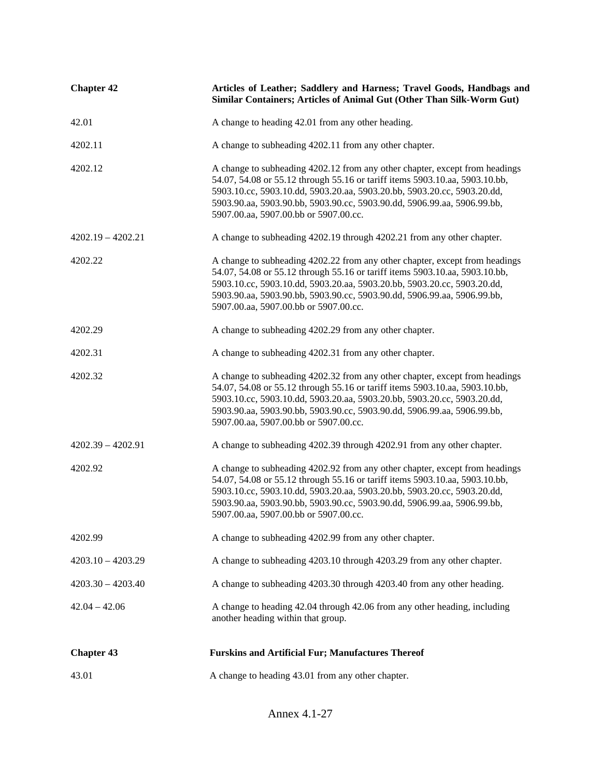| <b>Chapter 42</b>   | Articles of Leather; Saddlery and Harness; Travel Goods, Handbags and<br>Similar Containers; Articles of Animal Gut (Other Than Silk-Worm Gut)                                                                                                                                                                                                            |
|---------------------|-----------------------------------------------------------------------------------------------------------------------------------------------------------------------------------------------------------------------------------------------------------------------------------------------------------------------------------------------------------|
| 42.01               | A change to heading 42.01 from any other heading.                                                                                                                                                                                                                                                                                                         |
| 4202.11             | A change to subheading 4202.11 from any other chapter.                                                                                                                                                                                                                                                                                                    |
| 4202.12             | A change to subheading 4202.12 from any other chapter, except from headings<br>54.07, 54.08 or 55.12 through 55.16 or tariff items 5903.10.aa, 5903.10.bb,<br>5903.10.cc, 5903.10.dd, 5903.20.aa, 5903.20.bb, 5903.20.cc, 5903.20.dd,<br>5903.90.aa, 5903.90.bb, 5903.90.cc, 5903.90.dd, 5906.99.aa, 5906.99.bb,<br>5907.00.aa, 5907.00.bb or 5907.00.cc. |
| $4202.19 - 4202.21$ | A change to subheading 4202.19 through 4202.21 from any other chapter.                                                                                                                                                                                                                                                                                    |
| 4202.22             | A change to subheading 4202.22 from any other chapter, except from headings<br>54.07, 54.08 or 55.12 through 55.16 or tariff items 5903.10.aa, 5903.10.bb,<br>5903.10.cc, 5903.10.dd, 5903.20.aa, 5903.20.bb, 5903.20.cc, 5903.20.dd,<br>5903.90.aa, 5903.90.bb, 5903.90.cc, 5903.90.dd, 5906.99.aa, 5906.99.bb,<br>5907.00.aa, 5907.00.bb or 5907.00.cc. |
| 4202.29             | A change to subheading 4202.29 from any other chapter.                                                                                                                                                                                                                                                                                                    |
| 4202.31             | A change to subheading 4202.31 from any other chapter.                                                                                                                                                                                                                                                                                                    |
| 4202.32             | A change to subheading 4202.32 from any other chapter, except from headings<br>54.07, 54.08 or 55.12 through 55.16 or tariff items 5903.10.aa, 5903.10.bb,<br>5903.10.cc, 5903.10.dd, 5903.20.aa, 5903.20.bb, 5903.20.cc, 5903.20.dd,<br>5903.90.aa, 5903.90.bb, 5903.90.cc, 5903.90.dd, 5906.99.aa, 5906.99.bb,<br>5907.00.aa, 5907.00.bb or 5907.00.cc. |
| $4202.39 - 4202.91$ | A change to subheading 4202.39 through 4202.91 from any other chapter.                                                                                                                                                                                                                                                                                    |
| 4202.92             | A change to subheading 4202.92 from any other chapter, except from headings<br>54.07, 54.08 or 55.12 through 55.16 or tariff items 5903.10.aa, 5903.10.bb,<br>5903.10.cc, 5903.10.dd, 5903.20.aa, 5903.20.bb, 5903.20.cc, 5903.20.dd,<br>5903.90.aa, 5903.90.bb, 5903.90.cc, 5903.90.dd, 5906.99.aa, 5906.99.bb,<br>5907.00.aa, 5907.00.bb or 5907.00.cc. |
| 4202.99             | A change to subheading 4202.99 from any other chapter.                                                                                                                                                                                                                                                                                                    |
| $4203.10 - 4203.29$ | A change to subheading 4203.10 through 4203.29 from any other chapter.                                                                                                                                                                                                                                                                                    |
| $4203.30 - 4203.40$ | A change to subheading 4203.30 through 4203.40 from any other heading.                                                                                                                                                                                                                                                                                    |
| $42.04 - 42.06$     | A change to heading 42.04 through 42.06 from any other heading, including<br>another heading within that group.                                                                                                                                                                                                                                           |
| <b>Chapter 43</b>   | <b>Furskins and Artificial Fur; Manufactures Thereof</b>                                                                                                                                                                                                                                                                                                  |
| 43.01               | A change to heading 43.01 from any other chapter.                                                                                                                                                                                                                                                                                                         |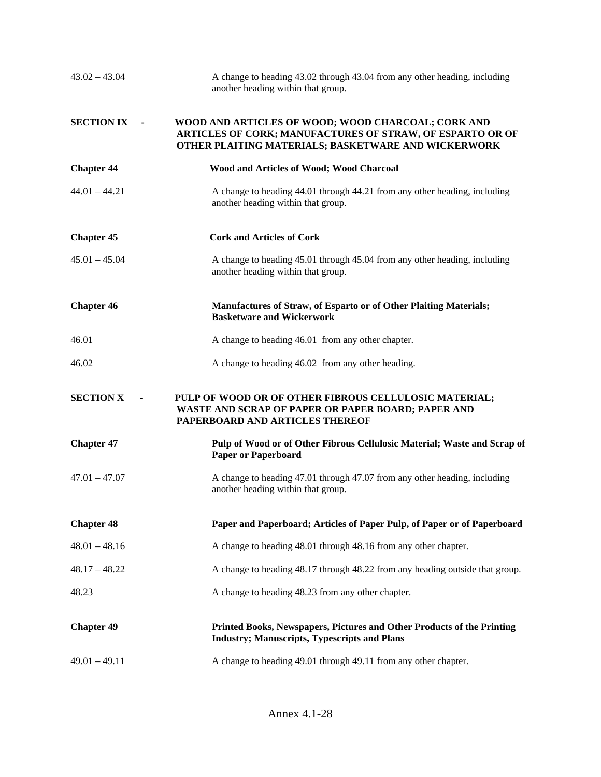| $43.02 - 43.04$   | A change to heading 43.02 through 43.04 from any other heading, including<br>another heading within that group.                                                        |
|-------------------|------------------------------------------------------------------------------------------------------------------------------------------------------------------------|
| <b>SECTION IX</b> | WOOD AND ARTICLES OF WOOD; WOOD CHARCOAL; CORK AND<br>ARTICLES OF CORK; MANUFACTURES OF STRAW, OF ESPARTO OR OF<br>OTHER PLAITING MATERIALS; BASKETWARE AND WICKERWORK |
| <b>Chapter 44</b> | Wood and Articles of Wood; Wood Charcoal                                                                                                                               |
| $44.01 - 44.21$   | A change to heading 44.01 through 44.21 from any other heading, including<br>another heading within that group.                                                        |
| <b>Chapter 45</b> | <b>Cork and Articles of Cork</b>                                                                                                                                       |
| $45.01 - 45.04$   | A change to heading 45.01 through 45.04 from any other heading, including<br>another heading within that group.                                                        |
| <b>Chapter 46</b> | Manufactures of Straw, of Esparto or of Other Plaiting Materials;<br><b>Basketware and Wickerwork</b>                                                                  |
| 46.01             | A change to heading 46.01 from any other chapter.                                                                                                                      |
| 46.02             | A change to heading 46.02 from any other heading.                                                                                                                      |
| <b>SECTION X</b>  | PULP OF WOOD OR OF OTHER FIBROUS CELLULOSIC MATERIAL;<br>WASTE AND SCRAP OF PAPER OR PAPER BOARD; PAPER AND<br>PAPERBOARD AND ARTICLES THEREOF                         |
| <b>Chapter 47</b> | Pulp of Wood or of Other Fibrous Cellulosic Material; Waste and Scrap of<br><b>Paper or Paperboard</b>                                                                 |
| $47.01 - 47.07$   | A change to heading 47.01 through 47.07 from any other heading, including<br>another heading within that group.                                                        |
| <b>Chapter 48</b> | Paper and Paperboard; Articles of Paper Pulp, of Paper or of Paperboard                                                                                                |
| $48.01 - 48.16$   | A change to heading 48.01 through 48.16 from any other chapter.                                                                                                        |
| $48.17 - 48.22$   | A change to heading 48.17 through 48.22 from any heading outside that group.                                                                                           |
| 48.23             | A change to heading 48.23 from any other chapter.                                                                                                                      |
| <b>Chapter 49</b> | Printed Books, Newspapers, Pictures and Other Products of the Printing<br><b>Industry; Manuscripts, Typescripts and Plans</b>                                          |
| $49.01 - 49.11$   | A change to heading 49.01 through 49.11 from any other chapter.                                                                                                        |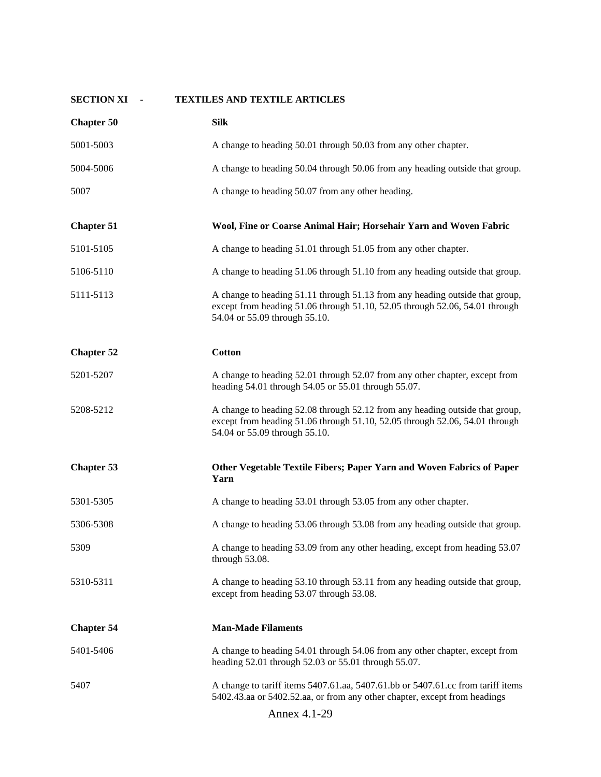| <b>SECTION XI</b> | <b>TEXTILES AND TEXTILE ARTICLES</b>                                                                                                                                                         |
|-------------------|----------------------------------------------------------------------------------------------------------------------------------------------------------------------------------------------|
| <b>Chapter 50</b> | <b>Silk</b>                                                                                                                                                                                  |
| 5001-5003         | A change to heading 50.01 through 50.03 from any other chapter.                                                                                                                              |
| 5004-5006         | A change to heading 50.04 through 50.06 from any heading outside that group.                                                                                                                 |
| 5007              | A change to heading 50.07 from any other heading.                                                                                                                                            |
| <b>Chapter 51</b> | Wool, Fine or Coarse Animal Hair; Horsehair Yarn and Woven Fabric                                                                                                                            |
| 5101-5105         | A change to heading 51.01 through 51.05 from any other chapter.                                                                                                                              |
| 5106-5110         | A change to heading 51.06 through 51.10 from any heading outside that group.                                                                                                                 |
| 5111-5113         | A change to heading 51.11 through 51.13 from any heading outside that group,<br>except from heading 51.06 through 51.10, 52.05 through 52.06, 54.01 through<br>54.04 or 55.09 through 55.10. |
| <b>Chapter 52</b> | <b>Cotton</b>                                                                                                                                                                                |
| 5201-5207         | A change to heading 52.01 through 52.07 from any other chapter, except from<br>heading 54.01 through 54.05 or 55.01 through 55.07.                                                           |
| 5208-5212         | A change to heading 52.08 through 52.12 from any heading outside that group,<br>except from heading 51.06 through 51.10, 52.05 through 52.06, 54.01 through<br>54.04 or 55.09 through 55.10. |
| <b>Chapter 53</b> | Other Vegetable Textile Fibers; Paper Yarn and Woven Fabrics of Paper<br>Yarn                                                                                                                |
| 5301-5305         | A change to heading 53.01 through 53.05 from any other chapter.                                                                                                                              |
| 5306-5308         | A change to heading 53.06 through 53.08 from any heading outside that group.                                                                                                                 |
| 5309              | A change to heading 53.09 from any other heading, except from heading 53.07<br>through 53.08.                                                                                                |
| 5310-5311         | A change to heading 53.10 through 53.11 from any heading outside that group,<br>except from heading 53.07 through 53.08.                                                                     |
| <b>Chapter 54</b> | <b>Man-Made Filaments</b>                                                                                                                                                                    |
| 5401-5406         | A change to heading 54.01 through 54.06 from any other chapter, except from<br>heading 52.01 through 52.03 or 55.01 through 55.07.                                                           |
| 5407              | A change to tariff items 5407.61.aa, 5407.61.bb or 5407.61.cc from tariff items<br>5402.43.aa or 5402.52.aa, or from any other chapter, except from headings                                 |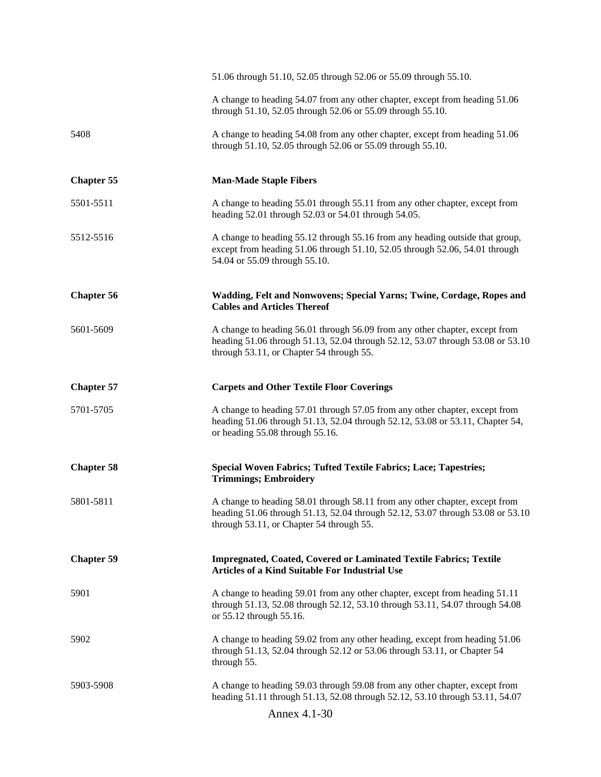|                   | 51.06 through 51.10, 52.05 through 52.06 or 55.09 through 55.10.                                                                                                                                          |
|-------------------|-----------------------------------------------------------------------------------------------------------------------------------------------------------------------------------------------------------|
|                   | A change to heading 54.07 from any other chapter, except from heading 51.06<br>through 51.10, 52.05 through 52.06 or 55.09 through 55.10.                                                                 |
| 5408              | A change to heading 54.08 from any other chapter, except from heading 51.06<br>through 51.10, 52.05 through 52.06 or 55.09 through 55.10.                                                                 |
| <b>Chapter 55</b> | <b>Man-Made Staple Fibers</b>                                                                                                                                                                             |
| 5501-5511         | A change to heading 55.01 through 55.11 from any other chapter, except from<br>heading 52.01 through 52.03 or 54.01 through 54.05.                                                                        |
| 5512-5516         | A change to heading 55.12 through 55.16 from any heading outside that group,<br>except from heading 51.06 through 51.10, 52.05 through 52.06, 54.01 through<br>54.04 or 55.09 through 55.10.              |
| <b>Chapter 56</b> | Wadding, Felt and Nonwovens; Special Yarns; Twine, Cordage, Ropes and<br><b>Cables and Articles Thereof</b>                                                                                               |
| 5601-5609         | A change to heading 56.01 through 56.09 from any other chapter, except from<br>heading 51.06 through 51.13, 52.04 through 52.12, 53.07 through 53.08 or 53.10<br>through 53.11, or Chapter 54 through 55. |
| <b>Chapter 57</b> | <b>Carpets and Other Textile Floor Coverings</b>                                                                                                                                                          |
| 5701-5705         | A change to heading 57.01 through 57.05 from any other chapter, except from<br>heading 51.06 through 51.13, 52.04 through 52.12, 53.08 or 53.11, Chapter 54,<br>or heading 55.08 through 55.16.           |
| <b>Chapter 58</b> | Special Woven Fabrics; Tufted Textile Fabrics; Lace; Tapestries;<br><b>Trimmings; Embroidery</b>                                                                                                          |
| 5801-5811         | A change to heading 58.01 through 58.11 from any other chapter, except from<br>heading 51.06 through 51.13, 52.04 through 52.12, 53.07 through 53.08 or 53.10<br>through 53.11, or Chapter 54 through 55. |
| <b>Chapter 59</b> | <b>Impregnated, Coated, Covered or Laminated Textile Fabrics; Textile</b><br><b>Articles of a Kind Suitable For Industrial Use</b>                                                                        |
| 5901              | A change to heading 59.01 from any other chapter, except from heading 51.11<br>through 51.13, 52.08 through 52.12, 53.10 through 53.11, 54.07 through 54.08<br>or 55.12 through 55.16.                    |
| 5902              | A change to heading 59.02 from any other heading, except from heading 51.06<br>through 51.13, 52.04 through 52.12 or 53.06 through 53.11, or Chapter 54<br>through 55.                                    |
| 5903-5908         | A change to heading 59.03 through 59.08 from any other chapter, except from<br>heading 51.11 through 51.13, 52.08 through 52.12, 53.10 through 53.11, 54.07                                               |
|                   | Annex 4.1-30                                                                                                                                                                                              |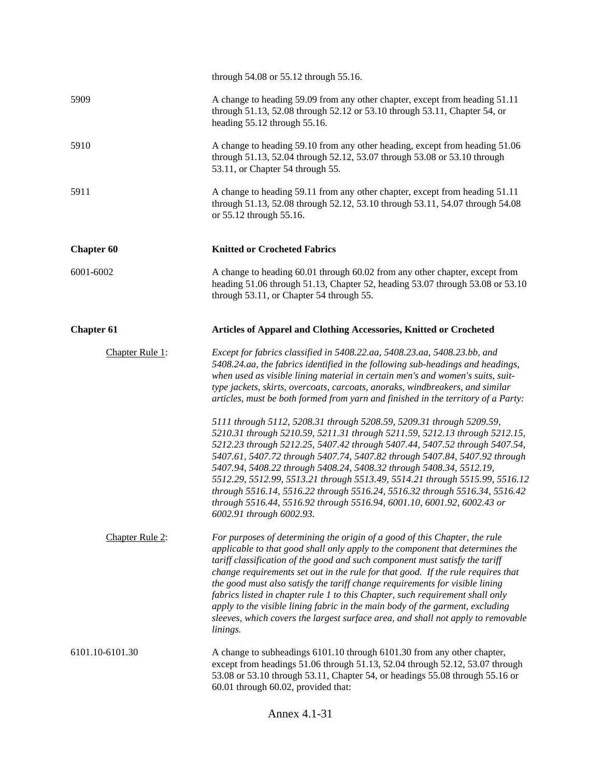|                   | through 54.08 or 55.12 through 55.16.                                                                                                                                                                                                                                                                                                                                                                                                                                                                                                                                                                                                                                             |
|-------------------|-----------------------------------------------------------------------------------------------------------------------------------------------------------------------------------------------------------------------------------------------------------------------------------------------------------------------------------------------------------------------------------------------------------------------------------------------------------------------------------------------------------------------------------------------------------------------------------------------------------------------------------------------------------------------------------|
| 5909              | A change to heading 59.09 from any other chapter, except from heading 51.11<br>through 51.13, 52.08 through 52.12 or 53.10 through 53.11, Chapter 54, or<br>heading 55.12 through 55.16.                                                                                                                                                                                                                                                                                                                                                                                                                                                                                          |
| 5910              | A change to heading 59.10 from any other heading, except from heading 51.06<br>through 51.13, 52.04 through 52.12, 53.07 through 53.08 or 53.10 through<br>53.11, or Chapter 54 through 55.                                                                                                                                                                                                                                                                                                                                                                                                                                                                                       |
| 5911              | A change to heading 59.11 from any other chapter, except from heading 51.11<br>through 51.13, 52.08 through 52.12, 53.10 through 53.11, 54.07 through 54.08<br>or 55.12 through 55.16.                                                                                                                                                                                                                                                                                                                                                                                                                                                                                            |
| <b>Chapter 60</b> | <b>Knitted or Crocheted Fabrics</b>                                                                                                                                                                                                                                                                                                                                                                                                                                                                                                                                                                                                                                               |
| 6001-6002         | A change to heading 60.01 through 60.02 from any other chapter, except from<br>heading 51.06 through 51.13, Chapter 52, heading 53.07 through 53.08 or 53.10<br>through 53.11, or Chapter 54 through 55.                                                                                                                                                                                                                                                                                                                                                                                                                                                                          |
| <b>Chapter 61</b> | Articles of Apparel and Clothing Accessories, Knitted or Crocheted                                                                                                                                                                                                                                                                                                                                                                                                                                                                                                                                                                                                                |
| Chapter Rule 1:   | Except for fabrics classified in 5408.22.aa, 5408.23.aa, 5408.23.bb, and<br>5408.24.aa, the fabrics identified in the following sub-headings and headings,<br>when used as visible lining material in certain men's and women's suits, suit-<br>type jackets, skirts, overcoats, carcoats, anoraks, windbreakers, and similar<br>articles, must be both formed from yarn and finished in the territory of a Party:                                                                                                                                                                                                                                                                |
|                   | 5111 through 5112, 5208.31 through 5208.59, 5209.31 through 5209.59,<br>5210.31 through 5210.59, 5211.31 through 5211.59, 5212.13 through 5212.15,<br>5212.23 through 5212.25, 5407.42 through 5407.44, 5407.52 through 5407.54,<br>5407.61, 5407.72 through 5407.74, 5407.82 through 5407.84, 5407.92 through<br>5407.94, 5408.22 through 5408.24, 5408.32 through 5408.34, 5512.19,<br>5512.29, 5512.99, 5513.21 through 5513.49, 5514.21 through 5515.99, 5516.12<br>through 5516.14, 5516.22 through 5516.24, 5516.32 through 5516.34, 5516.42<br>through 5516.44, 5516.92 through 5516.94, 6001.10, 6001.92, 6002.43 or<br>6002.91 through 6002.93.                          |
| Chapter Rule 2:   | For purposes of determining the origin of a good of this Chapter, the rule<br>applicable to that good shall only apply to the component that determines the<br>tariff classification of the good and such component must satisfy the tariff<br>change requirements set out in the rule for that good. If the rule requires that<br>the good must also satisfy the tariff change requirements for visible lining<br>fabrics listed in chapter rule 1 to this Chapter, such requirement shall only<br>apply to the visible lining fabric in the main body of the garment, excluding<br>sleeves, which covers the largest surface area, and shall not apply to removable<br>linings. |
| 6101.10-6101.30   | A change to subheadings 6101.10 through 6101.30 from any other chapter,<br>except from headings 51.06 through 51.13, 52.04 through 52.12, 53.07 through<br>53.08 or 53.10 through 53.11, Chapter 54, or headings 55.08 through 55.16 or<br>60.01 through 60.02, provided that:                                                                                                                                                                                                                                                                                                                                                                                                    |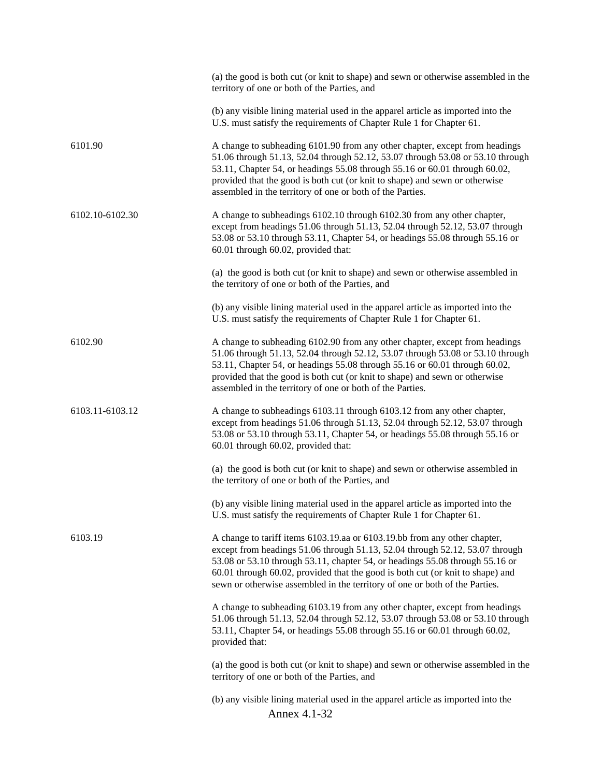|                 | (a) the good is both cut (or knit to shape) and sewn or otherwise assembled in the<br>territory of one or both of the Parties, and                                                                                                                                                                                                                                                                         |
|-----------------|------------------------------------------------------------------------------------------------------------------------------------------------------------------------------------------------------------------------------------------------------------------------------------------------------------------------------------------------------------------------------------------------------------|
|                 | (b) any visible lining material used in the apparel article as imported into the<br>U.S. must satisfy the requirements of Chapter Rule 1 for Chapter 61.                                                                                                                                                                                                                                                   |
| 6101.90         | A change to subheading 6101.90 from any other chapter, except from headings<br>51.06 through 51.13, 52.04 through 52.12, 53.07 through 53.08 or 53.10 through<br>53.11, Chapter 54, or headings 55.08 through 55.16 or 60.01 through 60.02,<br>provided that the good is both cut (or knit to shape) and sewn or otherwise<br>assembled in the territory of one or both of the Parties.                    |
| 6102.10-6102.30 | A change to subheadings 6102.10 through 6102.30 from any other chapter,<br>except from headings 51.06 through 51.13, 52.04 through 52.12, 53.07 through<br>53.08 or 53.10 through 53.11, Chapter 54, or headings 55.08 through 55.16 or<br>60.01 through 60.02, provided that:                                                                                                                             |
|                 | (a) the good is both cut (or knit to shape) and sewn or otherwise assembled in<br>the territory of one or both of the Parties, and                                                                                                                                                                                                                                                                         |
|                 | (b) any visible lining material used in the apparel article as imported into the<br>U.S. must satisfy the requirements of Chapter Rule 1 for Chapter 61.                                                                                                                                                                                                                                                   |
| 6102.90         | A change to subheading 6102.90 from any other chapter, except from headings<br>51.06 through 51.13, 52.04 through 52.12, 53.07 through 53.08 or 53.10 through<br>53.11, Chapter 54, or headings 55.08 through 55.16 or 60.01 through 60.02,<br>provided that the good is both cut (or knit to shape) and sewn or otherwise<br>assembled in the territory of one or both of the Parties.                    |
| 6103.11-6103.12 | A change to subheadings 6103.11 through 6103.12 from any other chapter,<br>except from headings 51.06 through 51.13, 52.04 through 52.12, 53.07 through<br>53.08 or 53.10 through 53.11, Chapter 54, or headings 55.08 through 55.16 or<br>60.01 through 60.02, provided that:                                                                                                                             |
|                 | (a) the good is both cut (or knit to shape) and sewn or otherwise assembled in<br>the territory of one or both of the Parties, and                                                                                                                                                                                                                                                                         |
|                 | (b) any visible lining material used in the apparel article as imported into the<br>U.S. must satisfy the requirements of Chapter Rule 1 for Chapter 61.                                                                                                                                                                                                                                                   |
| 6103.19         | A change to tariff items 6103.19.aa or 6103.19.bb from any other chapter,<br>except from headings 51.06 through 51.13, 52.04 through 52.12, 53.07 through<br>53.08 or 53.10 through 53.11, chapter 54, or headings 55.08 through 55.16 or<br>60.01 through 60.02, provided that the good is both cut (or knit to shape) and<br>sewn or otherwise assembled in the territory of one or both of the Parties. |
|                 | A change to subheading 6103.19 from any other chapter, except from headings<br>51.06 through 51.13, 52.04 through 52.12, 53.07 through 53.08 or 53.10 through<br>53.11, Chapter 54, or headings 55.08 through 55.16 or 60.01 through 60.02,<br>provided that:                                                                                                                                              |
|                 | (a) the good is both cut (or knit to shape) and sewn or otherwise assembled in the<br>territory of one or both of the Parties, and                                                                                                                                                                                                                                                                         |
|                 | (b) any visible lining material used in the apparel article as imported into the<br>Annex 4.1-32                                                                                                                                                                                                                                                                                                           |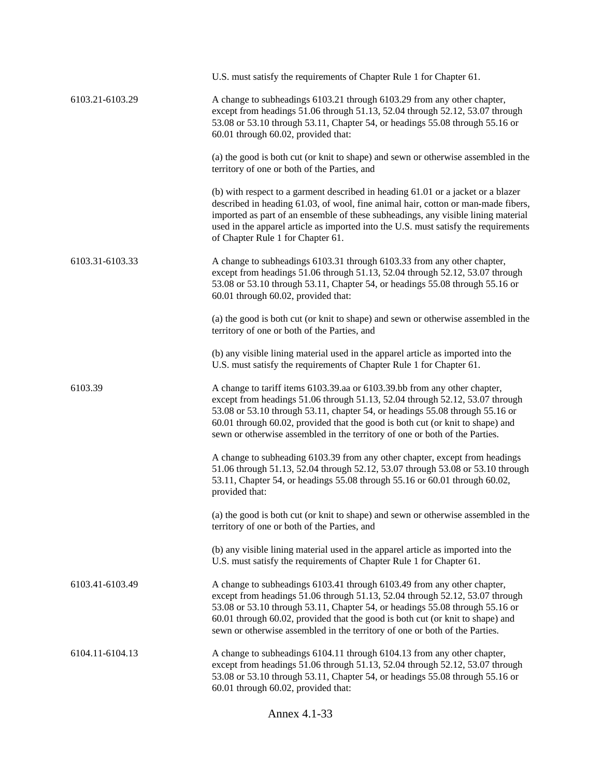|                 | U.S. must satisfy the requirements of Chapter Rule 1 for Chapter 61.                                                                                                                                                                                                                                                                                                                                       |
|-----------------|------------------------------------------------------------------------------------------------------------------------------------------------------------------------------------------------------------------------------------------------------------------------------------------------------------------------------------------------------------------------------------------------------------|
| 6103.21-6103.29 | A change to subheadings 6103.21 through 6103.29 from any other chapter,<br>except from headings 51.06 through 51.13, 52.04 through 52.12, 53.07 through<br>53.08 or 53.10 through 53.11, Chapter 54, or headings 55.08 through 55.16 or<br>60.01 through 60.02, provided that:                                                                                                                             |
|                 | (a) the good is both cut (or knit to shape) and sewn or otherwise assembled in the<br>territory of one or both of the Parties, and                                                                                                                                                                                                                                                                         |
|                 | (b) with respect to a garment described in heading 61.01 or a jacket or a blazer<br>described in heading 61.03, of wool, fine animal hair, cotton or man-made fibers,<br>imported as part of an ensemble of these subheadings, any visible lining material<br>used in the apparel article as imported into the U.S. must satisfy the requirements<br>of Chapter Rule 1 for Chapter 61.                     |
| 6103.31-6103.33 | A change to subheadings 6103.31 through 6103.33 from any other chapter,<br>except from headings 51.06 through 51.13, 52.04 through 52.12, 53.07 through<br>53.08 or 53.10 through 53.11, Chapter 54, or headings 55.08 through 55.16 or<br>60.01 through 60.02, provided that:                                                                                                                             |
|                 | (a) the good is both cut (or knit to shape) and sewn or otherwise assembled in the<br>territory of one or both of the Parties, and                                                                                                                                                                                                                                                                         |
|                 | (b) any visible lining material used in the apparel article as imported into the<br>U.S. must satisfy the requirements of Chapter Rule 1 for Chapter 61.                                                                                                                                                                                                                                                   |
| 6103.39         | A change to tariff items 6103.39.aa or 6103.39.bb from any other chapter,<br>except from headings 51.06 through 51.13, 52.04 through 52.12, 53.07 through<br>53.08 or 53.10 through 53.11, chapter 54, or headings 55.08 through 55.16 or<br>60.01 through 60.02, provided that the good is both cut (or knit to shape) and<br>sewn or otherwise assembled in the territory of one or both of the Parties. |
|                 | A change to subheading 6103.39 from any other chapter, except from headings<br>51.06 through 51.13, 52.04 through 52.12, 53.07 through 53.08 or 53.10 through<br>53.11, Chapter 54, or headings 55.08 through 55.16 or 60.01 through 60.02,<br>provided that:                                                                                                                                              |
|                 | (a) the good is both cut (or knit to shape) and sewn or otherwise assembled in the<br>territory of one or both of the Parties, and                                                                                                                                                                                                                                                                         |
|                 | (b) any visible lining material used in the apparel article as imported into the<br>U.S. must satisfy the requirements of Chapter Rule 1 for Chapter 61.                                                                                                                                                                                                                                                   |
| 6103.41-6103.49 | A change to subheadings 6103.41 through 6103.49 from any other chapter,<br>except from headings 51.06 through 51.13, 52.04 through 52.12, 53.07 through<br>53.08 or 53.10 through 53.11, Chapter 54, or headings 55.08 through 55.16 or<br>60.01 through 60.02, provided that the good is both cut (or knit to shape) and<br>sewn or otherwise assembled in the territory of one or both of the Parties.   |
| 6104.11-6104.13 | A change to subheadings 6104.11 through 6104.13 from any other chapter,<br>except from headings 51.06 through 51.13, 52.04 through 52.12, 53.07 through<br>53.08 or 53.10 through 53.11, Chapter 54, or headings 55.08 through 55.16 or<br>60.01 through 60.02, provided that:                                                                                                                             |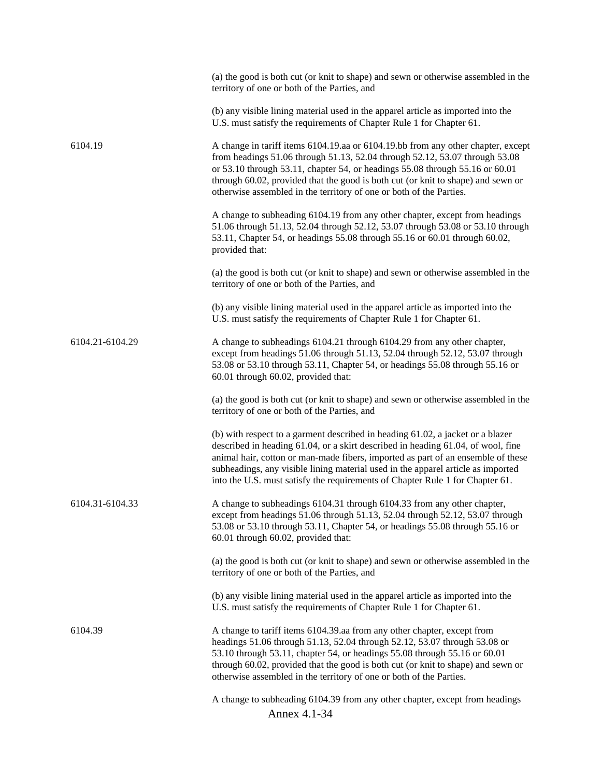|                 | (a) the good is both cut (or knit to shape) and sewn or otherwise assembled in the<br>territory of one or both of the Parties, and                                                                                                                                                                                                                                                                                          |
|-----------------|-----------------------------------------------------------------------------------------------------------------------------------------------------------------------------------------------------------------------------------------------------------------------------------------------------------------------------------------------------------------------------------------------------------------------------|
|                 | (b) any visible lining material used in the apparel article as imported into the<br>U.S. must satisfy the requirements of Chapter Rule 1 for Chapter 61.                                                                                                                                                                                                                                                                    |
| 6104.19         | A change in tariff items 6104.19.aa or 6104.19.bb from any other chapter, except<br>from headings 51.06 through 51.13, 52.04 through 52.12, 53.07 through 53.08<br>or 53.10 through 53.11, chapter 54, or headings 55.08 through 55.16 or 60.01<br>through 60.02, provided that the good is both cut (or knit to shape) and sewn or<br>otherwise assembled in the territory of one or both of the Parties.                  |
|                 | A change to subheading 6104.19 from any other chapter, except from headings<br>51.06 through 51.13, 52.04 through 52.12, 53.07 through 53.08 or 53.10 through<br>53.11, Chapter 54, or headings 55.08 through 55.16 or 60.01 through 60.02,<br>provided that:                                                                                                                                                               |
|                 | (a) the good is both cut (or knit to shape) and sewn or otherwise assembled in the<br>territory of one or both of the Parties, and                                                                                                                                                                                                                                                                                          |
|                 | (b) any visible lining material used in the apparel article as imported into the<br>U.S. must satisfy the requirements of Chapter Rule 1 for Chapter 61.                                                                                                                                                                                                                                                                    |
| 6104.21-6104.29 | A change to subheadings 6104.21 through 6104.29 from any other chapter,<br>except from headings 51.06 through 51.13, 52.04 through 52.12, 53.07 through<br>53.08 or 53.10 through 53.11, Chapter 54, or headings 55.08 through 55.16 or<br>60.01 through 60.02, provided that:                                                                                                                                              |
|                 | (a) the good is both cut (or knit to shape) and sewn or otherwise assembled in the<br>territory of one or both of the Parties, and                                                                                                                                                                                                                                                                                          |
|                 | (b) with respect to a garment described in heading 61.02, a jacket or a blazer<br>described in heading 61.04, or a skirt described in heading 61.04, of wool, fine<br>animal hair, cotton or man-made fibers, imported as part of an ensemble of these<br>subheadings, any visible lining material used in the apparel article as imported<br>into the U.S. must satisfy the requirements of Chapter Rule 1 for Chapter 61. |
| 6104.31-6104.33 | A change to subheadings 6104.31 through 6104.33 from any other chapter,<br>except from headings 51.06 through 51.13, 52.04 through 52.12, 53.07 through<br>53.08 or 53.10 through 53.11, Chapter 54, or headings 55.08 through 55.16 or<br>60.01 through 60.02, provided that:                                                                                                                                              |
|                 | (a) the good is both cut (or knit to shape) and sewn or otherwise assembled in the<br>territory of one or both of the Parties, and                                                                                                                                                                                                                                                                                          |
|                 | (b) any visible lining material used in the apparel article as imported into the<br>U.S. must satisfy the requirements of Chapter Rule 1 for Chapter 61.                                                                                                                                                                                                                                                                    |
| 6104.39         | A change to tariff items 6104.39.aa from any other chapter, except from<br>headings 51.06 through 51.13, 52.04 through 52.12, 53.07 through 53.08 or<br>53.10 through 53.11, chapter 54, or headings 55.08 through 55.16 or 60.01<br>through 60.02, provided that the good is both cut (or knit to shape) and sewn or<br>otherwise assembled in the territory of one or both of the Parties.                                |
|                 | A change to subheading 6104.39 from any other chapter, except from headings<br>Annex 4.1-34                                                                                                                                                                                                                                                                                                                                 |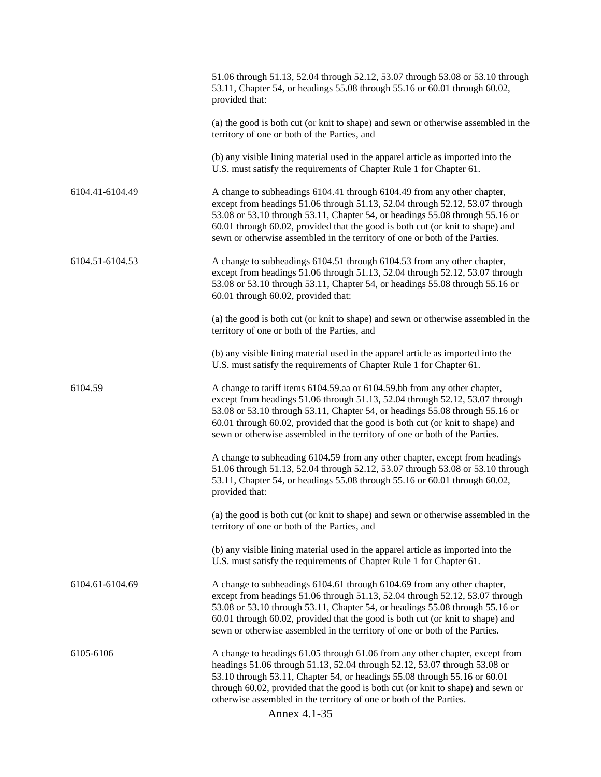|                 | 51.06 through 51.13, 52.04 through 52.12, 53.07 through 53.08 or 53.10 through<br>53.11, Chapter 54, or headings 55.08 through 55.16 or 60.01 through 60.02,<br>provided that:                                                                                                                                                                                                                                    |
|-----------------|-------------------------------------------------------------------------------------------------------------------------------------------------------------------------------------------------------------------------------------------------------------------------------------------------------------------------------------------------------------------------------------------------------------------|
|                 | (a) the good is both cut (or knit to shape) and sewn or otherwise assembled in the<br>territory of one or both of the Parties, and                                                                                                                                                                                                                                                                                |
|                 | (b) any visible lining material used in the apparel article as imported into the<br>U.S. must satisfy the requirements of Chapter Rule 1 for Chapter 61.                                                                                                                                                                                                                                                          |
| 6104.41-6104.49 | A change to subheadings 6104.41 through 6104.49 from any other chapter,<br>except from headings 51.06 through 51.13, 52.04 through 52.12, 53.07 through<br>53.08 or 53.10 through 53.11, Chapter 54, or headings 55.08 through 55.16 or<br>60.01 through 60.02, provided that the good is both cut (or knit to shape) and<br>sewn or otherwise assembled in the territory of one or both of the Parties.          |
| 6104.51-6104.53 | A change to subheadings 6104.51 through 6104.53 from any other chapter,<br>except from headings 51.06 through 51.13, 52.04 through 52.12, 53.07 through<br>53.08 or 53.10 through 53.11, Chapter 54, or headings 55.08 through 55.16 or<br>60.01 through 60.02, provided that:                                                                                                                                    |
|                 | (a) the good is both cut (or knit to shape) and sewn or otherwise assembled in the<br>territory of one or both of the Parties, and                                                                                                                                                                                                                                                                                |
|                 | (b) any visible lining material used in the apparel article as imported into the<br>U.S. must satisfy the requirements of Chapter Rule 1 for Chapter 61.                                                                                                                                                                                                                                                          |
| 6104.59         | A change to tariff items 6104.59.aa or 6104.59.bb from any other chapter,<br>except from headings 51.06 through 51.13, 52.04 through 52.12, 53.07 through<br>53.08 or 53.10 through 53.11, Chapter 54, or headings 55.08 through 55.16 or<br>60.01 through 60.02, provided that the good is both cut (or knit to shape) and<br>sewn or otherwise assembled in the territory of one or both of the Parties.        |
|                 | A change to subheading 6104.59 from any other chapter, except from headings<br>51.06 through 51.13, 52.04 through 52.12, 53.07 through 53.08 or 53.10 through<br>53.11, Chapter 54, or headings 55.08 through 55.16 or 60.01 through 60.02,<br>provided that:                                                                                                                                                     |
|                 | (a) the good is both cut (or knit to shape) and sewn or otherwise assembled in the<br>territory of one or both of the Parties, and                                                                                                                                                                                                                                                                                |
|                 | (b) any visible lining material used in the apparel article as imported into the<br>U.S. must satisfy the requirements of Chapter Rule 1 for Chapter 61.                                                                                                                                                                                                                                                          |
| 6104.61-6104.69 | A change to subheadings 6104.61 through 6104.69 from any other chapter,<br>except from headings 51.06 through 51.13, 52.04 through 52.12, 53.07 through<br>53.08 or 53.10 through 53.11, Chapter 54, or headings 55.08 through 55.16 or<br>60.01 through 60.02, provided that the good is both cut (or knit to shape) and<br>sewn or otherwise assembled in the territory of one or both of the Parties.          |
| 6105-6106       | A change to headings 61.05 through 61.06 from any other chapter, except from<br>headings 51.06 through 51.13, 52.04 through 52.12, 53.07 through 53.08 or<br>53.10 through 53.11, Chapter 54, or headings 55.08 through 55.16 or 60.01<br>through 60.02, provided that the good is both cut (or knit to shape) and sewn or<br>otherwise assembled in the territory of one or both of the Parties.<br>Annex 4.1-35 |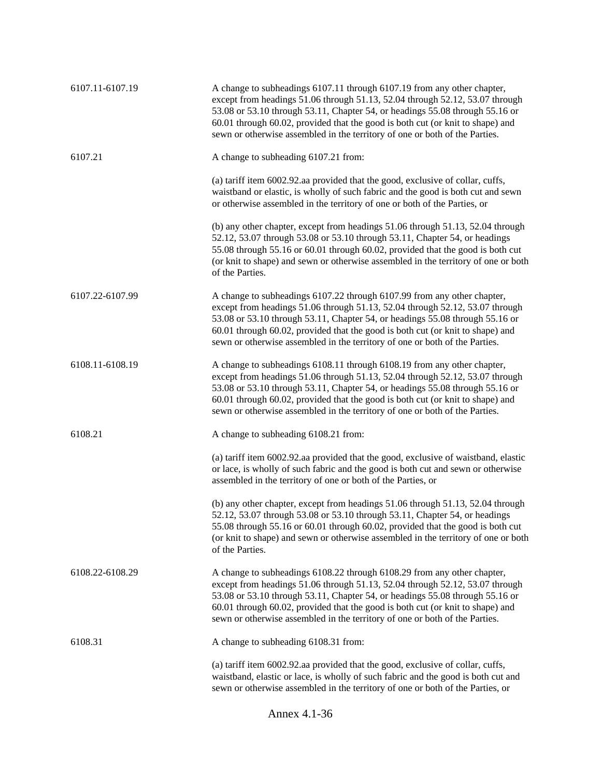| 6107.11-6107.19 | A change to subheadings 6107.11 through 6107.19 from any other chapter,<br>except from headings 51.06 through 51.13, 52.04 through 52.12, 53.07 through<br>53.08 or 53.10 through 53.11, Chapter 54, or headings 55.08 through 55.16 or<br>60.01 through 60.02, provided that the good is both cut (or knit to shape) and<br>sewn or otherwise assembled in the territory of one or both of the Parties. |
|-----------------|----------------------------------------------------------------------------------------------------------------------------------------------------------------------------------------------------------------------------------------------------------------------------------------------------------------------------------------------------------------------------------------------------------|
| 6107.21         | A change to subheading 6107.21 from:                                                                                                                                                                                                                                                                                                                                                                     |
|                 | (a) tariff item 6002.92.aa provided that the good, exclusive of collar, cuffs,<br>waistband or elastic, is wholly of such fabric and the good is both cut and sewn<br>or otherwise assembled in the territory of one or both of the Parties, or                                                                                                                                                          |
|                 | (b) any other chapter, except from headings 51.06 through 51.13, 52.04 through<br>52.12, 53.07 through 53.08 or 53.10 through 53.11, Chapter 54, or headings<br>55.08 through 55.16 or 60.01 through 60.02, provided that the good is both cut<br>(or knit to shape) and sewn or otherwise assembled in the territory of one or both<br>of the Parties.                                                  |
| 6107.22-6107.99 | A change to subheadings 6107.22 through 6107.99 from any other chapter,<br>except from headings 51.06 through 51.13, 52.04 through 52.12, 53.07 through<br>53.08 or 53.10 through 53.11, Chapter 54, or headings 55.08 through 55.16 or<br>60.01 through 60.02, provided that the good is both cut (or knit to shape) and<br>sewn or otherwise assembled in the territory of one or both of the Parties. |
| 6108.11-6108.19 | A change to subheadings 6108.11 through 6108.19 from any other chapter,<br>except from headings 51.06 through 51.13, 52.04 through 52.12, 53.07 through<br>53.08 or 53.10 through 53.11, Chapter 54, or headings 55.08 through 55.16 or<br>60.01 through 60.02, provided that the good is both cut (or knit to shape) and<br>sewn or otherwise assembled in the territory of one or both of the Parties. |
| 6108.21         | A change to subheading 6108.21 from:                                                                                                                                                                                                                                                                                                                                                                     |
|                 | (a) tariff item 6002.92.aa provided that the good, exclusive of waistband, elastic<br>or lace, is wholly of such fabric and the good is both cut and sewn or otherwise<br>assembled in the territory of one or both of the Parties, or                                                                                                                                                                   |
|                 | (b) any other chapter, except from headings 51.06 through 51.13, 52.04 through<br>52.12, 53.07 through 53.08 or 53.10 through 53.11, Chapter 54, or headings<br>55.08 through 55.16 or 60.01 through 60.02, provided that the good is both cut<br>(or knit to shape) and sewn or otherwise assembled in the territory of one or both<br>of the Parties.                                                  |
| 6108.22-6108.29 | A change to subheadings 6108.22 through 6108.29 from any other chapter,<br>except from headings 51.06 through 51.13, 52.04 through 52.12, 53.07 through<br>53.08 or 53.10 through 53.11, Chapter 54, or headings 55.08 through 55.16 or<br>60.01 through 60.02, provided that the good is both cut (or knit to shape) and<br>sewn or otherwise assembled in the territory of one or both of the Parties. |
| 6108.31         | A change to subheading 6108.31 from:                                                                                                                                                                                                                                                                                                                                                                     |
|                 | (a) tariff item 6002.92.aa provided that the good, exclusive of collar, cuffs,<br>waistband, elastic or lace, is wholly of such fabric and the good is both cut and<br>sewn or otherwise assembled in the territory of one or both of the Parties, or                                                                                                                                                    |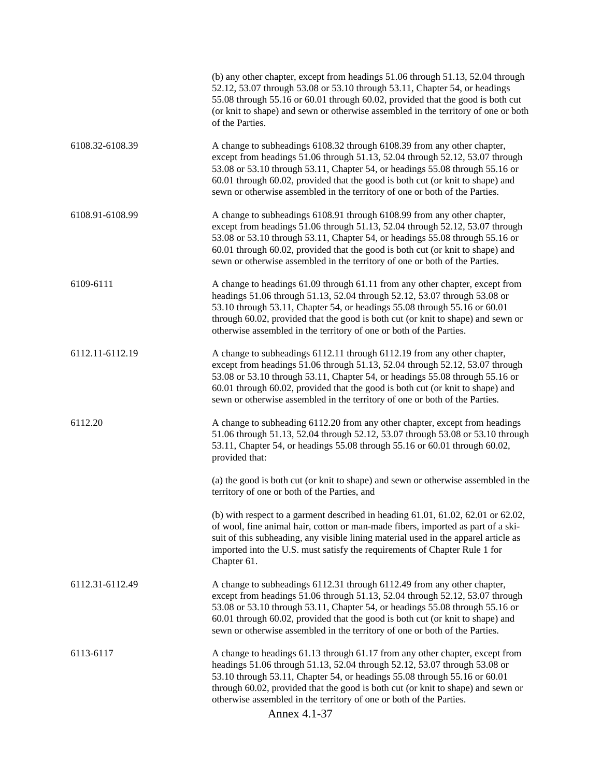|                 | (b) any other chapter, except from headings 51.06 through 51.13, 52.04 through<br>52.12, 53.07 through 53.08 or 53.10 through 53.11, Chapter 54, or headings<br>55.08 through 55.16 or 60.01 through 60.02, provided that the good is both cut<br>(or knit to shape) and sewn or otherwise assembled in the territory of one or both<br>of the Parties.                                                           |
|-----------------|-------------------------------------------------------------------------------------------------------------------------------------------------------------------------------------------------------------------------------------------------------------------------------------------------------------------------------------------------------------------------------------------------------------------|
| 6108.32-6108.39 | A change to subheadings 6108.32 through 6108.39 from any other chapter,<br>except from headings 51.06 through 51.13, 52.04 through 52.12, 53.07 through<br>53.08 or 53.10 through 53.11, Chapter 54, or headings 55.08 through 55.16 or<br>60.01 through 60.02, provided that the good is both cut (or knit to shape) and<br>sewn or otherwise assembled in the territory of one or both of the Parties.          |
| 6108.91-6108.99 | A change to subheadings 6108.91 through 6108.99 from any other chapter,<br>except from headings 51.06 through 51.13, 52.04 through 52.12, 53.07 through<br>53.08 or 53.10 through 53.11, Chapter 54, or headings 55.08 through 55.16 or<br>60.01 through 60.02, provided that the good is both cut (or knit to shape) and<br>sewn or otherwise assembled in the territory of one or both of the Parties.          |
| 6109-6111       | A change to headings 61.09 through 61.11 from any other chapter, except from<br>headings 51.06 through 51.13, 52.04 through 52.12, 53.07 through 53.08 or<br>53.10 through 53.11, Chapter 54, or headings 55.08 through 55.16 or 60.01<br>through 60.02, provided that the good is both cut (or knit to shape) and sewn or<br>otherwise assembled in the territory of one or both of the Parties.                 |
| 6112.11-6112.19 | A change to subheadings 6112.11 through 6112.19 from any other chapter,<br>except from headings 51.06 through 51.13, 52.04 through 52.12, 53.07 through<br>53.08 or 53.10 through 53.11, Chapter 54, or headings 55.08 through 55.16 or<br>60.01 through 60.02, provided that the good is both cut (or knit to shape) and<br>sewn or otherwise assembled in the territory of one or both of the Parties.          |
| 6112.20         | A change to subheading 6112.20 from any other chapter, except from headings<br>51.06 through 51.13, 52.04 through 52.12, 53.07 through 53.08 or 53.10 through<br>53.11, Chapter 54, or headings 55.08 through 55.16 or 60.01 through 60.02,<br>provided that:                                                                                                                                                     |
|                 | (a) the good is both cut (or knit to shape) and sewn or otherwise assembled in the<br>territory of one or both of the Parties, and                                                                                                                                                                                                                                                                                |
|                 | (b) with respect to a garment described in heading $61.01$ , $61.02$ , $62.01$ or $62.02$ ,<br>of wool, fine animal hair, cotton or man-made fibers, imported as part of a ski-<br>suit of this subheading, any visible lining material used in the apparel article as<br>imported into the U.S. must satisfy the requirements of Chapter Rule 1 for<br>Chapter 61.                                               |
| 6112.31-6112.49 | A change to subheadings 6112.31 through 6112.49 from any other chapter,<br>except from headings 51.06 through 51.13, 52.04 through 52.12, 53.07 through<br>53.08 or 53.10 through 53.11, Chapter 54, or headings 55.08 through 55.16 or<br>60.01 through 60.02, provided that the good is both cut (or knit to shape) and<br>sewn or otherwise assembled in the territory of one or both of the Parties.          |
| 6113-6117       | A change to headings 61.13 through 61.17 from any other chapter, except from<br>headings 51.06 through 51.13, 52.04 through 52.12, 53.07 through 53.08 or<br>53.10 through 53.11, Chapter 54, or headings 55.08 through 55.16 or 60.01<br>through 60.02, provided that the good is both cut (or knit to shape) and sewn or<br>otherwise assembled in the territory of one or both of the Parties.<br>Annex 4.1-37 |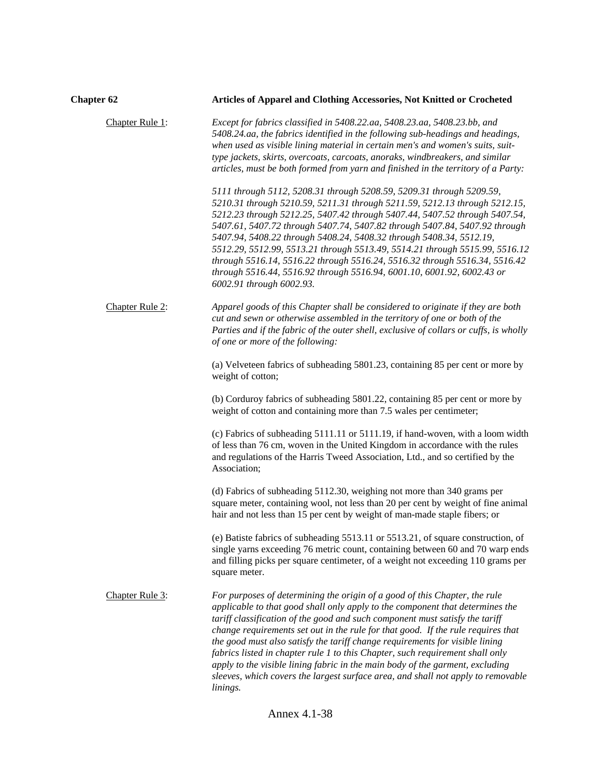| <b>Chapter 62</b> | Articles of Apparel and Clothing Accessories, Not Knitted or Crocheted                                                                                                                                                                                                                                                                                                                                                                                                                                                                                                                                                                                                            |
|-------------------|-----------------------------------------------------------------------------------------------------------------------------------------------------------------------------------------------------------------------------------------------------------------------------------------------------------------------------------------------------------------------------------------------------------------------------------------------------------------------------------------------------------------------------------------------------------------------------------------------------------------------------------------------------------------------------------|
| Chapter Rule 1:   | Except for fabrics classified in 5408.22.aa, 5408.23.aa, 5408.23.bb, and<br>5408.24.aa, the fabrics identified in the following sub-headings and headings,<br>when used as visible lining material in certain men's and women's suits, suit-<br>type jackets, skirts, overcoats, carcoats, anoraks, windbreakers, and similar<br>articles, must be both formed from yarn and finished in the territory of a Party:                                                                                                                                                                                                                                                                |
|                   | 5111 through 5112, 5208.31 through 5208.59, 5209.31 through 5209.59,<br>5210.31 through 5210.59, 5211.31 through 5211.59, 5212.13 through 5212.15,<br>5212.23 through 5212.25, 5407.42 through 5407.44, 5407.52 through 5407.54,<br>5407.61, 5407.72 through 5407.74, 5407.82 through 5407.84, 5407.92 through<br>5407.94, 5408.22 through 5408.24, 5408.32 through 5408.34, 5512.19,<br>5512.29, 5512.99, 5513.21 through 5513.49, 5514.21 through 5515.99, 5516.12<br>through 5516.14, 5516.22 through 5516.24, 5516.32 through 5516.34, 5516.42<br>through 5516.44, 5516.92 through 5516.94, 6001.10, 6001.92, 6002.43 or<br>6002.91 through 6002.93.                          |
| Chapter Rule 2:   | Apparel goods of this Chapter shall be considered to originate if they are both<br>cut and sewn or otherwise assembled in the territory of one or both of the<br>Parties and if the fabric of the outer shell, exclusive of collars or cuffs, is wholly<br>of one or more of the following:                                                                                                                                                                                                                                                                                                                                                                                       |
|                   | (a) Velveteen fabrics of subheading 5801.23, containing 85 per cent or more by<br>weight of cotton;                                                                                                                                                                                                                                                                                                                                                                                                                                                                                                                                                                               |
|                   | (b) Corduroy fabrics of subheading 5801.22, containing 85 per cent or more by<br>weight of cotton and containing more than 7.5 wales per centimeter;                                                                                                                                                                                                                                                                                                                                                                                                                                                                                                                              |
|                   | (c) Fabrics of subheading 5111.11 or 5111.19, if hand-woven, with a loom width<br>of less than 76 cm, woven in the United Kingdom in accordance with the rules<br>and regulations of the Harris Tweed Association, Ltd., and so certified by the<br>Association;                                                                                                                                                                                                                                                                                                                                                                                                                  |
|                   | (d) Fabrics of subheading 5112.30, weighing not more than 340 grams per<br>square meter, containing wool, not less than 20 per cent by weight of fine animal<br>hair and not less than 15 per cent by weight of man-made staple fibers; or                                                                                                                                                                                                                                                                                                                                                                                                                                        |
|                   | (e) Batiste fabrics of subheading 5513.11 or 5513.21, of square construction, of<br>single yarns exceeding 76 metric count, containing between 60 and 70 warp ends<br>and filling picks per square centimeter, of a weight not exceeding 110 grams per<br>square meter.                                                                                                                                                                                                                                                                                                                                                                                                           |
| Chapter Rule 3:   | For purposes of determining the origin of a good of this Chapter, the rule<br>applicable to that good shall only apply to the component that determines the<br>tariff classification of the good and such component must satisfy the tariff<br>change requirements set out in the rule for that good. If the rule requires that<br>the good must also satisfy the tariff change requirements for visible lining<br>fabrics listed in chapter rule 1 to this Chapter, such requirement shall only<br>apply to the visible lining fabric in the main body of the garment, excluding<br>sleeves, which covers the largest surface area, and shall not apply to removable<br>linings. |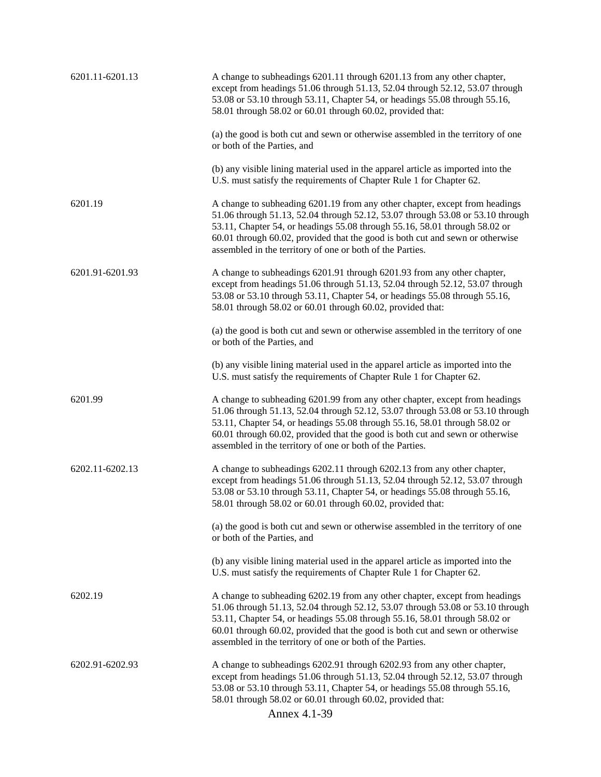| 6201.11-6201.13 | A change to subheadings 6201.11 through 6201.13 from any other chapter,<br>except from headings 51.06 through 51.13, 52.04 through 52.12, 53.07 through<br>53.08 or 53.10 through 53.11, Chapter 54, or headings 55.08 through 55.16,<br>58.01 through 58.02 or 60.01 through 60.02, provided that:                                                                                       |
|-----------------|-------------------------------------------------------------------------------------------------------------------------------------------------------------------------------------------------------------------------------------------------------------------------------------------------------------------------------------------------------------------------------------------|
|                 | (a) the good is both cut and sewn or otherwise assembled in the territory of one<br>or both of the Parties, and                                                                                                                                                                                                                                                                           |
|                 | (b) any visible lining material used in the apparel article as imported into the<br>U.S. must satisfy the requirements of Chapter Rule 1 for Chapter 62.                                                                                                                                                                                                                                  |
| 6201.19         | A change to subheading 6201.19 from any other chapter, except from headings<br>51.06 through 51.13, 52.04 through 52.12, 53.07 through 53.08 or 53.10 through<br>53.11, Chapter 54, or headings 55.08 through 55.16, 58.01 through 58.02 or<br>60.01 through 60.02, provided that the good is both cut and sewn or otherwise<br>assembled in the territory of one or both of the Parties. |
| 6201.91-6201.93 | A change to subheadings 6201.91 through 6201.93 from any other chapter,<br>except from headings 51.06 through 51.13, 52.04 through 52.12, 53.07 through<br>53.08 or 53.10 through 53.11, Chapter 54, or headings 55.08 through 55.16,<br>58.01 through 58.02 or 60.01 through 60.02, provided that:                                                                                       |
|                 | (a) the good is both cut and sewn or otherwise assembled in the territory of one<br>or both of the Parties, and                                                                                                                                                                                                                                                                           |
|                 | (b) any visible lining material used in the apparel article as imported into the<br>U.S. must satisfy the requirements of Chapter Rule 1 for Chapter 62.                                                                                                                                                                                                                                  |
| 6201.99         | A change to subheading 6201.99 from any other chapter, except from headings<br>51.06 through 51.13, 52.04 through 52.12, 53.07 through 53.08 or 53.10 through<br>53.11, Chapter 54, or headings 55.08 through 55.16, 58.01 through 58.02 or<br>60.01 through 60.02, provided that the good is both cut and sewn or otherwise<br>assembled in the territory of one or both of the Parties. |
| 6202.11-6202.13 | A change to subheadings 6202.11 through 6202.13 from any other chapter,<br>except from headings 51.06 through 51.13, 52.04 through 52.12, 53.07 through<br>53.08 or 53.10 through 53.11, Chapter 54, or headings 55.08 through 55.16,<br>58.01 through 58.02 or 60.01 through 60.02, provided that:                                                                                       |
|                 | (a) the good is both cut and sewn or otherwise assembled in the territory of one<br>or both of the Parties, and                                                                                                                                                                                                                                                                           |
|                 | (b) any visible lining material used in the apparel article as imported into the<br>U.S. must satisfy the requirements of Chapter Rule 1 for Chapter 62.                                                                                                                                                                                                                                  |
| 6202.19         | A change to subheading 6202.19 from any other chapter, except from headings<br>51.06 through 51.13, 52.04 through 52.12, 53.07 through 53.08 or 53.10 through<br>53.11, Chapter 54, or headings 55.08 through 55.16, 58.01 through 58.02 or<br>60.01 through 60.02, provided that the good is both cut and sewn or otherwise<br>assembled in the territory of one or both of the Parties. |
| 6202.91-6202.93 | A change to subheadings 6202.91 through 6202.93 from any other chapter,<br>except from headings 51.06 through 51.13, 52.04 through 52.12, 53.07 through<br>53.08 or 53.10 through 53.11, Chapter 54, or headings 55.08 through 55.16,<br>58.01 through 58.02 or 60.01 through 60.02, provided that:<br>Annex 4.1-39                                                                       |
|                 |                                                                                                                                                                                                                                                                                                                                                                                           |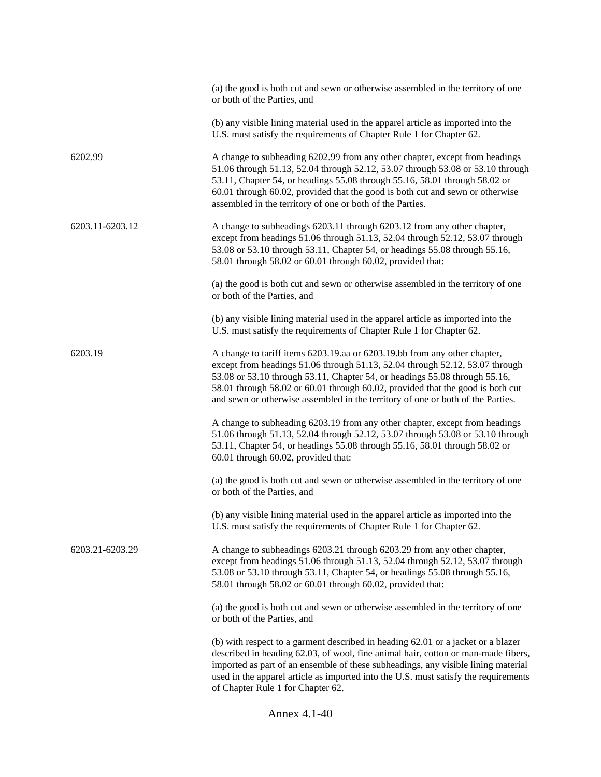|                 | (a) the good is both cut and sewn or otherwise assembled in the territory of one<br>or both of the Parties, and                                                                                                                                                                                                                                                                                              |
|-----------------|--------------------------------------------------------------------------------------------------------------------------------------------------------------------------------------------------------------------------------------------------------------------------------------------------------------------------------------------------------------------------------------------------------------|
|                 | (b) any visible lining material used in the apparel article as imported into the<br>U.S. must satisfy the requirements of Chapter Rule 1 for Chapter 62.                                                                                                                                                                                                                                                     |
| 6202.99         | A change to subheading 6202.99 from any other chapter, except from headings<br>51.06 through 51.13, 52.04 through 52.12, 53.07 through 53.08 or 53.10 through<br>53.11, Chapter 54, or headings 55.08 through 55.16, 58.01 through 58.02 or<br>60.01 through 60.02, provided that the good is both cut and sewn or otherwise<br>assembled in the territory of one or both of the Parties.                    |
| 6203.11-6203.12 | A change to subheadings 6203.11 through 6203.12 from any other chapter,<br>except from headings 51.06 through 51.13, 52.04 through 52.12, 53.07 through<br>53.08 or 53.10 through 53.11, Chapter 54, or headings 55.08 through 55.16,<br>58.01 through 58.02 or 60.01 through 60.02, provided that:                                                                                                          |
|                 | (a) the good is both cut and sewn or otherwise assembled in the territory of one<br>or both of the Parties, and                                                                                                                                                                                                                                                                                              |
|                 | (b) any visible lining material used in the apparel article as imported into the<br>U.S. must satisfy the requirements of Chapter Rule 1 for Chapter 62.                                                                                                                                                                                                                                                     |
| 6203.19         | A change to tariff items 6203.19.aa or 6203.19.bb from any other chapter,<br>except from headings 51.06 through 51.13, 52.04 through 52.12, 53.07 through<br>53.08 or 53.10 through 53.11, Chapter 54, or headings 55.08 through 55.16,<br>58.01 through 58.02 or 60.01 through 60.02, provided that the good is both cut<br>and sewn or otherwise assembled in the territory of one or both of the Parties. |
|                 | A change to subheading 6203.19 from any other chapter, except from headings<br>51.06 through 51.13, 52.04 through 52.12, 53.07 through 53.08 or 53.10 through<br>53.11, Chapter 54, or headings 55.08 through 55.16, 58.01 through 58.02 or<br>60.01 through 60.02, provided that:                                                                                                                           |
|                 | (a) the good is both cut and sewn or otherwise assembled in the territory of one<br>or both of the Parties, and                                                                                                                                                                                                                                                                                              |
|                 | (b) any visible lining material used in the apparel article as imported into the<br>U.S. must satisfy the requirements of Chapter Rule 1 for Chapter 62.                                                                                                                                                                                                                                                     |
| 6203.21-6203.29 | A change to subheadings 6203.21 through 6203.29 from any other chapter,<br>except from headings 51.06 through 51.13, 52.04 through 52.12, 53.07 through<br>53.08 or 53.10 through 53.11, Chapter 54, or headings 55.08 through 55.16,<br>58.01 through 58.02 or 60.01 through 60.02, provided that:                                                                                                          |
|                 | (a) the good is both cut and sewn or otherwise assembled in the territory of one<br>or both of the Parties, and                                                                                                                                                                                                                                                                                              |
|                 | (b) with respect to a garment described in heading 62.01 or a jacket or a blazer<br>described in heading 62.03, of wool, fine animal hair, cotton or man-made fibers,<br>imported as part of an ensemble of these subheadings, any visible lining material<br>used in the apparel article as imported into the U.S. must satisfy the requirements<br>of Chapter Rule 1 for Chapter 62.                       |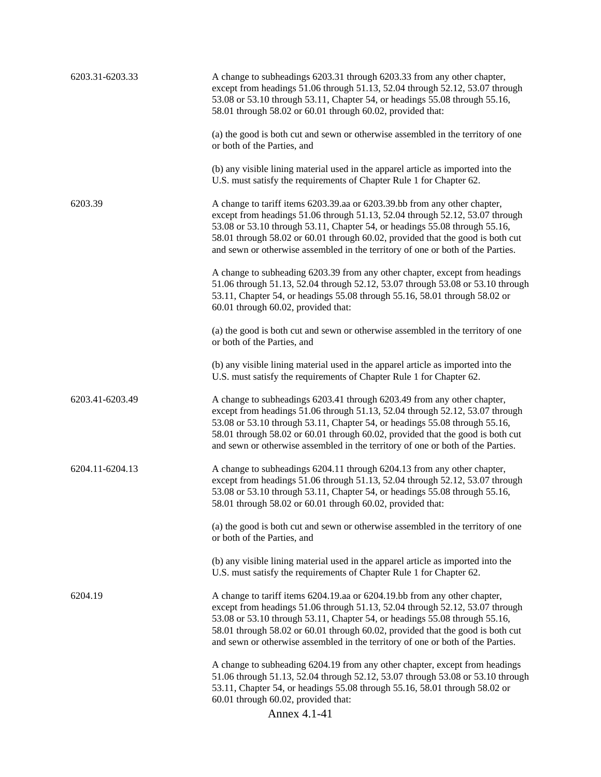| 6203.31-6203.33 | A change to subheadings 6203.31 through 6203.33 from any other chapter,<br>except from headings 51.06 through 51.13, 52.04 through 52.12, 53.07 through<br>53.08 or 53.10 through 53.11, Chapter 54, or headings 55.08 through 55.16,<br>58.01 through 58.02 or 60.01 through 60.02, provided that:                                                                                                          |
|-----------------|--------------------------------------------------------------------------------------------------------------------------------------------------------------------------------------------------------------------------------------------------------------------------------------------------------------------------------------------------------------------------------------------------------------|
|                 | (a) the good is both cut and sewn or otherwise assembled in the territory of one<br>or both of the Parties, and                                                                                                                                                                                                                                                                                              |
|                 | (b) any visible lining material used in the apparel article as imported into the<br>U.S. must satisfy the requirements of Chapter Rule 1 for Chapter 62.                                                                                                                                                                                                                                                     |
| 6203.39         | A change to tariff items 6203.39.aa or 6203.39.bb from any other chapter,<br>except from headings 51.06 through 51.13, 52.04 through 52.12, 53.07 through<br>53.08 or 53.10 through 53.11, Chapter 54, or headings 55.08 through 55.16,<br>58.01 through 58.02 or 60.01 through 60.02, provided that the good is both cut<br>and sewn or otherwise assembled in the territory of one or both of the Parties. |
|                 | A change to subheading 6203.39 from any other chapter, except from headings<br>51.06 through 51.13, 52.04 through 52.12, 53.07 through 53.08 or 53.10 through<br>53.11, Chapter 54, or headings 55.08 through 55.16, 58.01 through 58.02 or<br>60.01 through 60.02, provided that:                                                                                                                           |
|                 | (a) the good is both cut and sewn or otherwise assembled in the territory of one<br>or both of the Parties, and                                                                                                                                                                                                                                                                                              |
|                 | (b) any visible lining material used in the apparel article as imported into the<br>U.S. must satisfy the requirements of Chapter Rule 1 for Chapter 62.                                                                                                                                                                                                                                                     |
| 6203.41-6203.49 | A change to subheadings 6203.41 through 6203.49 from any other chapter,<br>except from headings 51.06 through 51.13, 52.04 through 52.12, 53.07 through<br>53.08 or 53.10 through 53.11, Chapter 54, or headings 55.08 through 55.16,<br>58.01 through 58.02 or 60.01 through 60.02, provided that the good is both cut<br>and sewn or otherwise assembled in the territory of one or both of the Parties.   |
| 6204.11-6204.13 | A change to subheadings 6204.11 through 6204.13 from any other chapter,<br>except from headings 51.06 through 51.13, 52.04 through 52.12, 53.07 through<br>53.08 or 53.10 through 53.11, Chapter 54, or headings 55.08 through 55.16,<br>58.01 through 58.02 or 60.01 through 60.02, provided that:                                                                                                          |
|                 | (a) the good is both cut and sewn or otherwise assembled in the territory of one<br>or both of the Parties, and                                                                                                                                                                                                                                                                                              |
|                 | (b) any visible lining material used in the apparel article as imported into the<br>U.S. must satisfy the requirements of Chapter Rule 1 for Chapter 62.                                                                                                                                                                                                                                                     |
| 6204.19         | A change to tariff items 6204.19.aa or 6204.19.bb from any other chapter,<br>except from headings 51.06 through 51.13, 52.04 through 52.12, 53.07 through<br>53.08 or 53.10 through 53.11, Chapter 54, or headings 55.08 through 55.16,<br>58.01 through 58.02 or 60.01 through 60.02, provided that the good is both cut<br>and sewn or otherwise assembled in the territory of one or both of the Parties. |
|                 | A change to subheading 6204.19 from any other chapter, except from headings<br>51.06 through 51.13, 52.04 through 52.12, 53.07 through 53.08 or 53.10 through<br>53.11, Chapter 54, or headings 55.08 through 55.16, 58.01 through 58.02 or<br>60.01 through 60.02, provided that:                                                                                                                           |
|                 | Annex 4.1-41                                                                                                                                                                                                                                                                                                                                                                                                 |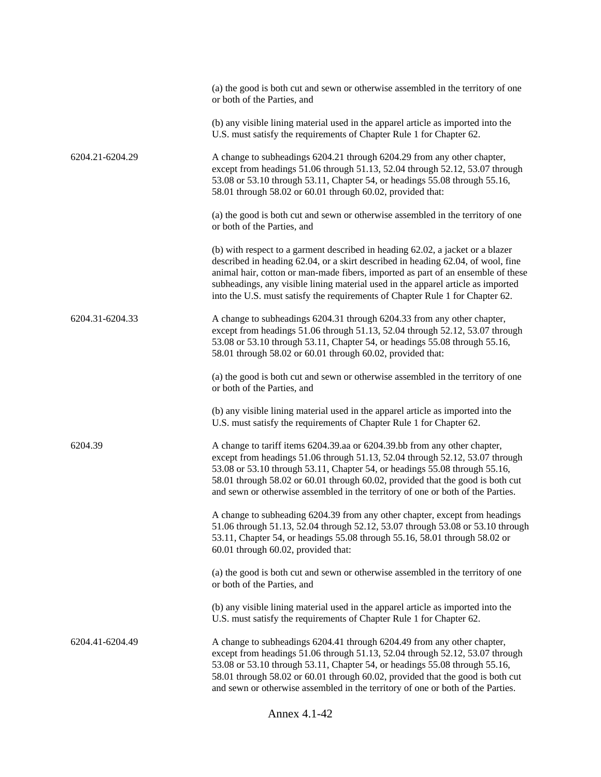|                 | (a) the good is both cut and sewn or otherwise assembled in the territory of one<br>or both of the Parties, and                                                                                                                                                                                                                                                                                                             |
|-----------------|-----------------------------------------------------------------------------------------------------------------------------------------------------------------------------------------------------------------------------------------------------------------------------------------------------------------------------------------------------------------------------------------------------------------------------|
|                 | (b) any visible lining material used in the apparel article as imported into the<br>U.S. must satisfy the requirements of Chapter Rule 1 for Chapter 62.                                                                                                                                                                                                                                                                    |
| 6204.21-6204.29 | A change to subheadings 6204.21 through 6204.29 from any other chapter,<br>except from headings 51.06 through 51.13, 52.04 through 52.12, 53.07 through<br>53.08 or 53.10 through 53.11, Chapter 54, or headings 55.08 through 55.16,<br>58.01 through 58.02 or 60.01 through 60.02, provided that:                                                                                                                         |
|                 | (a) the good is both cut and sewn or otherwise assembled in the territory of one<br>or both of the Parties, and                                                                                                                                                                                                                                                                                                             |
|                 | (b) with respect to a garment described in heading 62.02, a jacket or a blazer<br>described in heading 62.04, or a skirt described in heading 62.04, of wool, fine<br>animal hair, cotton or man-made fibers, imported as part of an ensemble of these<br>subheadings, any visible lining material used in the apparel article as imported<br>into the U.S. must satisfy the requirements of Chapter Rule 1 for Chapter 62. |
| 6204.31-6204.33 | A change to subheadings 6204.31 through 6204.33 from any other chapter,<br>except from headings 51.06 through 51.13, 52.04 through 52.12, 53.07 through<br>53.08 or 53.10 through 53.11, Chapter 54, or headings 55.08 through 55.16,<br>58.01 through 58.02 or 60.01 through 60.02, provided that:                                                                                                                         |
|                 | (a) the good is both cut and sewn or otherwise assembled in the territory of one<br>or both of the Parties, and                                                                                                                                                                                                                                                                                                             |
|                 | (b) any visible lining material used in the apparel article as imported into the<br>U.S. must satisfy the requirements of Chapter Rule 1 for Chapter 62.                                                                                                                                                                                                                                                                    |
| 6204.39         | A change to tariff items 6204.39.aa or 6204.39.bb from any other chapter,<br>except from headings 51.06 through 51.13, 52.04 through 52.12, 53.07 through<br>53.08 or 53.10 through 53.11, Chapter 54, or headings 55.08 through 55.16,<br>58.01 through 58.02 or 60.01 through 60.02, provided that the good is both cut<br>and sewn or otherwise assembled in the territory of one or both of the Parties.                |
|                 | A change to subheading 6204.39 from any other chapter, except from headings<br>51.06 through 51.13, 52.04 through 52.12, 53.07 through 53.08 or 53.10 through<br>53.11, Chapter 54, or headings 55.08 through 55.16, 58.01 through 58.02 or<br>60.01 through 60.02, provided that:                                                                                                                                          |
|                 | (a) the good is both cut and sewn or otherwise assembled in the territory of one<br>or both of the Parties, and                                                                                                                                                                                                                                                                                                             |
|                 | (b) any visible lining material used in the apparel article as imported into the<br>U.S. must satisfy the requirements of Chapter Rule 1 for Chapter 62.                                                                                                                                                                                                                                                                    |
| 6204.41-6204.49 | A change to subheadings 6204.41 through 6204.49 from any other chapter,<br>except from headings 51.06 through 51.13, 52.04 through 52.12, 53.07 through<br>53.08 or 53.10 through 53.11, Chapter 54, or headings 55.08 through 55.16,<br>58.01 through 58.02 or 60.01 through 60.02, provided that the good is both cut<br>and sewn or otherwise assembled in the territory of one or both of the Parties.                  |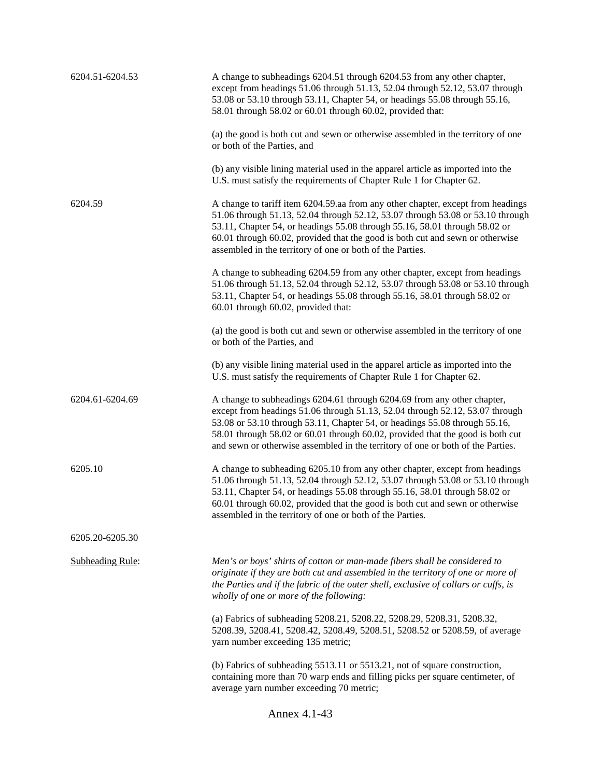| 6204.51-6204.53         | A change to subheadings 6204.51 through 6204.53 from any other chapter,<br>except from headings 51.06 through 51.13, 52.04 through 52.12, 53.07 through<br>53.08 or 53.10 through 53.11, Chapter 54, or headings 55.08 through 55.16,<br>58.01 through 58.02 or 60.01 through 60.02, provided that:                                                                                                        |  |
|-------------------------|------------------------------------------------------------------------------------------------------------------------------------------------------------------------------------------------------------------------------------------------------------------------------------------------------------------------------------------------------------------------------------------------------------|--|
|                         | (a) the good is both cut and sewn or otherwise assembled in the territory of one<br>or both of the Parties, and                                                                                                                                                                                                                                                                                            |  |
|                         | (b) any visible lining material used in the apparel article as imported into the<br>U.S. must satisfy the requirements of Chapter Rule 1 for Chapter 62.                                                                                                                                                                                                                                                   |  |
| 6204.59                 | A change to tariff item 6204.59.aa from any other chapter, except from headings<br>51.06 through 51.13, 52.04 through 52.12, 53.07 through 53.08 or 53.10 through<br>53.11, Chapter 54, or headings 55.08 through 55.16, 58.01 through 58.02 or<br>60.01 through 60.02, provided that the good is both cut and sewn or otherwise<br>assembled in the territory of one or both of the Parties.              |  |
|                         | A change to subheading 6204.59 from any other chapter, except from headings<br>51.06 through 51.13, 52.04 through 52.12, 53.07 through 53.08 or 53.10 through<br>53.11, Chapter 54, or headings 55.08 through 55.16, 58.01 through 58.02 or<br>60.01 through 60.02, provided that:                                                                                                                         |  |
|                         | (a) the good is both cut and sewn or otherwise assembled in the territory of one<br>or both of the Parties, and                                                                                                                                                                                                                                                                                            |  |
|                         | (b) any visible lining material used in the apparel article as imported into the<br>U.S. must satisfy the requirements of Chapter Rule 1 for Chapter 62.                                                                                                                                                                                                                                                   |  |
| 6204.61-6204.69         | A change to subheadings 6204.61 through 6204.69 from any other chapter,<br>except from headings 51.06 through 51.13, 52.04 through 52.12, 53.07 through<br>53.08 or 53.10 through 53.11, Chapter 54, or headings 55.08 through 55.16,<br>58.01 through 58.02 or 60.01 through 60.02, provided that the good is both cut<br>and sewn or otherwise assembled in the territory of one or both of the Parties. |  |
| 6205.10                 | A change to subheading 6205.10 from any other chapter, except from headings<br>51.06 through 51.13, 52.04 through 52.12, 53.07 through 53.08 or 53.10 through<br>53.11, Chapter 54, or headings 55.08 through 55.16, 58.01 through 58.02 or<br>60.01 through 60.02, provided that the good is both cut and sewn or otherwise<br>assembled in the territory of one or both of the Parties.                  |  |
| 6205.20-6205.30         |                                                                                                                                                                                                                                                                                                                                                                                                            |  |
| <b>Subheading Rule:</b> | Men's or boys' shirts of cotton or man-made fibers shall be considered to<br>originate if they are both cut and assembled in the territory of one or more of<br>the Parties and if the fabric of the outer shell, exclusive of collars or cuffs, is<br>wholly of one or more of the following:                                                                                                             |  |
|                         | (a) Fabrics of subheading 5208.21, 5208.22, 5208.29, 5208.31, 5208.32,<br>5208.39, 5208.41, 5208.42, 5208.49, 5208.51, 5208.52 or 5208.59, of average<br>yarn number exceeding 135 metric;                                                                                                                                                                                                                 |  |
|                         | (b) Fabrics of subheading 5513.11 or 5513.21, not of square construction,<br>containing more than 70 warp ends and filling picks per square centimeter, of<br>average yarn number exceeding 70 metric;                                                                                                                                                                                                     |  |
| Annex 4.1-43            |                                                                                                                                                                                                                                                                                                                                                                                                            |  |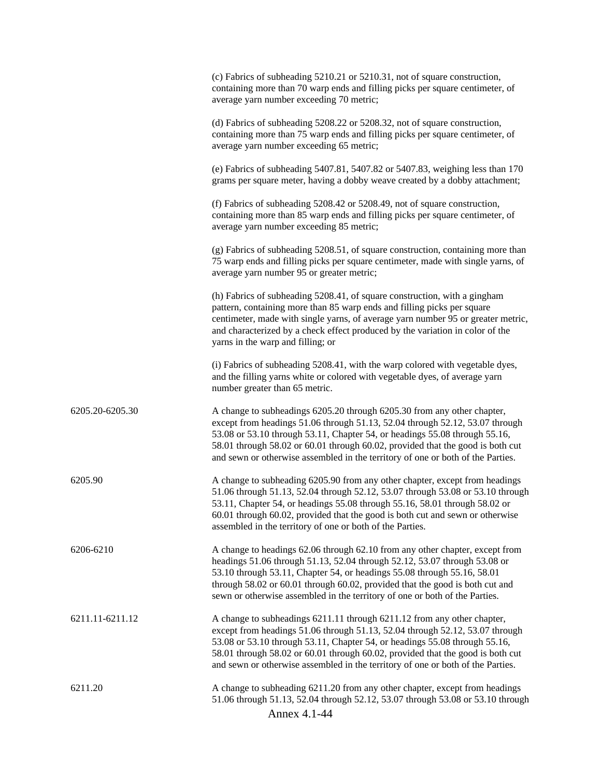|                 | (c) Fabrics of subheading 5210.21 or 5210.31, not of square construction,<br>containing more than 70 warp ends and filling picks per square centimeter, of<br>average yarn number exceeding 70 metric;                                                                                                                                                                                                     |
|-----------------|------------------------------------------------------------------------------------------------------------------------------------------------------------------------------------------------------------------------------------------------------------------------------------------------------------------------------------------------------------------------------------------------------------|
|                 | (d) Fabrics of subheading 5208.22 or 5208.32, not of square construction,<br>containing more than 75 warp ends and filling picks per square centimeter, of<br>average yarn number exceeding 65 metric;                                                                                                                                                                                                     |
|                 | (e) Fabrics of subheading $5407.81$ , $5407.82$ or $5407.83$ , weighing less than 170<br>grams per square meter, having a dobby weave created by a dobby attachment;                                                                                                                                                                                                                                       |
|                 | (f) Fabrics of subheading 5208.42 or 5208.49, not of square construction,<br>containing more than 85 warp ends and filling picks per square centimeter, of<br>average yarn number exceeding 85 metric;                                                                                                                                                                                                     |
|                 | (g) Fabrics of subheading 5208.51, of square construction, containing more than<br>75 warp ends and filling picks per square centimeter, made with single yarns, of<br>average yarn number 95 or greater metric;                                                                                                                                                                                           |
|                 | (h) Fabrics of subheading 5208.41, of square construction, with a gingham<br>pattern, containing more than 85 warp ends and filling picks per square<br>centimeter, made with single yarns, of average yarn number 95 or greater metric,<br>and characterized by a check effect produced by the variation in color of the<br>yarns in the warp and filling; or                                             |
|                 | (i) Fabrics of subheading 5208.41, with the warp colored with vegetable dyes,<br>and the filling yarns white or colored with vegetable dyes, of average yarn<br>number greater than 65 metric.                                                                                                                                                                                                             |
| 6205.20-6205.30 | A change to subheadings 6205.20 through 6205.30 from any other chapter,<br>except from headings 51.06 through 51.13, 52.04 through 52.12, 53.07 through<br>53.08 or 53.10 through 53.11, Chapter 54, or headings 55.08 through 55.16,<br>58.01 through 58.02 or 60.01 through 60.02, provided that the good is both cut<br>and sewn or otherwise assembled in the territory of one or both of the Parties. |
| 6205.90         | A change to subheading 6205.90 from any other chapter, except from headings<br>51.06 through 51.13, 52.04 through 52.12, 53.07 through 53.08 or 53.10 through<br>53.11, Chapter 54, or headings 55.08 through 55.16, 58.01 through 58.02 or<br>60.01 through 60.02, provided that the good is both cut and sewn or otherwise<br>assembled in the territory of one or both of the Parties.                  |
| 6206-6210       | A change to headings 62.06 through 62.10 from any other chapter, except from<br>headings 51.06 through 51.13, 52.04 through 52.12, 53.07 through 53.08 or<br>53.10 through 53.11, Chapter 54, or headings 55.08 through 55.16, 58.01<br>through 58.02 or 60.01 through 60.02, provided that the good is both cut and<br>sewn or otherwise assembled in the territory of one or both of the Parties.        |
| 6211.11-6211.12 | A change to subheadings 6211.11 through 6211.12 from any other chapter,<br>except from headings 51.06 through 51.13, 52.04 through 52.12, 53.07 through<br>53.08 or 53.10 through 53.11, Chapter 54, or headings 55.08 through 55.16,<br>58.01 through 58.02 or 60.01 through 60.02, provided that the good is both cut<br>and sewn or otherwise assembled in the territory of one or both of the Parties. |
| 6211.20         | A change to subheading 6211.20 from any other chapter, except from headings<br>51.06 through 51.13, 52.04 through 52.12, 53.07 through 53.08 or 53.10 through<br>Annex 4.1-44                                                                                                                                                                                                                              |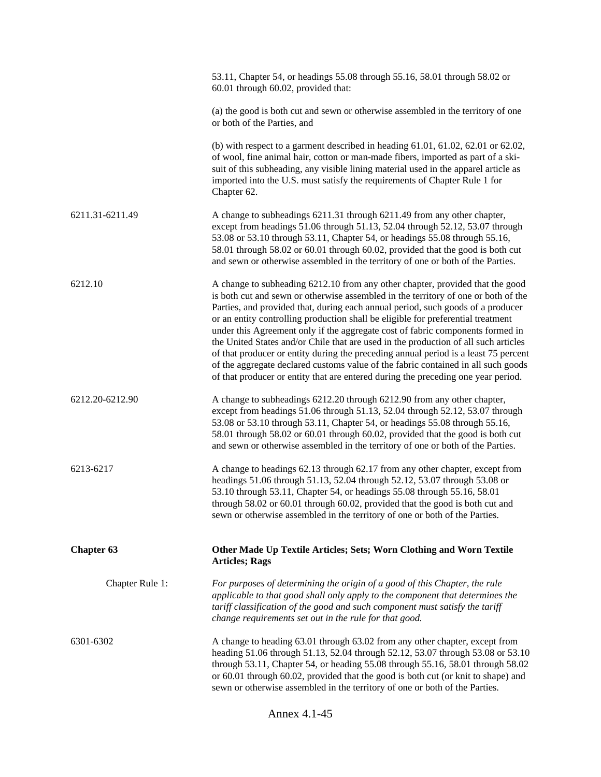|                   | 53.11, Chapter 54, or headings 55.08 through 55.16, 58.01 through 58.02 or<br>60.01 through 60.02, provided that:                                                                                                                                                                                                                                                                                                                                                                                                                                                                                                                                                                                                                                                                    |
|-------------------|--------------------------------------------------------------------------------------------------------------------------------------------------------------------------------------------------------------------------------------------------------------------------------------------------------------------------------------------------------------------------------------------------------------------------------------------------------------------------------------------------------------------------------------------------------------------------------------------------------------------------------------------------------------------------------------------------------------------------------------------------------------------------------------|
|                   | (a) the good is both cut and sewn or otherwise assembled in the territory of one<br>or both of the Parties, and                                                                                                                                                                                                                                                                                                                                                                                                                                                                                                                                                                                                                                                                      |
|                   | (b) with respect to a garment described in heading $61.01$ , $61.02$ , $62.01$ or $62.02$ ,<br>of wool, fine animal hair, cotton or man-made fibers, imported as part of a ski-<br>suit of this subheading, any visible lining material used in the apparel article as<br>imported into the U.S. must satisfy the requirements of Chapter Rule 1 for<br>Chapter 62.                                                                                                                                                                                                                                                                                                                                                                                                                  |
| 6211.31-6211.49   | A change to subheadings 6211.31 through 6211.49 from any other chapter,<br>except from headings 51.06 through 51.13, 52.04 through 52.12, 53.07 through<br>53.08 or 53.10 through 53.11, Chapter 54, or headings 55.08 through 55.16,<br>58.01 through 58.02 or 60.01 through 60.02, provided that the good is both cut<br>and sewn or otherwise assembled in the territory of one or both of the Parties.                                                                                                                                                                                                                                                                                                                                                                           |
| 6212.10           | A change to subheading 6212.10 from any other chapter, provided that the good<br>is both cut and sewn or otherwise assembled in the territory of one or both of the<br>Parties, and provided that, during each annual period, such goods of a producer<br>or an entity controlling production shall be eligible for preferential treatment<br>under this Agreement only if the aggregate cost of fabric components formed in<br>the United States and/or Chile that are used in the production of all such articles<br>of that producer or entity during the preceding annual period is a least 75 percent<br>of the aggregate declared customs value of the fabric contained in all such goods<br>of that producer or entity that are entered during the preceding one year period. |
| 6212.20-6212.90   | A change to subheadings 6212.20 through 6212.90 from any other chapter,<br>except from headings 51.06 through 51.13, 52.04 through 52.12, 53.07 through<br>53.08 or 53.10 through 53.11, Chapter 54, or headings 55.08 through 55.16,<br>58.01 through 58.02 or 60.01 through 60.02, provided that the good is both cut<br>and sewn or otherwise assembled in the territory of one or both of the Parties.                                                                                                                                                                                                                                                                                                                                                                           |
| 6213-6217         | A change to headings 62.13 through 62.17 from any other chapter, except from<br>headings 51.06 through 51.13, 52.04 through 52.12, 53.07 through 53.08 or<br>53.10 through 53.11, Chapter 54, or headings 55.08 through 55.16, 58.01<br>through 58.02 or 60.01 through 60.02, provided that the good is both cut and<br>sewn or otherwise assembled in the territory of one or both of the Parties.                                                                                                                                                                                                                                                                                                                                                                                  |
| <b>Chapter 63</b> | Other Made Up Textile Articles; Sets; Worn Clothing and Worn Textile<br><b>Articles; Rags</b>                                                                                                                                                                                                                                                                                                                                                                                                                                                                                                                                                                                                                                                                                        |
| Chapter Rule 1:   | For purposes of determining the origin of a good of this Chapter, the rule<br>applicable to that good shall only apply to the component that determines the<br>tariff classification of the good and such component must satisfy the tariff<br>change requirements set out in the rule for that good.                                                                                                                                                                                                                                                                                                                                                                                                                                                                                |
| 6301-6302         | A change to heading 63.01 through 63.02 from any other chapter, except from<br>heading 51.06 through 51.13, 52.04 through 52.12, 53.07 through 53.08 or 53.10<br>through 53.11, Chapter 54, or heading 55.08 through 55.16, 58.01 through 58.02<br>or 60.01 through 60.02, provided that the good is both cut (or knit to shape) and<br>sewn or otherwise assembled in the territory of one or both of the Parties.                                                                                                                                                                                                                                                                                                                                                                  |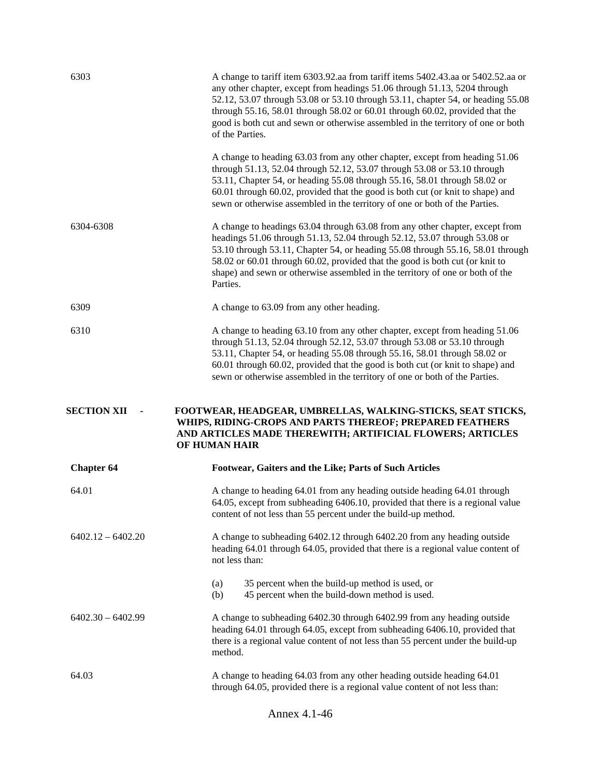| 6303                | A change to tariff item 6303.92.aa from tariff items 5402.43.aa or 5402.52.aa or<br>any other chapter, except from headings 51.06 through 51.13, 5204 through<br>52.12, 53.07 through 53.08 or 53.10 through 53.11, chapter 54, or heading 55.08<br>through 55.16, 58.01 through 58.02 or 60.01 through 60.02, provided that the<br>good is both cut and sewn or otherwise assembled in the territory of one or both<br>of the Parties. |
|---------------------|-----------------------------------------------------------------------------------------------------------------------------------------------------------------------------------------------------------------------------------------------------------------------------------------------------------------------------------------------------------------------------------------------------------------------------------------|
|                     | A change to heading 63.03 from any other chapter, except from heading 51.06<br>through 51.13, 52.04 through 52.12, 53.07 through 53.08 or 53.10 through<br>53.11, Chapter 54, or heading 55.08 through 55.16, 58.01 through 58.02 or<br>60.01 through 60.02, provided that the good is both cut (or knit to shape) and<br>sewn or otherwise assembled in the territory of one or both of the Parties.                                   |
| 6304-6308           | A change to headings 63.04 through 63.08 from any other chapter, except from<br>headings 51.06 through 51.13, 52.04 through 52.12, 53.07 through 53.08 or<br>53.10 through 53.11, Chapter 54, or heading 55.08 through 55.16, 58.01 through<br>58.02 or 60.01 through 60.02, provided that the good is both cut (or knit to<br>shape) and sewn or otherwise assembled in the territory of one or both of the<br>Parties.                |
| 6309                | A change to 63.09 from any other heading.                                                                                                                                                                                                                                                                                                                                                                                               |
| 6310                | A change to heading 63.10 from any other chapter, except from heading 51.06<br>through 51.13, 52.04 through 52.12, 53.07 through 53.08 or 53.10 through<br>53.11, Chapter 54, or heading 55.08 through 55.16, 58.01 through 58.02 or<br>60.01 through 60.02, provided that the good is both cut (or knit to shape) and<br>sewn or otherwise assembled in the territory of one or both of the Parties.                                   |
|                     |                                                                                                                                                                                                                                                                                                                                                                                                                                         |
| <b>SECTION XII</b>  | FOOTWEAR, HEADGEAR, UMBRELLAS, WALKING-STICKS, SEAT STICKS,<br>WHIPS, RIDING-CROPS AND PARTS THEREOF; PREPARED FEATHERS<br>AND ARTICLES MADE THEREWITH; ARTIFICIAL FLOWERS; ARTICLES<br>OF HUMAN HAIR                                                                                                                                                                                                                                   |
| <b>Chapter 64</b>   | Footwear, Gaiters and the Like; Parts of Such Articles                                                                                                                                                                                                                                                                                                                                                                                  |
| 64.01               | A change to heading 64.01 from any heading outside heading 64.01 through<br>64.05, except from subheading 6406.10, provided that there is a regional value<br>content of not less than 55 percent under the build-up method.                                                                                                                                                                                                            |
| $6402.12 - 6402.20$ | A change to subheading 6402.12 through 6402.20 from any heading outside<br>heading 64.01 through 64.05, provided that there is a regional value content of<br>not less than:                                                                                                                                                                                                                                                            |
|                     | 35 percent when the build-up method is used, or<br>(a)<br>(b)<br>45 percent when the build-down method is used.                                                                                                                                                                                                                                                                                                                         |
| $6402.30 - 6402.99$ | A change to subheading 6402.30 through 6402.99 from any heading outside<br>heading 64.01 through 64.05, except from subheading 6406.10, provided that<br>there is a regional value content of not less than 55 percent under the build-up<br>method.                                                                                                                                                                                    |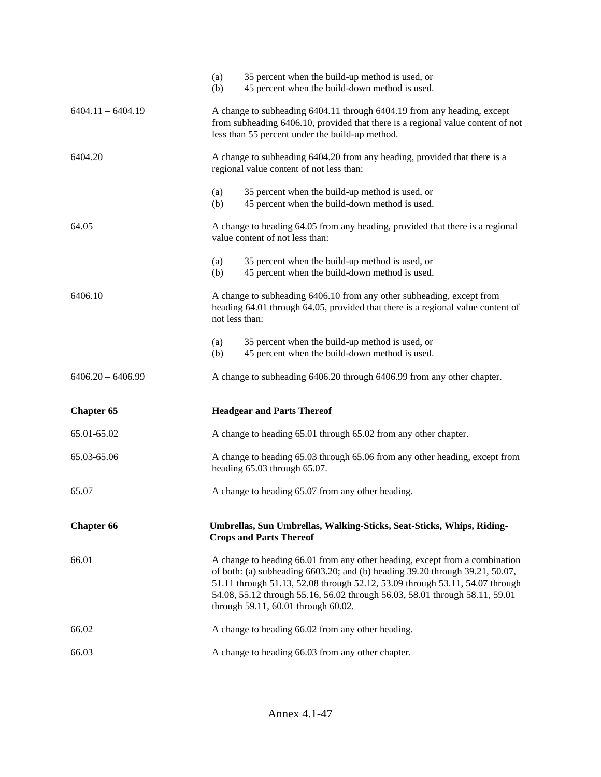|                     | 35 percent when the build-up method is used, or<br>(a)<br>45 percent when the build-down method is used.<br>(b)                                                                                                                                                                                                                                                   |  |
|---------------------|-------------------------------------------------------------------------------------------------------------------------------------------------------------------------------------------------------------------------------------------------------------------------------------------------------------------------------------------------------------------|--|
| $6404.11 - 6404.19$ | A change to subheading 6404.11 through 6404.19 from any heading, except<br>from subheading 6406.10, provided that there is a regional value content of not<br>less than 55 percent under the build-up method.                                                                                                                                                     |  |
| 6404.20             | A change to subheading 6404.20 from any heading, provided that there is a<br>regional value content of not less than:                                                                                                                                                                                                                                             |  |
|                     | 35 percent when the build-up method is used, or<br>(a)<br>45 percent when the build-down method is used.<br>(b)                                                                                                                                                                                                                                                   |  |
| 64.05               | A change to heading 64.05 from any heading, provided that there is a regional<br>value content of not less than:                                                                                                                                                                                                                                                  |  |
|                     | 35 percent when the build-up method is used, or<br>(a)<br>45 percent when the build-down method is used.<br>(b)                                                                                                                                                                                                                                                   |  |
| 6406.10             | A change to subheading 6406.10 from any other subheading, except from<br>heading 64.01 through 64.05, provided that there is a regional value content of<br>not less than:                                                                                                                                                                                        |  |
|                     | 35 percent when the build-up method is used, or<br>(a)<br>45 percent when the build-down method is used.<br>(b)                                                                                                                                                                                                                                                   |  |
| $6406.20 - 6406.99$ | A change to subheading 6406.20 through 6406.99 from any other chapter.                                                                                                                                                                                                                                                                                            |  |
| <b>Chapter 65</b>   | <b>Headgear and Parts Thereof</b>                                                                                                                                                                                                                                                                                                                                 |  |
| 65.01-65.02         | A change to heading 65.01 through 65.02 from any other chapter.                                                                                                                                                                                                                                                                                                   |  |
| 65.03-65.06         | A change to heading 65.03 through 65.06 from any other heading, except from<br>heading 65.03 through 65.07.                                                                                                                                                                                                                                                       |  |
| 65.07               | A change to heading 65.07 from any other heading.                                                                                                                                                                                                                                                                                                                 |  |
| <b>Chapter 66</b>   | Umbrellas, Sun Umbrellas, Walking-Sticks, Seat-Sticks, Whips, Riding-<br><b>Crops and Parts Thereof</b>                                                                                                                                                                                                                                                           |  |
| 66.01               | A change to heading 66.01 from any other heading, except from a combination<br>of both: (a) subheading 6603.20; and (b) heading 39.20 through 39.21, 50.07,<br>51.11 through 51.13, 52.08 through 52.12, 53.09 through 53.11, 54.07 through<br>54.08, 55.12 through 55.16, 56.02 through 56.03, 58.01 through 58.11, 59.01<br>through 59.11, 60.01 through 60.02. |  |
| 66.02               | A change to heading 66.02 from any other heading.                                                                                                                                                                                                                                                                                                                 |  |
| 66.03               | A change to heading 66.03 from any other chapter.                                                                                                                                                                                                                                                                                                                 |  |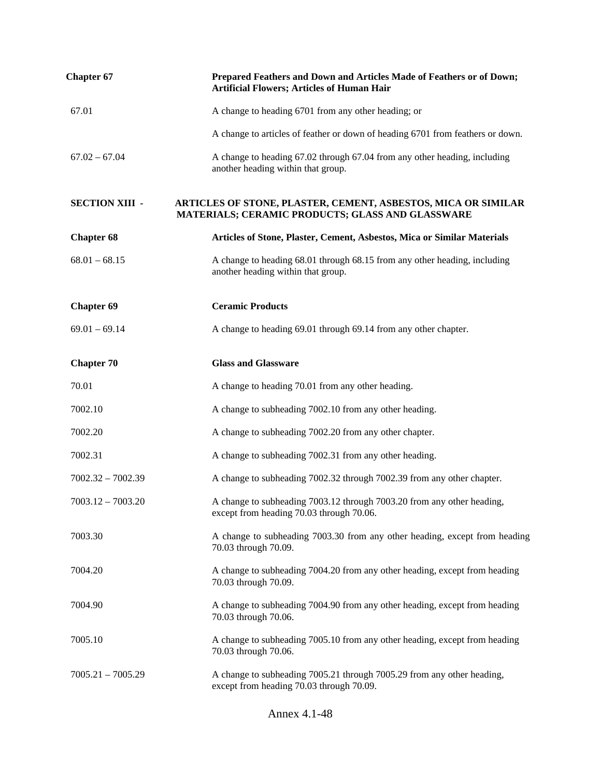| <b>Chapter 67</b>     | Prepared Feathers and Down and Articles Made of Feathers or of Down;<br><b>Artificial Flowers; Articles of Human Hair</b> |
|-----------------------|---------------------------------------------------------------------------------------------------------------------------|
| 67.01                 | A change to heading 6701 from any other heading; or                                                                       |
|                       | A change to articles of feather or down of heading 6701 from feathers or down.                                            |
| $67.02 - 67.04$       | A change to heading 67.02 through 67.04 from any other heading, including<br>another heading within that group.           |
| <b>SECTION XIII -</b> | ARTICLES OF STONE, PLASTER, CEMENT, ASBESTOS, MICA OR SIMILAR<br>MATERIALS; CERAMIC PRODUCTS; GLASS AND GLASSWARE         |
| <b>Chapter 68</b>     | Articles of Stone, Plaster, Cement, Asbestos, Mica or Similar Materials                                                   |
| $68.01 - 68.15$       | A change to heading 68.01 through 68.15 from any other heading, including<br>another heading within that group.           |
| <b>Chapter 69</b>     | <b>Ceramic Products</b>                                                                                                   |
| $69.01 - 69.14$       | A change to heading 69.01 through 69.14 from any other chapter.                                                           |
| <b>Chapter 70</b>     | <b>Glass and Glassware</b>                                                                                                |
| 70.01                 | A change to heading 70.01 from any other heading.                                                                         |
| 7002.10               | A change to subheading 7002.10 from any other heading.                                                                    |
| 7002.20               | A change to subheading 7002.20 from any other chapter.                                                                    |
| 7002.31               | A change to subheading 7002.31 from any other heading.                                                                    |
| $7002.32 - 7002.39$   | A change to subheading 7002.32 through 7002.39 from any other chapter.                                                    |
| $7003.12 - 7003.20$   | A change to subheading 7003.12 through 7003.20 from any other heading,<br>except from heading 70.03 through 70.06.        |
| 7003.30               | A change to subheading 7003.30 from any other heading, except from heading<br>70.03 through 70.09.                        |
| 7004.20               | A change to subheading 7004.20 from any other heading, except from heading<br>70.03 through 70.09.                        |
| 7004.90               | A change to subheading 7004.90 from any other heading, except from heading<br>70.03 through 70.06.                        |
| 7005.10               | A change to subheading 7005.10 from any other heading, except from heading<br>70.03 through 70.06.                        |
| $7005.21 - 7005.29$   | A change to subheading 7005.21 through 7005.29 from any other heading,<br>except from heading 70.03 through 70.09.        |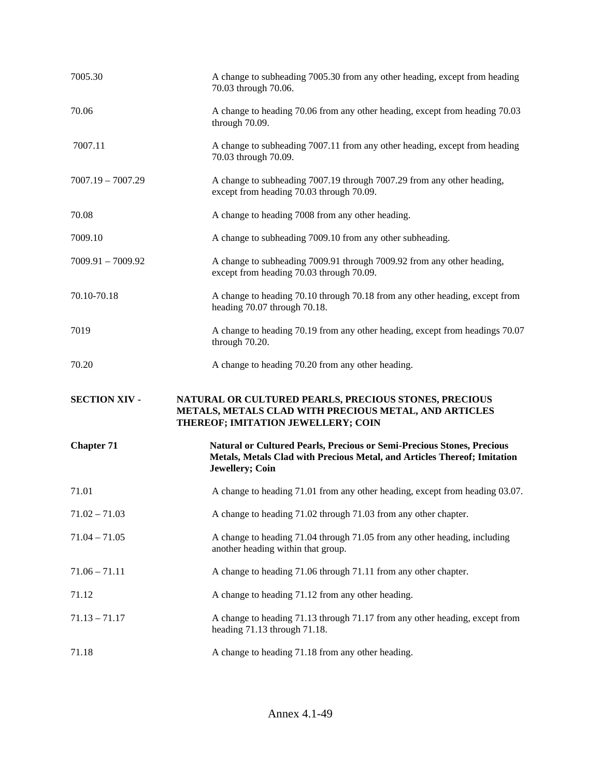| 7005.30              | A change to subheading 7005.30 from any other heading, except from heading<br>70.03 through 70.06.                                                                    |
|----------------------|-----------------------------------------------------------------------------------------------------------------------------------------------------------------------|
| 70.06                | A change to heading 70.06 from any other heading, except from heading 70.03<br>through 70.09.                                                                         |
| 7007.11              | A change to subheading 7007.11 from any other heading, except from heading<br>70.03 through 70.09.                                                                    |
| $7007.19 - 7007.29$  | A change to subheading 7007.19 through 7007.29 from any other heading,<br>except from heading 70.03 through 70.09.                                                    |
| 70.08                | A change to heading 7008 from any other heading.                                                                                                                      |
| 7009.10              | A change to subheading 7009.10 from any other subheading.                                                                                                             |
| $7009.91 - 7009.92$  | A change to subheading 7009.91 through 7009.92 from any other heading,<br>except from heading 70.03 through 70.09.                                                    |
| 70.10-70.18          | A change to heading 70.10 through 70.18 from any other heading, except from<br>heading 70.07 through 70.18.                                                           |
| 7019                 | A change to heading 70.19 from any other heading, except from headings 70.07<br>through 70.20.                                                                        |
| 70.20                |                                                                                                                                                                       |
|                      | A change to heading 70.20 from any other heading.                                                                                                                     |
| <b>SECTION XIV -</b> | NATURAL OR CULTURED PEARLS, PRECIOUS STONES, PRECIOUS<br>METALS, METALS CLAD WITH PRECIOUS METAL, AND ARTICLES<br>THEREOF; IMITATION JEWELLERY; COIN                  |
| <b>Chapter 71</b>    | Natural or Cultured Pearls, Precious or Semi-Precious Stones, Precious<br>Metals, Metals Clad with Precious Metal, and Articles Thereof; Imitation<br>Jewellery; Coin |
| 71.01                | A change to heading 71.01 from any other heading, except from heading 03.07.                                                                                          |
| $71.02 - 71.03$      | A change to heading 71.02 through 71.03 from any other chapter.                                                                                                       |
| $71.04 - 71.05$      | A change to heading 71.04 through 71.05 from any other heading, including<br>another heading within that group.                                                       |
| $71.06 - 71.11$      | A change to heading 71.06 through 71.11 from any other chapter.                                                                                                       |
| 71.12                | A change to heading 71.12 from any other heading.                                                                                                                     |
| $71.13 - 71.17$      | A change to heading 71.13 through 71.17 from any other heading, except from<br>heading 71.13 through 71.18.                                                           |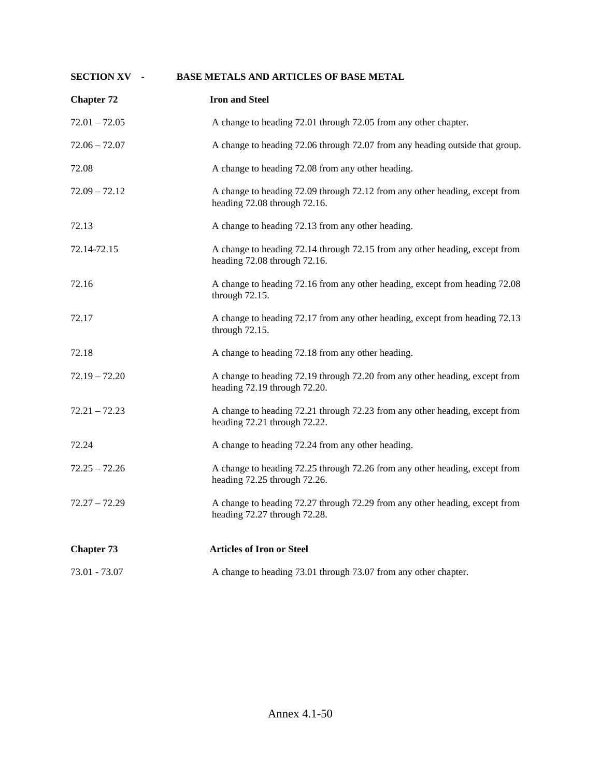| <b>SECTION XV -</b> | <b>BASE METALS AND ARTICLES OF BASE METAL</b>                                                               |
|---------------------|-------------------------------------------------------------------------------------------------------------|
| <b>Chapter 72</b>   | <b>Iron and Steel</b>                                                                                       |
| $72.01 - 72.05$     | A change to heading 72.01 through 72.05 from any other chapter.                                             |
| $72.06 - 72.07$     | A change to heading 72.06 through 72.07 from any heading outside that group.                                |
| 72.08               | A change to heading 72.08 from any other heading.                                                           |
| $72.09 - 72.12$     | A change to heading 72.09 through 72.12 from any other heading, except from<br>heading 72.08 through 72.16. |
| 72.13               | A change to heading 72.13 from any other heading.                                                           |
| 72.14-72.15         | A change to heading 72.14 through 72.15 from any other heading, except from<br>heading 72.08 through 72.16. |
| 72.16               | A change to heading 72.16 from any other heading, except from heading 72.08<br>through 72.15.               |
| 72.17               | A change to heading 72.17 from any other heading, except from heading 72.13<br>through 72.15.               |
| 72.18               | A change to heading 72.18 from any other heading.                                                           |
| $72.19 - 72.20$     | A change to heading 72.19 through 72.20 from any other heading, except from<br>heading 72.19 through 72.20. |
| 72.21 – 72.23       | A change to heading 72.21 through 72.23 from any other heading, except from<br>heading 72.21 through 72.22. |
| 72.24               | A change to heading 72.24 from any other heading.                                                           |
| $72.25 - 72.26$     | A change to heading 72.25 through 72.26 from any other heading, except from<br>heading 72.25 through 72.26. |
| $72.27 - 72.29$     | A change to heading 72.27 through 72.29 from any other heading, except from<br>heading 72.27 through 72.28. |
| <b>Chapter 73</b>   | <b>Articles of Iron or Steel</b>                                                                            |
| 73.01 - 73.07       | A change to heading 73.01 through 73.07 from any other chapter.                                             |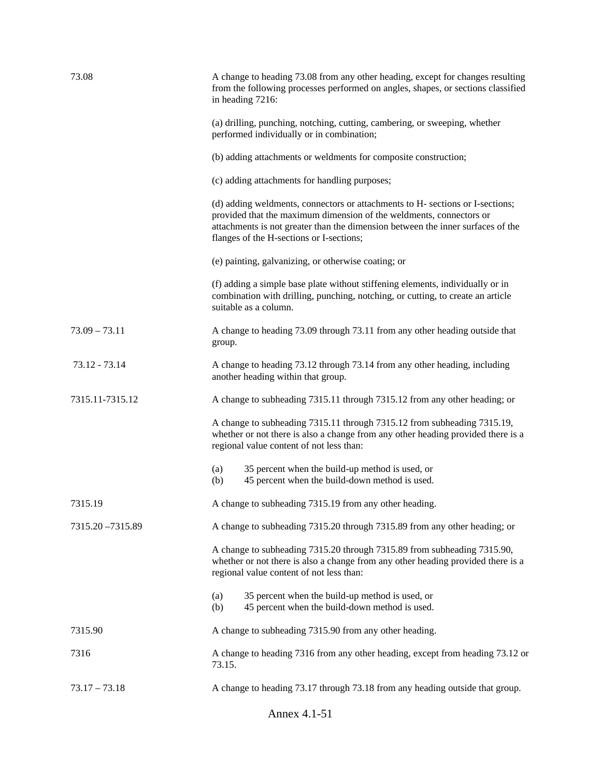| 73.08             | A change to heading 73.08 from any other heading, except for changes resulting<br>from the following processes performed on angles, shapes, or sections classified<br>in heading 7216:                                                                                              |
|-------------------|-------------------------------------------------------------------------------------------------------------------------------------------------------------------------------------------------------------------------------------------------------------------------------------|
|                   | (a) drilling, punching, notching, cutting, cambering, or sweeping, whether<br>performed individually or in combination;                                                                                                                                                             |
|                   | (b) adding attachments or weldments for composite construction;                                                                                                                                                                                                                     |
|                   | (c) adding attachments for handling purposes;                                                                                                                                                                                                                                       |
|                   | (d) adding weldments, connectors or attachments to H- sections or I-sections;<br>provided that the maximum dimension of the weldments, connectors or<br>attachments is not greater than the dimension between the inner surfaces of the<br>flanges of the H-sections or I-sections; |
|                   | (e) painting, galvanizing, or otherwise coating; or                                                                                                                                                                                                                                 |
|                   | (f) adding a simple base plate without stiffening elements, individually or in<br>combination with drilling, punching, notching, or cutting, to create an article<br>suitable as a column.                                                                                          |
| $73.09 - 73.11$   | A change to heading 73.09 through 73.11 from any other heading outside that<br>group.                                                                                                                                                                                               |
| 73.12 - 73.14     | A change to heading 73.12 through 73.14 from any other heading, including<br>another heading within that group.                                                                                                                                                                     |
| 7315.11-7315.12   | A change to subheading 7315.11 through 7315.12 from any other heading; or                                                                                                                                                                                                           |
|                   | A change to subheading 7315.11 through 7315.12 from subheading 7315.19,<br>whether or not there is also a change from any other heading provided there is a<br>regional value content of not less than:                                                                             |
|                   | (a)<br>35 percent when the build-up method is used, or<br>(b)<br>45 percent when the build-down method is used.                                                                                                                                                                     |
| 7315.19           | A change to subheading 7315.19 from any other heading.                                                                                                                                                                                                                              |
| 7315.20 - 7315.89 | A change to subheading 7315.20 through 7315.89 from any other heading; or                                                                                                                                                                                                           |
|                   | A change to subheading 7315.20 through 7315.89 from subheading 7315.90,<br>whether or not there is also a change from any other heading provided there is a<br>regional value content of not less than:                                                                             |
|                   | 35 percent when the build-up method is used, or<br>(a)<br>45 percent when the build-down method is used.<br>(b)                                                                                                                                                                     |
| 7315.90           | A change to subheading 7315.90 from any other heading.                                                                                                                                                                                                                              |
| 7316              | A change to heading 7316 from any other heading, except from heading 73.12 or<br>73.15.                                                                                                                                                                                             |
| $73.17 - 73.18$   | A change to heading 73.17 through 73.18 from any heading outside that group.                                                                                                                                                                                                        |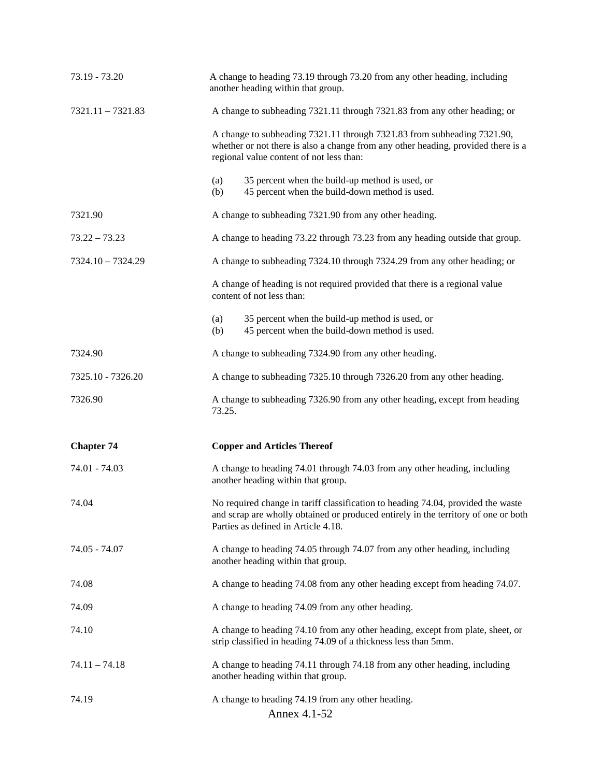| 73.19 - 73.20       | A change to heading 73.19 through 73.20 from any other heading, including<br>another heading within that group.                                                                                               |
|---------------------|---------------------------------------------------------------------------------------------------------------------------------------------------------------------------------------------------------------|
| $7321.11 - 7321.83$ | A change to subheading 7321.11 through 7321.83 from any other heading; or                                                                                                                                     |
|                     | A change to subheading 7321.11 through 7321.83 from subheading 7321.90,<br>whether or not there is also a change from any other heading, provided there is a<br>regional value content of not less than:      |
|                     | (a)<br>35 percent when the build-up method is used, or<br>45 percent when the build-down method is used.<br>(b)                                                                                               |
| 7321.90             | A change to subheading 7321.90 from any other heading.                                                                                                                                                        |
| $73.22 - 73.23$     | A change to heading 73.22 through 73.23 from any heading outside that group.                                                                                                                                  |
| $7324.10 - 7324.29$ | A change to subheading 7324.10 through 7324.29 from any other heading; or                                                                                                                                     |
|                     | A change of heading is not required provided that there is a regional value<br>content of not less than:                                                                                                      |
|                     | 35 percent when the build-up method is used, or<br>(a)<br>45 percent when the build-down method is used.<br>(b)                                                                                               |
| 7324.90             | A change to subheading 7324.90 from any other heading.                                                                                                                                                        |
| 7325.10 - 7326.20   | A change to subheading 7325.10 through 7326.20 from any other heading.                                                                                                                                        |
| 7326.90             | A change to subheading 7326.90 from any other heading, except from heading<br>73.25.                                                                                                                          |
| <b>Chapter 74</b>   | <b>Copper and Articles Thereof</b>                                                                                                                                                                            |
| 74.01 - 74.03       | A change to heading 74.01 through 74.03 from any other heading, including<br>another heading within that group.                                                                                               |
| 74.04               | No required change in tariff classification to heading 74.04, provided the waste<br>and scrap are wholly obtained or produced entirely in the territory of one or both<br>Parties as defined in Article 4.18. |
| 74.05 - 74.07       | A change to heading 74.05 through 74.07 from any other heading, including<br>another heading within that group.                                                                                               |
| 74.08               | A change to heading 74.08 from any other heading except from heading 74.07.                                                                                                                                   |
| 74.09               | A change to heading 74.09 from any other heading.                                                                                                                                                             |
| 74.10               | A change to heading 74.10 from any other heading, except from plate, sheet, or<br>strip classified in heading 74.09 of a thickness less than 5mm.                                                             |
| $74.11 - 74.18$     | A change to heading 74.11 through 74.18 from any other heading, including<br>another heading within that group.                                                                                               |
| 74.19               | A change to heading 74.19 from any other heading.<br>Annex 4.1-52                                                                                                                                             |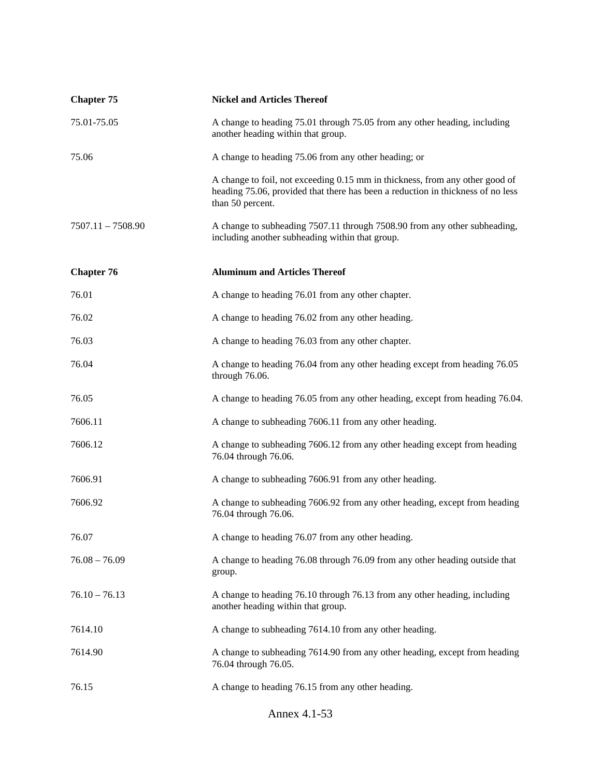| <b>Chapter 75</b>   | <b>Nickel and Articles Thereof</b>                                                                                                                                                  |
|---------------------|-------------------------------------------------------------------------------------------------------------------------------------------------------------------------------------|
| 75.01-75.05         | A change to heading 75.01 through 75.05 from any other heading, including<br>another heading within that group.                                                                     |
| 75.06               | A change to heading 75.06 from any other heading; or                                                                                                                                |
|                     | A change to foil, not exceeding 0.15 mm in thickness, from any other good of<br>heading 75.06, provided that there has been a reduction in thickness of no less<br>than 50 percent. |
| $7507.11 - 7508.90$ | A change to subheading 7507.11 through 7508.90 from any other subheading,<br>including another subheading within that group.                                                        |
| <b>Chapter 76</b>   | <b>Aluminum and Articles Thereof</b>                                                                                                                                                |
| 76.01               | A change to heading 76.01 from any other chapter.                                                                                                                                   |
| 76.02               | A change to heading 76.02 from any other heading.                                                                                                                                   |
| 76.03               | A change to heading 76.03 from any other chapter.                                                                                                                                   |
| 76.04               | A change to heading 76.04 from any other heading except from heading 76.05<br>through 76.06.                                                                                        |
| 76.05               | A change to heading 76.05 from any other heading, except from heading 76.04.                                                                                                        |
| 7606.11             | A change to subheading 7606.11 from any other heading.                                                                                                                              |
| 7606.12             | A change to subheading 7606.12 from any other heading except from heading<br>76.04 through 76.06.                                                                                   |
| 7606.91             | A change to subheading 7606.91 from any other heading.                                                                                                                              |
| 7606.92             | A change to subheading 7606.92 from any other heading, except from heading<br>76.04 through 76.06.                                                                                  |
| 76.07               | A change to heading 76.07 from any other heading.                                                                                                                                   |
| $76.08 - 76.09$     | A change to heading 76.08 through 76.09 from any other heading outside that<br>group.                                                                                               |
| $76.10 - 76.13$     | A change to heading 76.10 through 76.13 from any other heading, including<br>another heading within that group.                                                                     |
| 7614.10             | A change to subheading 7614.10 from any other heading.                                                                                                                              |
| 7614.90             | A change to subheading 7614.90 from any other heading, except from heading<br>76.04 through 76.05.                                                                                  |
| 76.15               | A change to heading 76.15 from any other heading.                                                                                                                                   |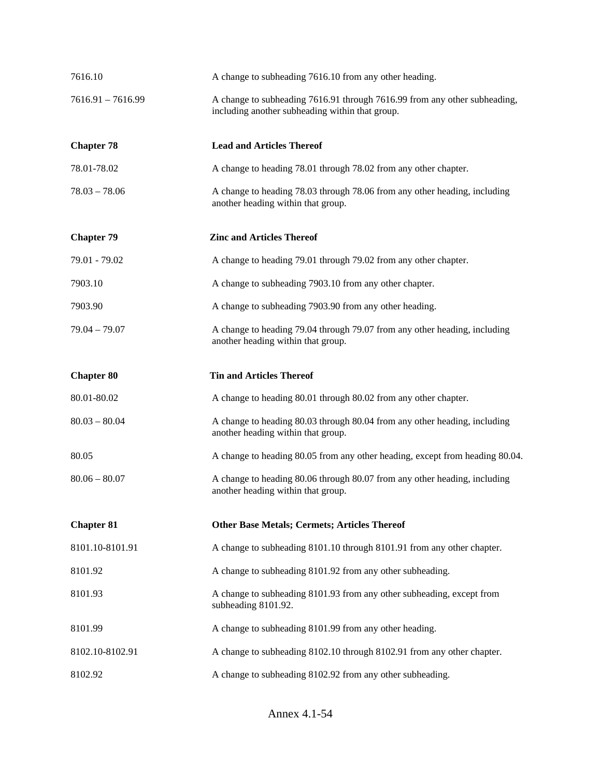| 7616.10             | A change to subheading 7616.10 from any other heading.                                                                       |
|---------------------|------------------------------------------------------------------------------------------------------------------------------|
| $7616.91 - 7616.99$ | A change to subheading 7616.91 through 7616.99 from any other subheading,<br>including another subheading within that group. |
| <b>Chapter 78</b>   | <b>Lead and Articles Thereof</b>                                                                                             |
| 78.01-78.02         | A change to heading 78.01 through 78.02 from any other chapter.                                                              |
| $78.03 - 78.06$     | A change to heading 78.03 through 78.06 from any other heading, including<br>another heading within that group.              |
| <b>Chapter 79</b>   | <b>Zinc and Articles Thereof</b>                                                                                             |
| 79.01 - 79.02       | A change to heading 79.01 through 79.02 from any other chapter.                                                              |
| 7903.10             | A change to subheading 7903.10 from any other chapter.                                                                       |
| 7903.90             | A change to subheading 7903.90 from any other heading.                                                                       |
| $79.04 - 79.07$     | A change to heading 79.04 through 79.07 from any other heading, including<br>another heading within that group.              |
| <b>Chapter 80</b>   | <b>Tin and Articles Thereof</b>                                                                                              |
| 80.01-80.02         | A change to heading 80.01 through 80.02 from any other chapter.                                                              |
| $80.03 - 80.04$     | A change to heading 80.03 through 80.04 from any other heading, including<br>another heading within that group.              |
| 80.05               | A change to heading 80.05 from any other heading, except from heading 80.04.                                                 |
| $80.06 - 80.07$     | A change to heading 80.06 through 80.07 from any other heading, including<br>another heading within that group.              |
| <b>Chapter 81</b>   | <b>Other Base Metals; Cermets; Articles Thereof</b>                                                                          |
| 8101.10-8101.91     | A change to subheading 8101.10 through 8101.91 from any other chapter.                                                       |
| 8101.92             | A change to subheading 8101.92 from any other subheading.                                                                    |
| 8101.93             | A change to subheading 8101.93 from any other subheading, except from<br>subheading 8101.92.                                 |
| 8101.99             | A change to subheading 8101.99 from any other heading.                                                                       |
| 8102.10-8102.91     | A change to subheading 8102.10 through 8102.91 from any other chapter.                                                       |
| 8102.92             | A change to subheading 8102.92 from any other subheading.                                                                    |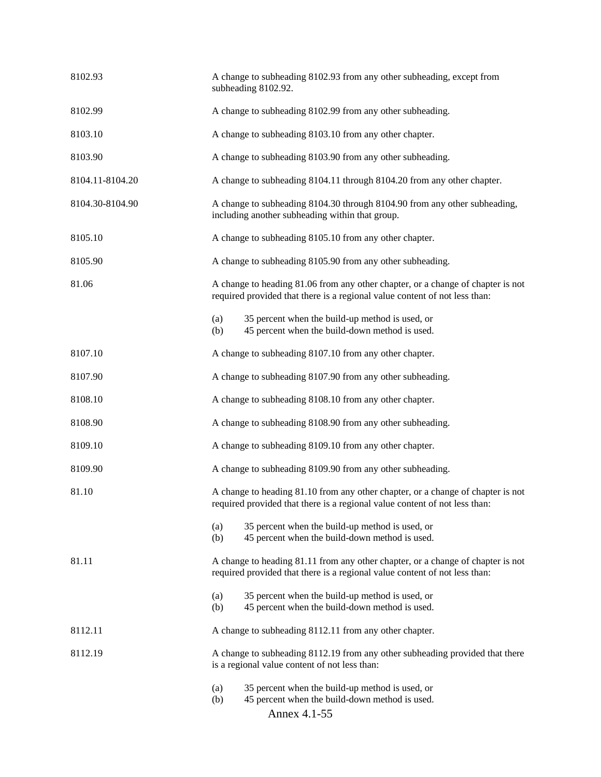| 8102.93         | A change to subheading 8102.93 from any other subheading, except from<br>subheading 8102.92.                                                                  |  |
|-----------------|---------------------------------------------------------------------------------------------------------------------------------------------------------------|--|
| 8102.99         | A change to subheading 8102.99 from any other subheading.                                                                                                     |  |
| 8103.10         | A change to subheading 8103.10 from any other chapter.                                                                                                        |  |
| 8103.90         | A change to subheading 8103.90 from any other subheading.                                                                                                     |  |
| 8104.11-8104.20 | A change to subheading 8104.11 through 8104.20 from any other chapter.                                                                                        |  |
| 8104.30-8104.90 | A change to subheading 8104.30 through 8104.90 from any other subheading,<br>including another subheading within that group.                                  |  |
| 8105.10         | A change to subheading 8105.10 from any other chapter.                                                                                                        |  |
| 8105.90         | A change to subheading 8105.90 from any other subheading.                                                                                                     |  |
| 81.06           | A change to heading 81.06 from any other chapter, or a change of chapter is not<br>required provided that there is a regional value content of not less than: |  |
|                 | 35 percent when the build-up method is used, or<br>(a)<br>45 percent when the build-down method is used.<br>(b)                                               |  |
| 8107.10         | A change to subheading 8107.10 from any other chapter.                                                                                                        |  |
| 8107.90         | A change to subheading 8107.90 from any other subheading.                                                                                                     |  |
| 8108.10         | A change to subheading 8108.10 from any other chapter.                                                                                                        |  |
| 8108.90         | A change to subheading 8108.90 from any other subheading.                                                                                                     |  |
| 8109.10         | A change to subheading 8109.10 from any other chapter.                                                                                                        |  |
| 8109.90         | A change to subheading 8109.90 from any other subheading.                                                                                                     |  |
| 81.10           | A change to heading 81.10 from any other chapter, or a change of chapter is not<br>required provided that there is a regional value content of not less than: |  |
|                 | 35 percent when the build-up method is used, or<br>(a)<br>45 percent when the build-down method is used.<br>(b)                                               |  |
| 81.11           | A change to heading 81.11 from any other chapter, or a change of chapter is not<br>required provided that there is a regional value content of not less than: |  |
|                 | 35 percent when the build-up method is used, or<br>(a)<br>45 percent when the build-down method is used.<br>(b)                                               |  |
| 8112.11         | A change to subheading 8112.11 from any other chapter.                                                                                                        |  |
| 8112.19         | A change to subheading 8112.19 from any other subheading provided that there<br>is a regional value content of not less than:                                 |  |
|                 | 35 percent when the build-up method is used, or<br>(a)<br>(b)<br>45 percent when the build-down method is used.<br>Annex 4.1-55                               |  |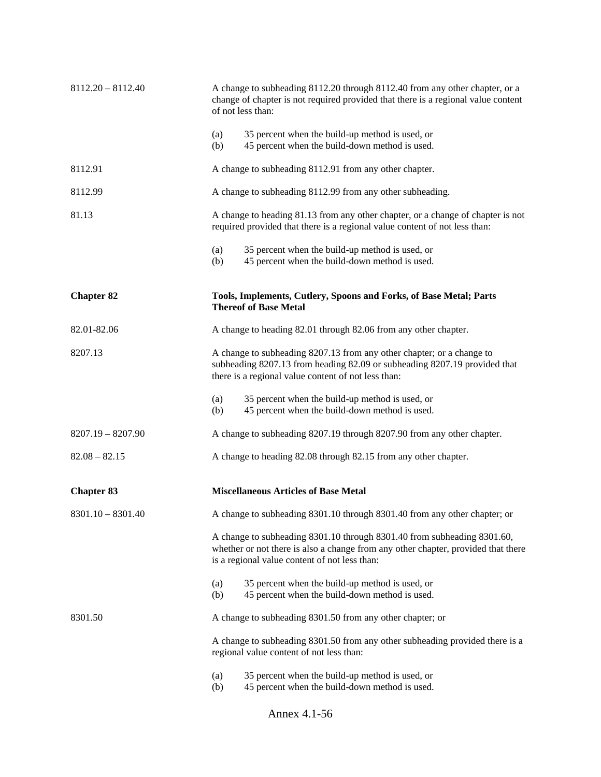| $8112.20 - 8112.40$ | A change to subheading 8112.20 through 8112.40 from any other chapter, or a<br>change of chapter is not required provided that there is a regional value content<br>of not less than:                         |
|---------------------|---------------------------------------------------------------------------------------------------------------------------------------------------------------------------------------------------------------|
|                     | 35 percent when the build-up method is used, or<br>(a)<br>45 percent when the build-down method is used.<br>(b)                                                                                               |
| 8112.91             | A change to subheading 8112.91 from any other chapter.                                                                                                                                                        |
| 8112.99             | A change to subheading 8112.99 from any other subheading.                                                                                                                                                     |
| 81.13               | A change to heading 81.13 from any other chapter, or a change of chapter is not<br>required provided that there is a regional value content of not less than:                                                 |
|                     | 35 percent when the build-up method is used, or<br>(a)<br>45 percent when the build-down method is used.<br>(b)                                                                                               |
| <b>Chapter 82</b>   | Tools, Implements, Cutlery, Spoons and Forks, of Base Metal; Parts<br><b>Thereof of Base Metal</b>                                                                                                            |
| 82.01-82.06         | A change to heading 82.01 through 82.06 from any other chapter.                                                                                                                                               |
| 8207.13             | A change to subheading 8207.13 from any other chapter; or a change to<br>subheading 8207.13 from heading 82.09 or subheading 8207.19 provided that<br>there is a regional value content of not less than:     |
|                     | 35 percent when the build-up method is used, or<br>(a)<br>45 percent when the build-down method is used.<br>(b)                                                                                               |
| $8207.19 - 8207.90$ | A change to subheading 8207.19 through 8207.90 from any other chapter.                                                                                                                                        |
| $82.08 - 82.15$     | A change to heading 82.08 through 82.15 from any other chapter.                                                                                                                                               |
| <b>Chapter 83</b>   | <b>Miscellaneous Articles of Base Metal</b>                                                                                                                                                                   |
| $8301.10 - 8301.40$ | A change to subheading 8301.10 through 8301.40 from any other chapter; or                                                                                                                                     |
|                     | A change to subheading 8301.10 through 8301.40 from subheading 8301.60,<br>whether or not there is also a change from any other chapter, provided that there<br>is a regional value content of not less than: |
|                     | 35 percent when the build-up method is used, or<br>(a)<br>(b)<br>45 percent when the build-down method is used.                                                                                               |
| 8301.50             | A change to subheading 8301.50 from any other chapter; or                                                                                                                                                     |
|                     | A change to subheading 8301.50 from any other subheading provided there is a<br>regional value content of not less than:                                                                                      |
|                     | 35 percent when the build-up method is used, or<br>(a)<br>45 percent when the build-down method is used.<br>(b)                                                                                               |

Annex 4.1-56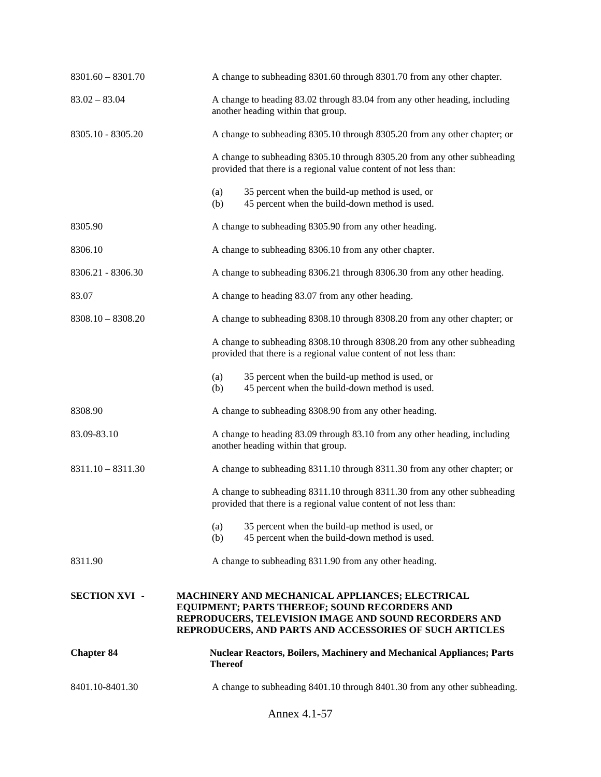| $8301.60 - 8301.70$  | A change to subheading 8301.60 through 8301.70 from any other chapter.                                                                                                                                               |
|----------------------|----------------------------------------------------------------------------------------------------------------------------------------------------------------------------------------------------------------------|
| $83.02 - 83.04$      | A change to heading 83.02 through 83.04 from any other heading, including<br>another heading within that group.                                                                                                      |
| 8305.10 - 8305.20    | A change to subheading 8305.10 through 8305.20 from any other chapter; or                                                                                                                                            |
|                      | A change to subheading 8305.10 through 8305.20 from any other subheading<br>provided that there is a regional value content of not less than:                                                                        |
|                      | 35 percent when the build-up method is used, or<br>(a)<br>45 percent when the build-down method is used.<br>(b)                                                                                                      |
| 8305.90              | A change to subheading 8305.90 from any other heading.                                                                                                                                                               |
| 8306.10              | A change to subheading 8306.10 from any other chapter.                                                                                                                                                               |
| 8306.21 - 8306.30    | A change to subheading 8306.21 through 8306.30 from any other heading.                                                                                                                                               |
| 83.07                | A change to heading 83.07 from any other heading.                                                                                                                                                                    |
| $8308.10 - 8308.20$  | A change to subheading 8308.10 through 8308.20 from any other chapter; or                                                                                                                                            |
|                      | A change to subheading 8308.10 through 8308.20 from any other subheading<br>provided that there is a regional value content of not less than:                                                                        |
|                      | 35 percent when the build-up method is used, or<br>(a)<br>45 percent when the build-down method is used.<br>(b)                                                                                                      |
| 8308.90              | A change to subheading 8308.90 from any other heading.                                                                                                                                                               |
| 83.09-83.10          | A change to heading 83.09 through 83.10 from any other heading, including<br>another heading within that group.                                                                                                      |
| $8311.10 - 8311.30$  | A change to subheading 8311.10 through 8311.30 from any other chapter; or                                                                                                                                            |
|                      | A change to subheading 8311.10 through 8311.30 from any other subheading<br>provided that there is a regional value content of not less than:                                                                        |
|                      | 35 percent when the build-up method is used, or<br>(a)<br>45 percent when the build-down method is used.<br>(b)                                                                                                      |
| 8311.90              | A change to subheading 8311.90 from any other heading.                                                                                                                                                               |
| <b>SECTION XVI -</b> | MACHINERY AND MECHANICAL APPLIANCES; ELECTRICAL<br>EQUIPMENT; PARTS THEREOF; SOUND RECORDERS AND<br>REPRODUCERS, TELEVISION IMAGE AND SOUND RECORDERS AND<br>REPRODUCERS, AND PARTS AND ACCESSORIES OF SUCH ARTICLES |
| <b>Chapter 84</b>    | <b>Nuclear Reactors, Boilers, Machinery and Mechanical Appliances; Parts</b><br><b>Thereof</b>                                                                                                                       |
| 8401.10-8401.30      | A change to subheading 8401.10 through 8401.30 from any other subheading.                                                                                                                                            |
|                      | Annex 4.1-57                                                                                                                                                                                                         |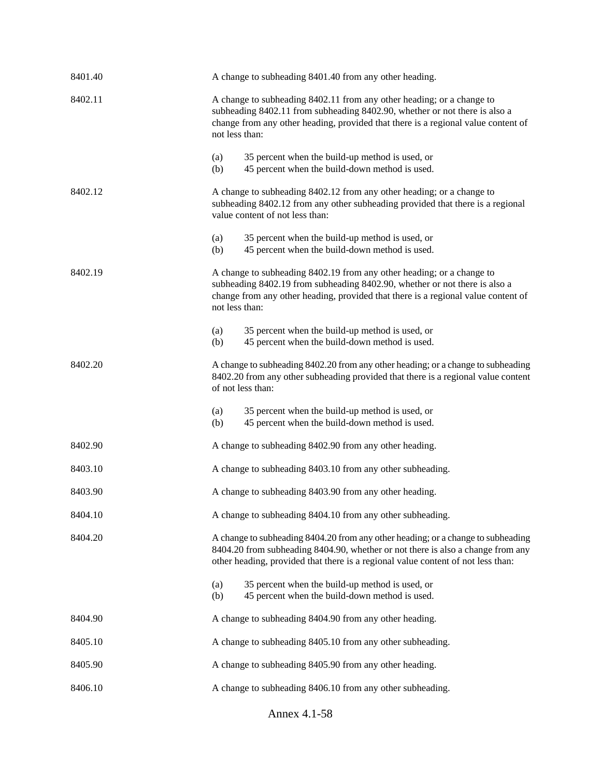| 8401.40 | A change to subheading 8401.40 from any other heading.                                                                                                                                                                                                     |
|---------|------------------------------------------------------------------------------------------------------------------------------------------------------------------------------------------------------------------------------------------------------------|
| 8402.11 | A change to subheading 8402.11 from any other heading; or a change to<br>subheading 8402.11 from subheading 8402.90, whether or not there is also a<br>change from any other heading, provided that there is a regional value content of<br>not less than: |
|         | 35 percent when the build-up method is used, or<br>(a)<br>45 percent when the build-down method is used.<br>(b)                                                                                                                                            |
| 8402.12 | A change to subheading 8402.12 from any other heading; or a change to<br>subheading 8402.12 from any other subheading provided that there is a regional<br>value content of not less than:                                                                 |
|         | 35 percent when the build-up method is used, or<br>(a)<br>45 percent when the build-down method is used.<br>(b)                                                                                                                                            |
| 8402.19 | A change to subheading 8402.19 from any other heading; or a change to<br>subheading 8402.19 from subheading 8402.90, whether or not there is also a<br>change from any other heading, provided that there is a regional value content of<br>not less than: |
|         | 35 percent when the build-up method is used, or<br>(a)<br>45 percent when the build-down method is used.<br>(b)                                                                                                                                            |
| 8402.20 | A change to subheading 8402.20 from any other heading; or a change to subheading<br>8402.20 from any other subheading provided that there is a regional value content<br>of not less than:                                                                 |
|         | 35 percent when the build-up method is used, or<br>(a)<br>45 percent when the build-down method is used.<br>(b)                                                                                                                                            |
| 8402.90 | A change to subheading 8402.90 from any other heading.                                                                                                                                                                                                     |
| 8403.10 | A change to subheading 8403.10 from any other subheading.                                                                                                                                                                                                  |
| 8403.90 | A change to subheading 8403.90 from any other heading.                                                                                                                                                                                                     |
| 8404.10 | A change to subheading 8404.10 from any other subheading.                                                                                                                                                                                                  |
| 8404.20 | A change to subheading 8404.20 from any other heading; or a change to subheading<br>8404.20 from subheading 8404.90, whether or not there is also a change from any<br>other heading, provided that there is a regional value content of not less than:    |
|         | 35 percent when the build-up method is used, or<br>(a)<br>45 percent when the build-down method is used.<br>(b)                                                                                                                                            |
| 8404.90 | A change to subheading 8404.90 from any other heading.                                                                                                                                                                                                     |
| 8405.10 | A change to subheading 8405.10 from any other subheading.                                                                                                                                                                                                  |
| 8405.90 | A change to subheading 8405.90 from any other heading.                                                                                                                                                                                                     |
| 8406.10 | A change to subheading 8406.10 from any other subheading.                                                                                                                                                                                                  |

Annex 4.1-58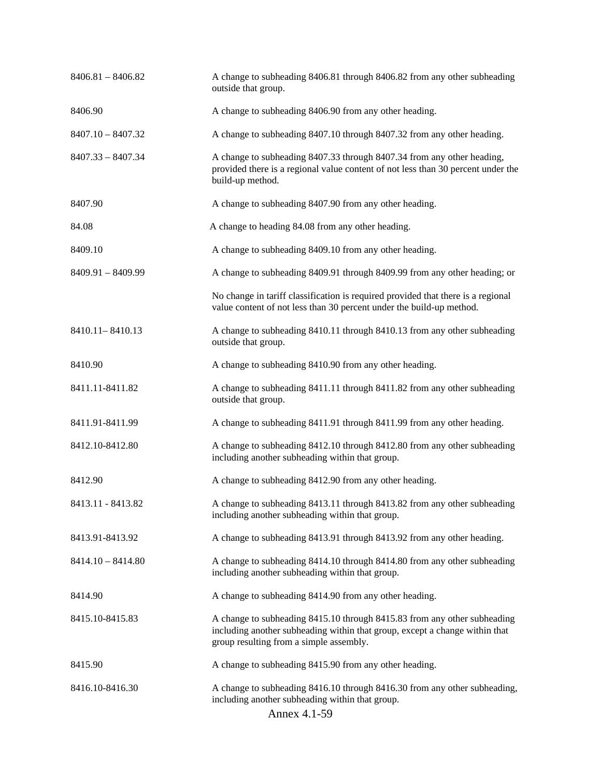| $8406.81 - 8406.82$ | A change to subheading 8406.81 through 8406.82 from any other subheading<br>outside that group.                                                                                                    |
|---------------------|----------------------------------------------------------------------------------------------------------------------------------------------------------------------------------------------------|
| 8406.90             | A change to subheading 8406.90 from any other heading.                                                                                                                                             |
| $8407.10 - 8407.32$ | A change to subheading 8407.10 through 8407.32 from any other heading.                                                                                                                             |
| $8407.33 - 8407.34$ | A change to subheading 8407.33 through 8407.34 from any other heading,<br>provided there is a regional value content of not less than 30 percent under the<br>build-up method.                     |
| 8407.90             | A change to subheading 8407.90 from any other heading.                                                                                                                                             |
| 84.08               | A change to heading 84.08 from any other heading.                                                                                                                                                  |
| 8409.10             | A change to subheading 8409.10 from any other heading.                                                                                                                                             |
| $8409.91 - 8409.99$ | A change to subheading 8409.91 through 8409.99 from any other heading; or                                                                                                                          |
|                     | No change in tariff classification is required provided that there is a regional<br>value content of not less than 30 percent under the build-up method.                                           |
| 8410.11 - 8410.13   | A change to subheading 8410.11 through 8410.13 from any other subheading<br>outside that group.                                                                                                    |
| 8410.90             | A change to subheading 8410.90 from any other heading.                                                                                                                                             |
| 8411.11-8411.82     | A change to subheading 8411.11 through 8411.82 from any other subheading<br>outside that group.                                                                                                    |
| 8411.91-8411.99     | A change to subheading 8411.91 through 8411.99 from any other heading.                                                                                                                             |
| 8412.10-8412.80     | A change to subheading 8412.10 through 8412.80 from any other subheading<br>including another subheading within that group.                                                                        |
| 8412.90             | A change to subheading 8412.90 from any other heading.                                                                                                                                             |
| 8413.11 - 8413.82   | A change to subheading 8413.11 through 8413.82 from any other subheading<br>including another subheading within that group.                                                                        |
| 8413.91-8413.92     | A change to subheading 8413.91 through 8413.92 from any other heading.                                                                                                                             |
| $8414.10 - 8414.80$ | A change to subheading 8414.10 through 8414.80 from any other subheading<br>including another subheading within that group.                                                                        |
| 8414.90             | A change to subheading 8414.90 from any other heading.                                                                                                                                             |
| 8415.10-8415.83     | A change to subheading 8415.10 through 8415.83 from any other subheading<br>including another subheading within that group, except a change within that<br>group resulting from a simple assembly. |
| 8415.90             | A change to subheading 8415.90 from any other heading.                                                                                                                                             |
| 8416.10-8416.30     | A change to subheading 8416.10 through 8416.30 from any other subheading,<br>including another subheading within that group.<br>Annex 4.1-59                                                       |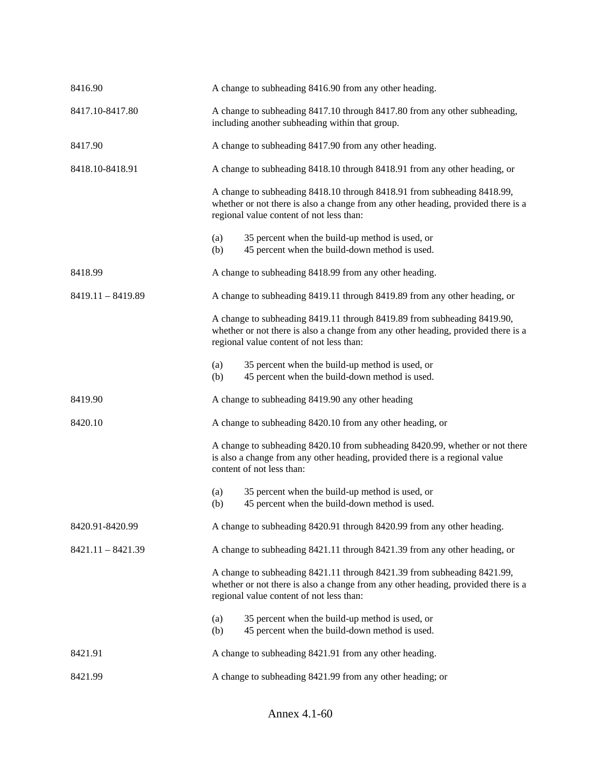| 8416.90             |            | A change to subheading 8416.90 from any other heading.                                                                                                                                                   |
|---------------------|------------|----------------------------------------------------------------------------------------------------------------------------------------------------------------------------------------------------------|
| 8417.10-8417.80     |            | A change to subheading 8417.10 through 8417.80 from any other subheading,<br>including another subheading within that group.                                                                             |
| 8417.90             |            | A change to subheading 8417.90 from any other heading.                                                                                                                                                   |
| 8418.10-8418.91     |            | A change to subheading 8418.10 through 8418.91 from any other heading, or                                                                                                                                |
|                     |            | A change to subheading 8418.10 through 8418.91 from subheading 8418.99,<br>whether or not there is also a change from any other heading, provided there is a<br>regional value content of not less than: |
|                     | (a)<br>(b) | 35 percent when the build-up method is used, or<br>45 percent when the build-down method is used.                                                                                                        |
| 8418.99             |            | A change to subheading 8418.99 from any other heading.                                                                                                                                                   |
| $8419.11 - 8419.89$ |            | A change to subheading 8419.11 through 8419.89 from any other heading, or                                                                                                                                |
|                     |            | A change to subheading 8419.11 through 8419.89 from subheading 8419.90,<br>whether or not there is also a change from any other heading, provided there is a<br>regional value content of not less than: |
|                     | (a)<br>(b) | 35 percent when the build-up method is used, or<br>45 percent when the build-down method is used.                                                                                                        |
|                     |            |                                                                                                                                                                                                          |
| 8419.90             |            | A change to subheading 8419.90 any other heading                                                                                                                                                         |
| 8420.10             |            | A change to subheading 8420.10 from any other heading, or                                                                                                                                                |
|                     |            | A change to subheading 8420.10 from subheading 8420.99, whether or not there<br>is also a change from any other heading, provided there is a regional value<br>content of not less than:                 |
|                     | (a)<br>(b) | 35 percent when the build-up method is used, or<br>45 percent when the build-down method is used.                                                                                                        |
| 8420.91-8420.99     |            | A change to subheading 8420.91 through 8420.99 from any other heading.                                                                                                                                   |
| $8421.11 - 8421.39$ |            | A change to subheading 8421.11 through 8421.39 from any other heading, or                                                                                                                                |
|                     |            | A change to subheading 8421.11 through 8421.39 from subheading 8421.99,<br>whether or not there is also a change from any other heading, provided there is a<br>regional value content of not less than: |
|                     | (a)<br>(b) | 35 percent when the build-up method is used, or<br>45 percent when the build-down method is used.                                                                                                        |
| 8421.91             |            | A change to subheading 8421.91 from any other heading.                                                                                                                                                   |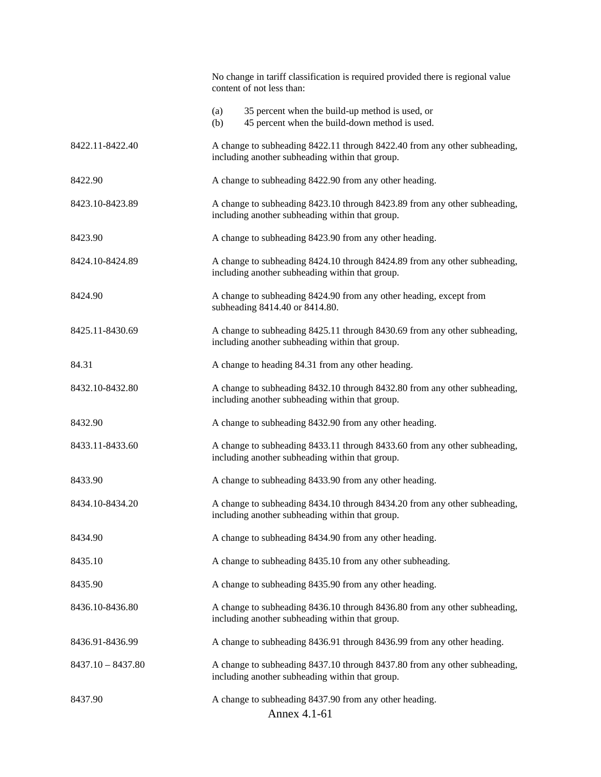|                     | No change in tariff classification is required provided there is regional value<br>content of not less than:                 |
|---------------------|------------------------------------------------------------------------------------------------------------------------------|
|                     | 35 percent when the build-up method is used, or<br>(a)<br>45 percent when the build-down method is used.<br>(b)              |
| 8422.11-8422.40     | A change to subheading 8422.11 through 8422.40 from any other subheading,<br>including another subheading within that group. |
| 8422.90             | A change to subheading 8422.90 from any other heading.                                                                       |
| 8423.10-8423.89     | A change to subheading 8423.10 through 8423.89 from any other subheading,<br>including another subheading within that group. |
| 8423.90             | A change to subheading 8423.90 from any other heading.                                                                       |
| 8424.10-8424.89     | A change to subheading 8424.10 through 8424.89 from any other subheading,<br>including another subheading within that group. |
| 8424.90             | A change to subheading 8424.90 from any other heading, except from<br>subheading 8414.40 or 8414.80.                         |
| 8425.11-8430.69     | A change to subheading 8425.11 through 8430.69 from any other subheading,<br>including another subheading within that group. |
| 84.31               | A change to heading 84.31 from any other heading.                                                                            |
| 8432.10-8432.80     | A change to subheading 8432.10 through 8432.80 from any other subheading,<br>including another subheading within that group. |
| 8432.90             | A change to subheading 8432.90 from any other heading.                                                                       |
| 8433.11-8433.60     | A change to subheading 8433.11 through 8433.60 from any other subheading,<br>including another subheading within that group. |
| 8433.90             | A change to subheading 8433.90 from any other heading.                                                                       |
| 8434.10-8434.20     | A change to subheading 8434.10 through 8434.20 from any other subheading,<br>including another subheading within that group. |
| 8434.90             | A change to subheading 8434.90 from any other heading.                                                                       |
| 8435.10             | A change to subheading 8435.10 from any other subheading.                                                                    |
| 8435.90             | A change to subheading 8435.90 from any other heading.                                                                       |
| 8436.10-8436.80     | A change to subheading 8436.10 through 8436.80 from any other subheading,<br>including another subheading within that group. |
| 8436.91-8436.99     | A change to subheading 8436.91 through 8436.99 from any other heading.                                                       |
| $8437.10 - 8437.80$ | A change to subheading 8437.10 through 8437.80 from any other subheading,<br>including another subheading within that group. |
| 8437.90             | A change to subheading 8437.90 from any other heading.<br>Annex 4.1-61                                                       |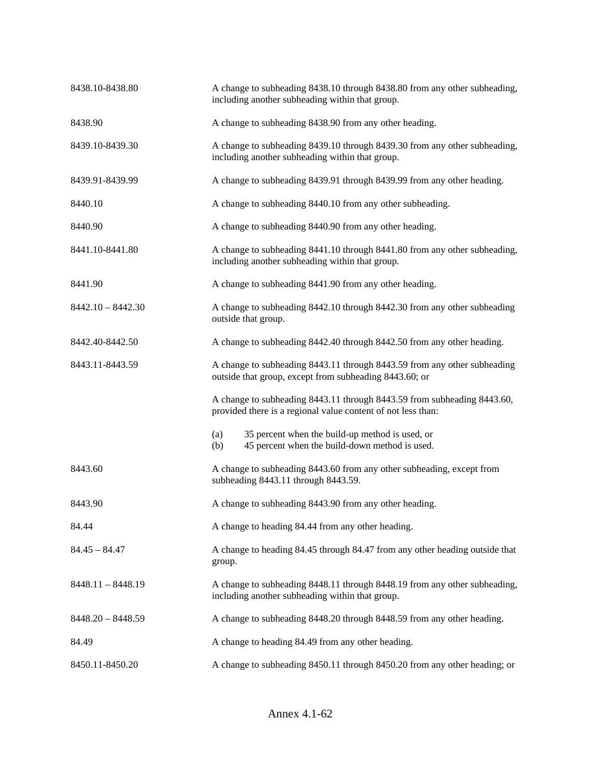| 8438.10-8438.80     | A change to subheading 8438.10 through 8438.80 from any other subheading,<br>including another subheading within that group.            |  |
|---------------------|-----------------------------------------------------------------------------------------------------------------------------------------|--|
| 8438.90             | A change to subheading 8438.90 from any other heading.                                                                                  |  |
| 8439.10-8439.30     | A change to subheading 8439.10 through 8439.30 from any other subheading,<br>including another subheading within that group.            |  |
| 8439.91-8439.99     | A change to subheading 8439.91 through 8439.99 from any other heading.                                                                  |  |
| 8440.10             | A change to subheading 8440.10 from any other subheading.                                                                               |  |
| 8440.90             | A change to subheading 8440.90 from any other heading.                                                                                  |  |
| 8441.10-8441.80     | A change to subheading 8441.10 through 8441.80 from any other subheading,<br>including another subheading within that group.            |  |
| 8441.90             | A change to subheading 8441.90 from any other heading.                                                                                  |  |
| $8442.10 - 8442.30$ | A change to subheading 8442.10 through 8442.30 from any other subheading<br>outside that group.                                         |  |
| 8442.40-8442.50     | A change to subheading 8442.40 through 8442.50 from any other heading.                                                                  |  |
| 8443.11-8443.59     | A change to subheading 8443.11 through 8443.59 from any other subheading<br>outside that group, except from subheading 8443.60; or      |  |
|                     | A change to subheading 8443.11 through 8443.59 from subheading 8443.60,<br>provided there is a regional value content of not less than: |  |
|                     | 35 percent when the build-up method is used, or<br>(a)<br>45 percent when the build-down method is used.<br>(b)                         |  |
| 8443.60             | A change to subheading 8443.60 from any other subheading, except from<br>subheading 8443.11 through 8443.59.                            |  |
| 8443.90             | A change to subheading 8443.90 from any other heading.                                                                                  |  |
| 84.44               | A change to heading 84.44 from any other heading.                                                                                       |  |
| $84.45 - 84.47$     | A change to heading 84.45 through 84.47 from any other heading outside that<br>group.                                                   |  |
| $8448.11 - 8448.19$ | A change to subheading 8448.11 through 8448.19 from any other subheading,<br>including another subheading within that group.            |  |
| $8448.20 - 8448.59$ | A change to subheading 8448.20 through 8448.59 from any other heading.                                                                  |  |
| 84.49               | A change to heading 84.49 from any other heading.                                                                                       |  |
| 8450.11-8450.20     | A change to subheading 8450.11 through 8450.20 from any other heading; or                                                               |  |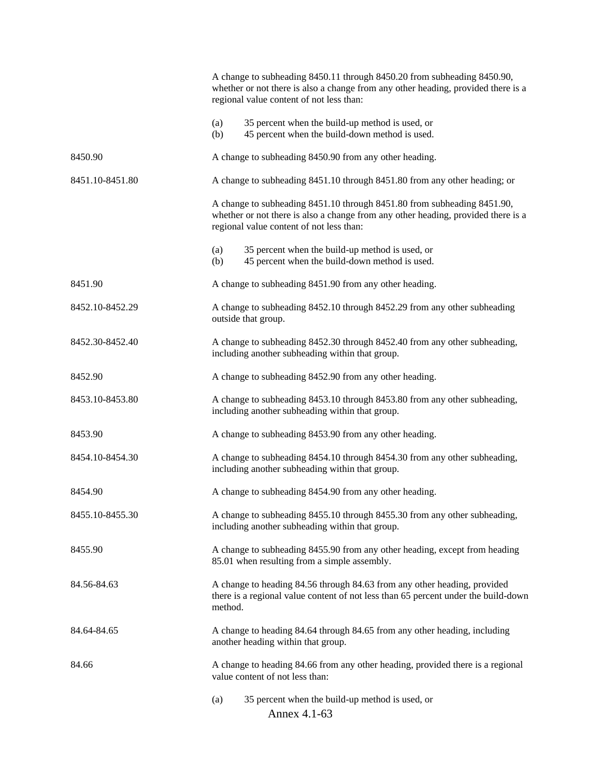|                 | A change to subheading 8450.11 through 8450.20 from subheading 8450.90,<br>whether or not there is also a change from any other heading, provided there is a<br>regional value content of not less than: |  |
|-----------------|----------------------------------------------------------------------------------------------------------------------------------------------------------------------------------------------------------|--|
|                 | 35 percent when the build-up method is used, or<br>(a)<br>45 percent when the build-down method is used.<br>(b)                                                                                          |  |
| 8450.90         | A change to subheading 8450.90 from any other heading.                                                                                                                                                   |  |
| 8451.10-8451.80 | A change to subheading 8451.10 through 8451.80 from any other heading; or                                                                                                                                |  |
|                 | A change to subheading 8451.10 through 8451.80 from subheading 8451.90,<br>whether or not there is also a change from any other heading, provided there is a<br>regional value content of not less than: |  |
|                 | 35 percent when the build-up method is used, or<br>(a)<br>45 percent when the build-down method is used.<br>(b)                                                                                          |  |
| 8451.90         | A change to subheading 8451.90 from any other heading.                                                                                                                                                   |  |
| 8452.10-8452.29 | A change to subheading 8452.10 through 8452.29 from any other subheading<br>outside that group.                                                                                                          |  |
| 8452.30-8452.40 | A change to subheading 8452.30 through 8452.40 from any other subheading,<br>including another subheading within that group.                                                                             |  |
| 8452.90         | A change to subheading 8452.90 from any other heading.                                                                                                                                                   |  |
| 8453.10-8453.80 | A change to subheading 8453.10 through 8453.80 from any other subheading,<br>including another subheading within that group.                                                                             |  |
| 8453.90         | A change to subheading 8453.90 from any other heading.                                                                                                                                                   |  |
| 8454.10-8454.30 | A change to subheading 8454.10 through 8454.30 from any other subheading,<br>including another subheading within that group.                                                                             |  |
| 8454.90         | A change to subheading 8454.90 from any other heading.                                                                                                                                                   |  |
| 8455.10-8455.30 | A change to subheading 8455.10 through 8455.30 from any other subheading,<br>including another subheading within that group.                                                                             |  |
| 8455.90         | A change to subheading 8455.90 from any other heading, except from heading<br>85.01 when resulting from a simple assembly.                                                                               |  |
| 84.56-84.63     | A change to heading 84.56 through 84.63 from any other heading, provided<br>there is a regional value content of not less than 65 percent under the build-down<br>method.                                |  |
| 84.64-84.65     | A change to heading 84.64 through 84.65 from any other heading, including<br>another heading within that group.                                                                                          |  |
| 84.66           | A change to heading 84.66 from any other heading, provided there is a regional<br>value content of not less than:                                                                                        |  |
|                 | 35 percent when the build-up method is used, or<br>(a)<br>Annex 4.1-63                                                                                                                                   |  |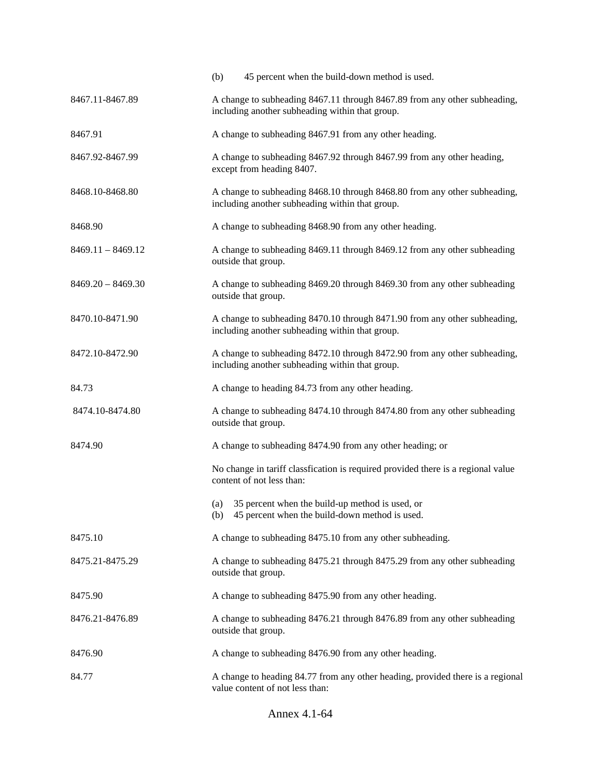|                     | (b)<br>45 percent when the build-down method is used.                                                                        |  |  |
|---------------------|------------------------------------------------------------------------------------------------------------------------------|--|--|
| 8467.11-8467.89     | A change to subheading 8467.11 through 8467.89 from any other subheading,<br>including another subheading within that group. |  |  |
| 8467.91             | A change to subheading 8467.91 from any other heading.                                                                       |  |  |
| 8467.92-8467.99     | A change to subheading 8467.92 through 8467.99 from any other heading,<br>except from heading 8407.                          |  |  |
| 8468.10-8468.80     | A change to subheading 8468.10 through 8468.80 from any other subheading,<br>including another subheading within that group. |  |  |
| 8468.90             | A change to subheading 8468.90 from any other heading.                                                                       |  |  |
| $8469.11 - 8469.12$ | A change to subheading 8469.11 through 8469.12 from any other subheading<br>outside that group.                              |  |  |
| $8469.20 - 8469.30$ | A change to subheading 8469.20 through 8469.30 from any other subheading<br>outside that group.                              |  |  |
| 8470.10-8471.90     | A change to subheading 8470.10 through 8471.90 from any other subheading,<br>including another subheading within that group. |  |  |
| 8472.10-8472.90     | A change to subheading 8472.10 through 8472.90 from any other subheading,<br>including another subheading within that group. |  |  |
| 84.73               | A change to heading 84.73 from any other heading.                                                                            |  |  |
| 8474.10-8474.80     | A change to subheading 8474.10 through 8474.80 from any other subheading<br>outside that group.                              |  |  |
| 8474.90             | A change to subheading 8474.90 from any other heading; or                                                                    |  |  |
|                     | No change in tariff classfication is required provided there is a regional value<br>content of not less than:                |  |  |
|                     | 35 percent when the build-up method is used, or<br>(a)<br>45 percent when the build-down method is used.<br>(b)              |  |  |
| 8475.10             | A change to subheading 8475.10 from any other subheading.                                                                    |  |  |
| 8475.21-8475.29     | A change to subheading 8475.21 through 8475.29 from any other subheading<br>outside that group.                              |  |  |
| 8475.90             | A change to subheading 8475.90 from any other heading.                                                                       |  |  |
| 8476.21-8476.89     | A change to subheading 8476.21 through 8476.89 from any other subheading<br>outside that group.                              |  |  |
| 8476.90             | A change to subheading 8476.90 from any other heading.                                                                       |  |  |
| 84.77               | A change to heading 84.77 from any other heading, provided there is a regional<br>value content of not less than:            |  |  |

Annex 4.1-64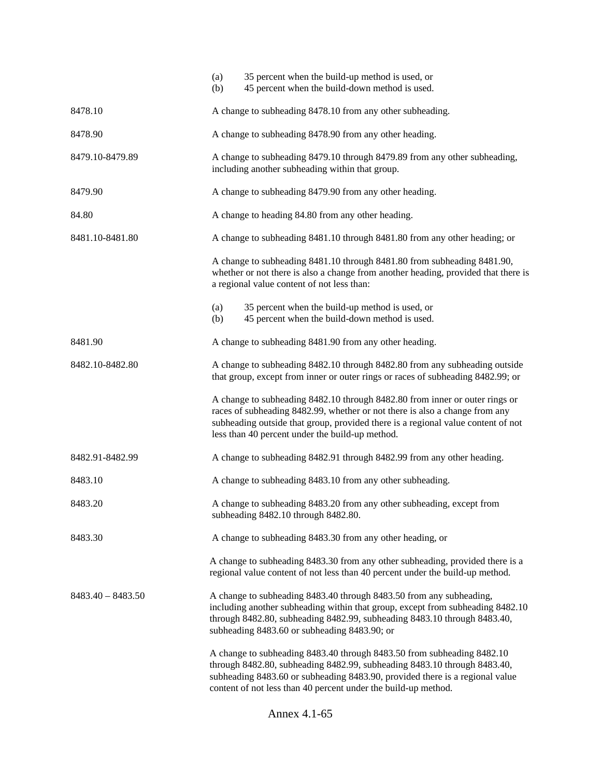|                     | (a)<br>(b) | 35 percent when the build-up method is used, or<br>45 percent when the build-down method is used.                                                                                                                                                                                                    |
|---------------------|------------|------------------------------------------------------------------------------------------------------------------------------------------------------------------------------------------------------------------------------------------------------------------------------------------------------|
| 8478.10             |            | A change to subheading 8478.10 from any other subheading.                                                                                                                                                                                                                                            |
| 8478.90             |            | A change to subheading 8478.90 from any other heading.                                                                                                                                                                                                                                               |
| 8479.10-8479.89     |            | A change to subheading 8479.10 through 8479.89 from any other subheading,<br>including another subheading within that group.                                                                                                                                                                         |
| 8479.90             |            | A change to subheading 8479.90 from any other heading.                                                                                                                                                                                                                                               |
| 84.80               |            | A change to heading 84.80 from any other heading.                                                                                                                                                                                                                                                    |
| 8481.10-8481.80     |            | A change to subheading 8481.10 through 8481.80 from any other heading; or                                                                                                                                                                                                                            |
|                     |            | A change to subheading 8481.10 through 8481.80 from subheading 8481.90,<br>whether or not there is also a change from another heading, provided that there is<br>a regional value content of not less than:                                                                                          |
|                     | (a)        | 35 percent when the build-up method is used, or                                                                                                                                                                                                                                                      |
|                     | (b)        | 45 percent when the build-down method is used.                                                                                                                                                                                                                                                       |
| 8481.90             |            | A change to subheading 8481.90 from any other heading.                                                                                                                                                                                                                                               |
| 8482.10-8482.80     |            | A change to subheading 8482.10 through 8482.80 from any subheading outside<br>that group, except from inner or outer rings or races of subheading 8482.99; or                                                                                                                                        |
|                     |            | A change to subheading 8482.10 through 8482.80 from inner or outer rings or<br>races of subheading 8482.99, whether or not there is also a change from any<br>subheading outside that group, provided there is a regional value content of not<br>less than 40 percent under the build-up method.    |
| 8482.91-8482.99     |            | A change to subheading 8482.91 through 8482.99 from any other heading.                                                                                                                                                                                                                               |
| 8483.10             |            | A change to subheading 8483.10 from any other subheading.                                                                                                                                                                                                                                            |
| 8483.20             |            | A change to subheading 8483.20 from any other subheading, except from<br>subheading 8482.10 through 8482.80.                                                                                                                                                                                         |
| 8483.30             |            | A change to subheading 8483.30 from any other heading, or                                                                                                                                                                                                                                            |
|                     |            | A change to subheading 8483.30 from any other subheading, provided there is a<br>regional value content of not less than 40 percent under the build-up method.                                                                                                                                       |
| $8483.40 - 8483.50$ |            | A change to subheading 8483.40 through 8483.50 from any subheading,<br>including another subheading within that group, except from subheading 8482.10<br>through 8482.80, subheading 8482.99, subheading 8483.10 through 8483.40,<br>subheading 8483.60 or subheading 8483.90; or                    |
|                     |            | A change to subheading 8483.40 through 8483.50 from subheading 8482.10<br>through 8482.80, subheading 8482.99, subheading 8483.10 through 8483.40,<br>subheading 8483.60 or subheading 8483.90, provided there is a regional value<br>content of not less than 40 percent under the build-up method. |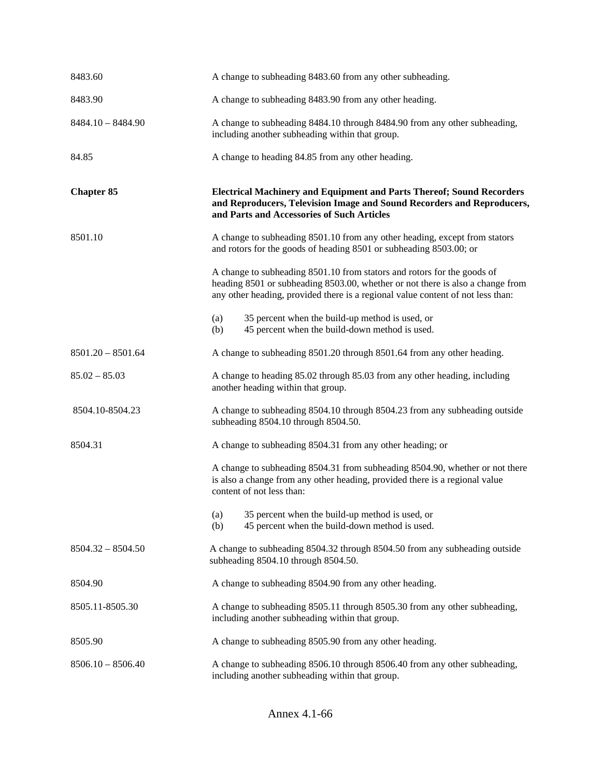| 8483.60             | A change to subheading 8483.60 from any other subheading.                                                                                                                                                                                    |
|---------------------|----------------------------------------------------------------------------------------------------------------------------------------------------------------------------------------------------------------------------------------------|
| 8483.90             | A change to subheading 8483.90 from any other heading.                                                                                                                                                                                       |
| $8484.10 - 8484.90$ | A change to subheading 8484.10 through 8484.90 from any other subheading,<br>including another subheading within that group.                                                                                                                 |
| 84.85               | A change to heading 84.85 from any other heading.                                                                                                                                                                                            |
| <b>Chapter 85</b>   | <b>Electrical Machinery and Equipment and Parts Thereof; Sound Recorders</b><br>and Reproducers, Television Image and Sound Recorders and Reproducers,<br>and Parts and Accessories of Such Articles                                         |
| 8501.10             | A change to subheading 8501.10 from any other heading, except from stators<br>and rotors for the goods of heading 8501 or subheading 8503.00; or                                                                                             |
|                     | A change to subheading 8501.10 from stators and rotors for the goods of<br>heading 8501 or subheading 8503.00, whether or not there is also a change from<br>any other heading, provided there is a regional value content of not less than: |
|                     | 35 percent when the build-up method is used, or<br>(a)<br>45 percent when the build-down method is used.<br>(b)                                                                                                                              |
| $8501.20 - 8501.64$ | A change to subheading 8501.20 through 8501.64 from any other heading.                                                                                                                                                                       |
| $85.02 - 85.03$     | A change to heading 85.02 through 85.03 from any other heading, including<br>another heading within that group.                                                                                                                              |
| 8504.10-8504.23     | A change to subheading 8504.10 through 8504.23 from any subheading outside<br>subheading 8504.10 through 8504.50.                                                                                                                            |
| 8504.31             | A change to subheading 8504.31 from any other heading; or                                                                                                                                                                                    |
|                     | A change to subheading 8504.31 from subheading 8504.90, whether or not there<br>is also a change from any other heading, provided there is a regional value<br>content of not less than:                                                     |
|                     | 35 percent when the build-up method is used, or<br>(a)<br>45 percent when the build-down method is used.<br>(b)                                                                                                                              |
| $8504.32 - 8504.50$ | A change to subheading 8504.32 through 8504.50 from any subheading outside<br>subheading 8504.10 through 8504.50.                                                                                                                            |
| 8504.90             | A change to subheading 8504.90 from any other heading.                                                                                                                                                                                       |
| 8505.11-8505.30     | A change to subheading 8505.11 through 8505.30 from any other subheading,<br>including another subheading within that group.                                                                                                                 |
| 8505.90             | A change to subheading 8505.90 from any other heading.                                                                                                                                                                                       |
| $8506.10 - 8506.40$ | A change to subheading 8506.10 through 8506.40 from any other subheading,<br>including another subheading within that group.                                                                                                                 |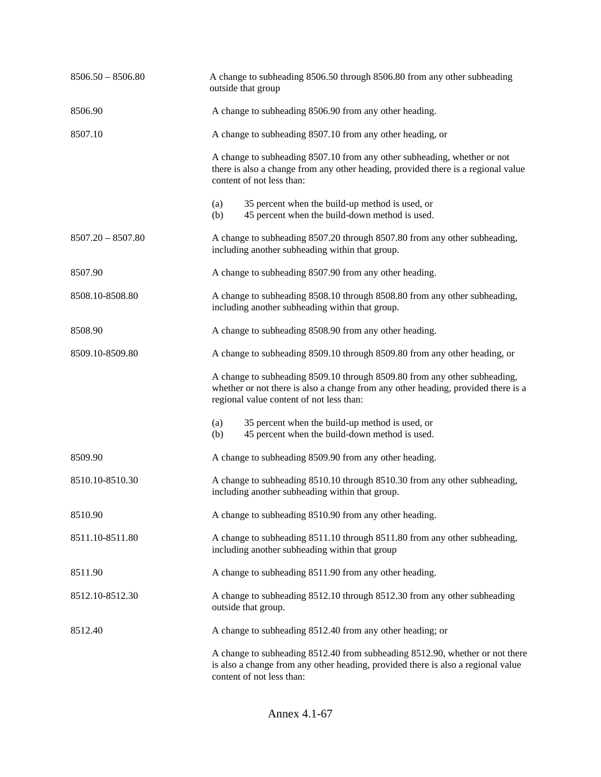| $8506.50 - 8506.80$ | A change to subheading 8506.50 through 8506.80 from any other subheading<br>outside that group                                                                                                             |  |
|---------------------|------------------------------------------------------------------------------------------------------------------------------------------------------------------------------------------------------------|--|
| 8506.90             | A change to subheading 8506.90 from any other heading.                                                                                                                                                     |  |
| 8507.10             | A change to subheading 8507.10 from any other heading, or                                                                                                                                                  |  |
|                     | A change to subheading 8507.10 from any other subheading, whether or not<br>there is also a change from any other heading, provided there is a regional value<br>content of not less than:                 |  |
|                     | 35 percent when the build-up method is used, or<br>(a)<br>45 percent when the build-down method is used.<br>(b)                                                                                            |  |
| $8507.20 - 8507.80$ | A change to subheading 8507.20 through 8507.80 from any other subheading,<br>including another subheading within that group.                                                                               |  |
| 8507.90             | A change to subheading 8507.90 from any other heading.                                                                                                                                                     |  |
| 8508.10-8508.80     | A change to subheading 8508.10 through 8508.80 from any other subheading,<br>including another subheading within that group.                                                                               |  |
| 8508.90             | A change to subheading 8508.90 from any other heading.                                                                                                                                                     |  |
| 8509.10-8509.80     | A change to subheading 8509.10 through 8509.80 from any other heading, or                                                                                                                                  |  |
|                     | A change to subheading 8509.10 through 8509.80 from any other subheading,<br>whether or not there is also a change from any other heading, provided there is a<br>regional value content of not less than: |  |
|                     | 35 percent when the build-up method is used, or<br>(a)<br>45 percent when the build-down method is used.<br>(b)                                                                                            |  |
| 8509.90             | A change to subheading 8509.90 from any other heading.                                                                                                                                                     |  |
| 8510.10-8510.30     | A change to subheading 8510.10 through 8510.30 from any other subheading,<br>including another subheading within that group.                                                                               |  |
| 8510.90             | A change to subheading 8510.90 from any other heading.                                                                                                                                                     |  |
| 8511.10-8511.80     | A change to subheading 8511.10 through 8511.80 from any other subheading,<br>including another subheading within that group                                                                                |  |
| 8511.90             | A change to subheading 8511.90 from any other heading.                                                                                                                                                     |  |
| 8512.10-8512.30     | A change to subheading 8512.10 through 8512.30 from any other subheading<br>outside that group.                                                                                                            |  |
| 8512.40             | A change to subheading 8512.40 from any other heading; or                                                                                                                                                  |  |
|                     | A change to subheading 8512.40 from subheading 8512.90, whether or not there<br>is also a change from any other heading, provided there is also a regional value<br>content of not less than:              |  |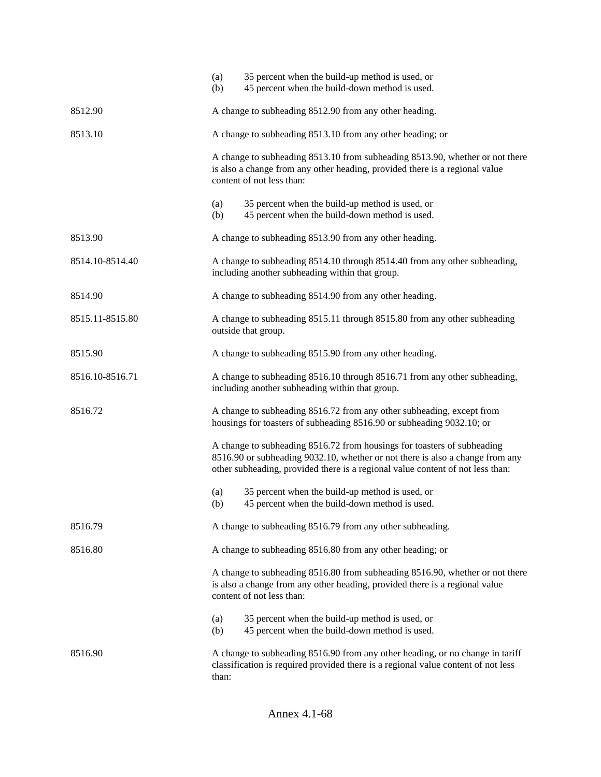|                 | (a)<br>(b)                                                | 35 percent when the build-up method is used, or<br>45 percent when the build-down method is used.                                                                                                                                          |  |
|-----------------|-----------------------------------------------------------|--------------------------------------------------------------------------------------------------------------------------------------------------------------------------------------------------------------------------------------------|--|
| 8512.90         | A change to subheading 8512.90 from any other heading.    |                                                                                                                                                                                                                                            |  |
| 8513.10         | A change to subheading 8513.10 from any other heading; or |                                                                                                                                                                                                                                            |  |
|                 |                                                           | A change to subheading 8513.10 from subheading 8513.90, whether or not there<br>is also a change from any other heading, provided there is a regional value<br>content of not less than:                                                   |  |
|                 | (a)<br>(b)                                                | 35 percent when the build-up method is used, or<br>45 percent when the build-down method is used.                                                                                                                                          |  |
| 8513.90         |                                                           | A change to subheading 8513.90 from any other heading.                                                                                                                                                                                     |  |
| 8514.10-8514.40 |                                                           | A change to subheading 8514.10 through 8514.40 from any other subheading,<br>including another subheading within that group.                                                                                                               |  |
| 8514.90         |                                                           | A change to subheading 8514.90 from any other heading.                                                                                                                                                                                     |  |
| 8515.11-8515.80 |                                                           | A change to subheading 8515.11 through 8515.80 from any other subheading<br>outside that group.                                                                                                                                            |  |
| 8515.90         |                                                           | A change to subheading 8515.90 from any other heading.                                                                                                                                                                                     |  |
| 8516.10-8516.71 |                                                           | A change to subheading 8516.10 through 8516.71 from any other subheading,<br>including another subheading within that group.                                                                                                               |  |
| 8516.72         |                                                           | A change to subheading 8516.72 from any other subheading, except from<br>housings for toasters of subheading 8516.90 or subheading 9032.10; or                                                                                             |  |
|                 |                                                           | A change to subheading 8516.72 from housings for toasters of subheading<br>8516.90 or subheading 9032.10, whether or not there is also a change from any<br>other subheading, provided there is a regional value content of not less than: |  |
|                 | (a)<br>(b)                                                | 35 percent when the build-up method is used, or<br>45 percent when the build-down method is used.                                                                                                                                          |  |
| 8516.79         | A change to subheading 8516.79 from any other subheading. |                                                                                                                                                                                                                                            |  |
| 8516.80         |                                                           | A change to subheading 8516.80 from any other heading; or                                                                                                                                                                                  |  |
|                 |                                                           | A change to subheading 8516.80 from subheading 8516.90, whether or not there<br>is also a change from any other heading, provided there is a regional value<br>content of not less than:                                                   |  |
|                 | (a)<br>(b)                                                | 35 percent when the build-up method is used, or<br>45 percent when the build-down method is used.                                                                                                                                          |  |
| 8516.90         | than:                                                     | A change to subheading 8516.90 from any other heading, or no change in tariff<br>classification is required provided there is a regional value content of not less                                                                         |  |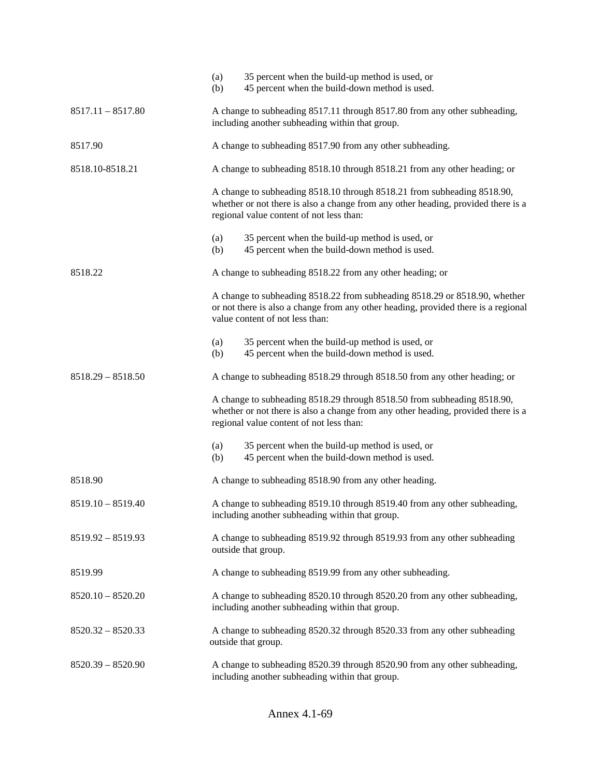|                     | (a)<br>(b) | 35 percent when the build-up method is used, or<br>45 percent when the build-down method is used.                                                                                                        |  |  |
|---------------------|------------|----------------------------------------------------------------------------------------------------------------------------------------------------------------------------------------------------------|--|--|
| $8517.11 - 8517.80$ |            | A change to subheading 8517.11 through 8517.80 from any other subheading,<br>including another subheading within that group.                                                                             |  |  |
| 8517.90             |            | A change to subheading 8517.90 from any other subheading.                                                                                                                                                |  |  |
| 8518.10-8518.21     |            | A change to subheading 8518.10 through 8518.21 from any other heading; or                                                                                                                                |  |  |
|                     |            | A change to subheading 8518.10 through 8518.21 from subheading 8518.90,<br>whether or not there is also a change from any other heading, provided there is a<br>regional value content of not less than: |  |  |
|                     | (a)<br>(b) | 35 percent when the build-up method is used, or<br>45 percent when the build-down method is used.                                                                                                        |  |  |
| 8518.22             |            | A change to subheading 8518.22 from any other heading; or                                                                                                                                                |  |  |
|                     |            | A change to subheading 8518.22 from subheading 8518.29 or 8518.90, whether<br>or not there is also a change from any other heading, provided there is a regional<br>value content of not less than:      |  |  |
|                     | (a)<br>(b) | 35 percent when the build-up method is used, or<br>45 percent when the build-down method is used.                                                                                                        |  |  |
| $8518.29 - 8518.50$ |            | A change to subheading 8518.29 through 8518.50 from any other heading; or                                                                                                                                |  |  |
|                     |            | A change to subheading 8518.29 through 8518.50 from subheading 8518.90,<br>whether or not there is also a change from any other heading, provided there is a<br>regional value content of not less than: |  |  |
|                     | (a)<br>(b) | 35 percent when the build-up method is used, or<br>45 percent when the build-down method is used.                                                                                                        |  |  |
| 8518.90             |            | A change to subheading 8518.90 from any other heading.                                                                                                                                                   |  |  |
| $8519.10 - 8519.40$ |            | A change to subheading 8519.10 through 8519.40 from any other subheading,<br>including another subheading within that group.                                                                             |  |  |
| $8519.92 - 8519.93$ |            | A change to subheading 8519.92 through 8519.93 from any other subheading<br>outside that group.                                                                                                          |  |  |
| 8519.99             |            | A change to subheading 8519.99 from any other subheading.                                                                                                                                                |  |  |
| $8520.10 - 8520.20$ |            | A change to subheading 8520.10 through 8520.20 from any other subheading,<br>including another subheading within that group.                                                                             |  |  |
| $8520.32 - 8520.33$ |            | A change to subheading 8520.32 through 8520.33 from any other subheading<br>outside that group.                                                                                                          |  |  |
| $8520.39 - 8520.90$ |            | A change to subheading 8520.39 through 8520.90 from any other subheading,<br>including another subheading within that group.                                                                             |  |  |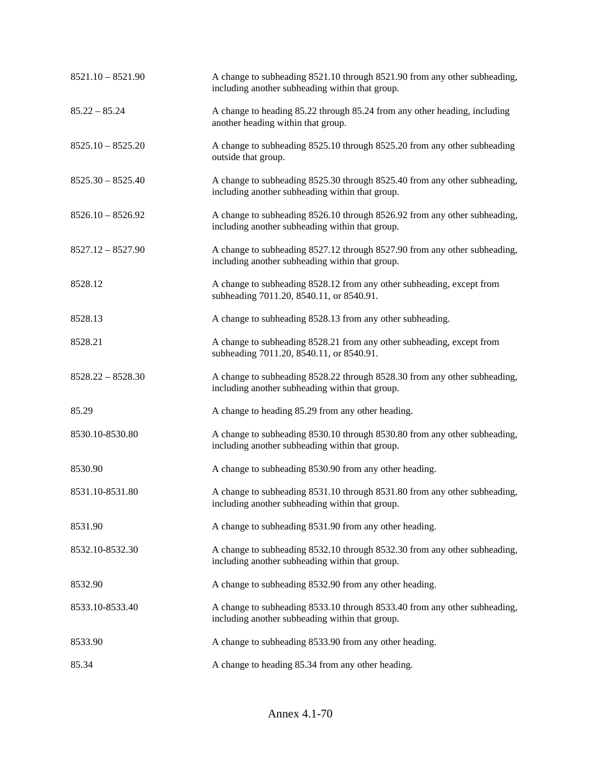| $8521.10 - 8521.90$ | A change to subheading 8521.10 through 8521.90 from any other subheading,<br>including another subheading within that group. |
|---------------------|------------------------------------------------------------------------------------------------------------------------------|
| $85.22 - 85.24$     | A change to heading 85.22 through 85.24 from any other heading, including<br>another heading within that group.              |
| $8525.10 - 8525.20$ | A change to subheading 8525.10 through 8525.20 from any other subheading<br>outside that group.                              |
| $8525.30 - 8525.40$ | A change to subheading 8525.30 through 8525.40 from any other subheading,<br>including another subheading within that group. |
| $8526.10 - 8526.92$ | A change to subheading 8526.10 through 8526.92 from any other subheading,<br>including another subheading within that group. |
| $8527.12 - 8527.90$ | A change to subheading 8527.12 through 8527.90 from any other subheading,<br>including another subheading within that group. |
| 8528.12             | A change to subheading 8528.12 from any other subheading, except from<br>subheading 7011.20, 8540.11, or 8540.91.            |
| 8528.13             | A change to subheading 8528.13 from any other subheading.                                                                    |
| 8528.21             | A change to subheading 8528.21 from any other subheading, except from<br>subheading 7011.20, 8540.11, or 8540.91.            |
| $8528.22 - 8528.30$ | A change to subheading 8528.22 through 8528.30 from any other subheading,<br>including another subheading within that group. |
| 85.29               | A change to heading 85.29 from any other heading.                                                                            |
| 8530.10-8530.80     | A change to subheading 8530.10 through 8530.80 from any other subheading,<br>including another subheading within that group. |
| 8530.90             | A change to subheading 8530.90 from any other heading.                                                                       |
| 8531.10-8531.80     | A change to subheading 8531.10 through 8531.80 from any other subheading,<br>including another subheading within that group. |
| 8531.90             | A change to subheading 8531.90 from any other heading.                                                                       |
| 8532.10-8532.30     | A change to subheading 8532.10 through 8532.30 from any other subheading,<br>including another subheading within that group. |
| 8532.90             | A change to subheading 8532.90 from any other heading.                                                                       |
| 8533.10-8533.40     | A change to subheading 8533.10 through 8533.40 from any other subheading,<br>including another subheading within that group. |
| 8533.90             | A change to subheading 8533.90 from any other heading.                                                                       |
| 85.34               | A change to heading 85.34 from any other heading.                                                                            |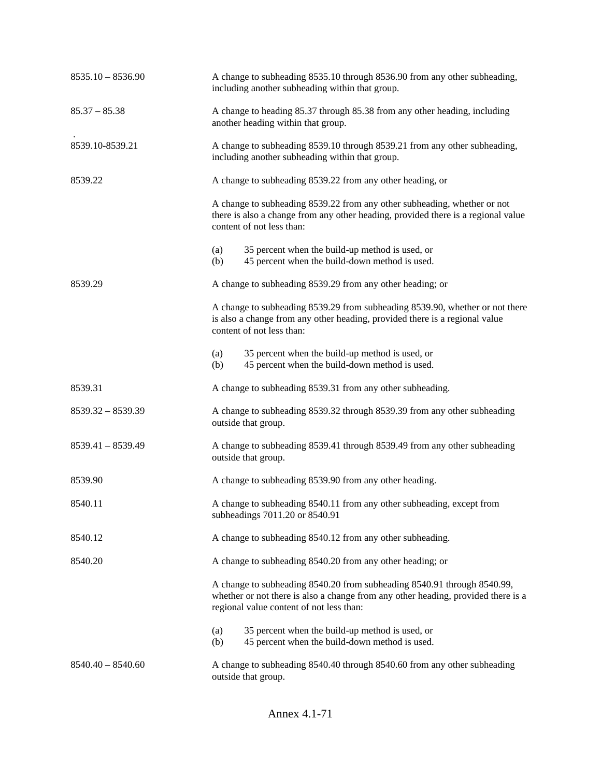| $8535.10 - 8536.90$ | A change to subheading 8535.10 through 8536.90 from any other subheading,<br>including another subheading within that group.                                                                             |  |  |
|---------------------|----------------------------------------------------------------------------------------------------------------------------------------------------------------------------------------------------------|--|--|
| $85.37 - 85.38$     | A change to heading 85.37 through 85.38 from any other heading, including<br>another heading within that group.                                                                                          |  |  |
| 8539.10-8539.21     | A change to subheading 8539.10 through 8539.21 from any other subheading,<br>including another subheading within that group.                                                                             |  |  |
| 8539.22             | A change to subheading 8539.22 from any other heading, or                                                                                                                                                |  |  |
|                     | A change to subheading 8539.22 from any other subheading, whether or not<br>there is also a change from any other heading, provided there is a regional value<br>content of not less than:               |  |  |
|                     | 35 percent when the build-up method is used, or<br>(a)<br>45 percent when the build-down method is used.<br>(b)                                                                                          |  |  |
| 8539.29             | A change to subheading 8539.29 from any other heading; or                                                                                                                                                |  |  |
|                     | A change to subheading 8539.29 from subheading 8539.90, whether or not there<br>is also a change from any other heading, provided there is a regional value<br>content of not less than:                 |  |  |
|                     | 35 percent when the build-up method is used, or<br>(a)<br>45 percent when the build-down method is used.<br>(b)                                                                                          |  |  |
| 8539.31             | A change to subheading 8539.31 from any other subheading.                                                                                                                                                |  |  |
| $8539.32 - 8539.39$ | A change to subheading 8539.32 through 8539.39 from any other subheading<br>outside that group.                                                                                                          |  |  |
| $8539.41 - 8539.49$ | A change to subheading 8539.41 through 8539.49 from any other subheading<br>outside that group.                                                                                                          |  |  |
| 8539.90             | A change to subheading 8539.90 from any other heading.                                                                                                                                                   |  |  |
| 8540.11             | A change to subheading 8540.11 from any other subheading, except from<br>subheadings 7011.20 or 8540.91                                                                                                  |  |  |
| 8540.12             | A change to subheading 8540.12 from any other subheading.                                                                                                                                                |  |  |
| 8540.20             | A change to subheading 8540.20 from any other heading; or                                                                                                                                                |  |  |
|                     | A change to subheading 8540.20 from subheading 8540.91 through 8540.99,<br>whether or not there is also a change from any other heading, provided there is a<br>regional value content of not less than: |  |  |
|                     | 35 percent when the build-up method is used, or<br>(a)<br>(b)<br>45 percent when the build-down method is used.                                                                                          |  |  |
| $8540.40 - 8540.60$ | A change to subheading 8540.40 through 8540.60 from any other subheading<br>outside that group.                                                                                                          |  |  |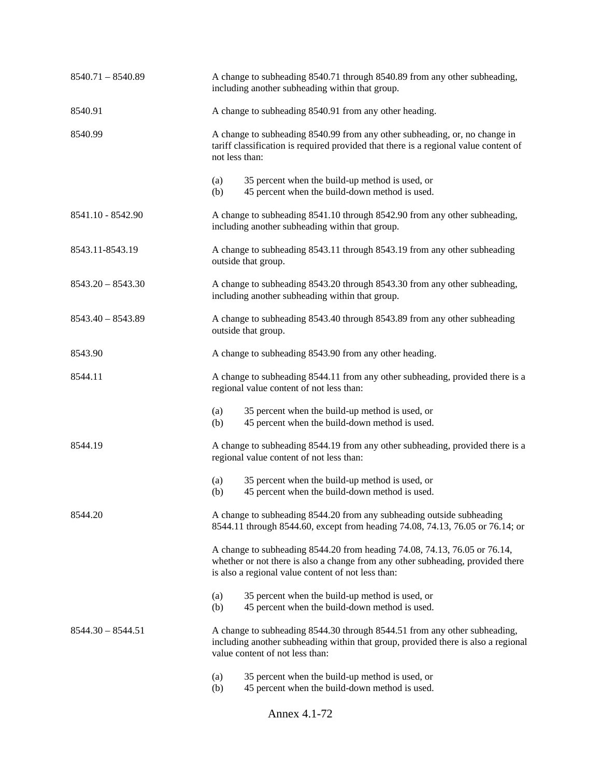| $8540.71 - 8540.89$ | A change to subheading 8540.71 through 8540.89 from any other subheading,<br>including another subheading within that group.                                                                                       |  |
|---------------------|--------------------------------------------------------------------------------------------------------------------------------------------------------------------------------------------------------------------|--|
| 8540.91             | A change to subheading 8540.91 from any other heading.                                                                                                                                                             |  |
| 8540.99             | A change to subheading 8540.99 from any other subheading, or, no change in<br>tariff classification is required provided that there is a regional value content of<br>not less than:                               |  |
|                     | 35 percent when the build-up method is used, or<br>(a)<br>45 percent when the build-down method is used.<br>(b)                                                                                                    |  |
| 8541.10 - 8542.90   | A change to subheading 8541.10 through 8542.90 from any other subheading,<br>including another subheading within that group.                                                                                       |  |
| 8543.11-8543.19     | A change to subheading 8543.11 through 8543.19 from any other subheading<br>outside that group.                                                                                                                    |  |
| $8543.20 - 8543.30$ | A change to subheading 8543.20 through 8543.30 from any other subheading,<br>including another subheading within that group.                                                                                       |  |
| $8543.40 - 8543.89$ | A change to subheading 8543.40 through 8543.89 from any other subheading<br>outside that group.                                                                                                                    |  |
| 8543.90             | A change to subheading 8543.90 from any other heading.                                                                                                                                                             |  |
| 8544.11             | A change to subheading 8544.11 from any other subheading, provided there is a<br>regional value content of not less than:                                                                                          |  |
|                     | 35 percent when the build-up method is used, or<br>(a)<br>45 percent when the build-down method is used.<br>(b)                                                                                                    |  |
| 8544.19             | A change to subheading 8544.19 from any other subheading, provided there is a<br>regional value content of not less than:                                                                                          |  |
|                     | 35 percent when the build-up method is used, or<br>(a)<br>45 percent when the build-down method is used.<br>(b)                                                                                                    |  |
| 8544.20             | A change to subheading 8544.20 from any subheading outside subheading<br>8544.11 through 8544.60, except from heading 74.08, 74.13, 76.05 or 76.14; or                                                             |  |
|                     | A change to subheading 8544.20 from heading 74.08, 74.13, 76.05 or 76.14,<br>whether or not there is also a change from any other subheading, provided there<br>is also a regional value content of not less than: |  |
|                     | 35 percent when the build-up method is used, or<br>(a)<br>(b)<br>45 percent when the build-down method is used.                                                                                                    |  |
| $8544.30 - 8544.51$ | A change to subheading 8544.30 through 8544.51 from any other subheading,<br>including another subheading within that group, provided there is also a regional<br>value content of not less than:                  |  |
|                     | 35 percent when the build-up method is used, or<br>(a)<br>(b)<br>45 percent when the build-down method is used.                                                                                                    |  |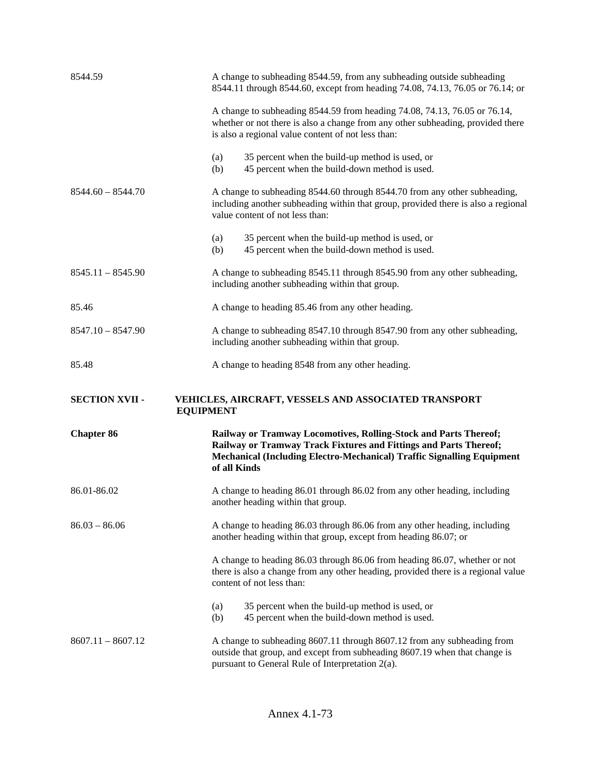| 8544.59               | A change to subheading 8544.59, from any subheading outside subheading<br>8544.11 through 8544.60, except from heading 74.08, 74.13, 76.05 or 76.14; or                                                                         |  |
|-----------------------|---------------------------------------------------------------------------------------------------------------------------------------------------------------------------------------------------------------------------------|--|
|                       | A change to subheading 8544.59 from heading 74.08, 74.13, 76.05 or 76.14,<br>whether or not there is also a change from any other subheading, provided there<br>is also a regional value content of not less than:              |  |
|                       | (a)<br>35 percent when the build-up method is used, or<br>45 percent when the build-down method is used.<br>(b)                                                                                                                 |  |
| $8544.60 - 8544.70$   | A change to subheading 8544.60 through 8544.70 from any other subheading,<br>including another subheading within that group, provided there is also a regional<br>value content of not less than:                               |  |
|                       | (a)<br>35 percent when the build-up method is used, or<br>45 percent when the build-down method is used.<br>(b)                                                                                                                 |  |
| $8545.11 - 8545.90$   | A change to subheading 8545.11 through 8545.90 from any other subheading,<br>including another subheading within that group.                                                                                                    |  |
| 85.46                 | A change to heading 85.46 from any other heading.                                                                                                                                                                               |  |
| $8547.10 - 8547.90$   | A change to subheading 8547.10 through 8547.90 from any other subheading,<br>including another subheading within that group.                                                                                                    |  |
|                       | A change to heading 8548 from any other heading.                                                                                                                                                                                |  |
| 85.48                 |                                                                                                                                                                                                                                 |  |
| <b>SECTION XVII -</b> | VEHICLES, AIRCRAFT, VESSELS AND ASSOCIATED TRANSPORT<br><b>EQUIPMENT</b>                                                                                                                                                        |  |
| <b>Chapter 86</b>     | Railway or Tramway Locomotives, Rolling-Stock and Parts Thereof;<br>Railway or Tramway Track Fixtures and Fittings and Parts Thereof;<br>Mechanical (Including Electro-Mechanical) Traffic Signalling Equipment<br>of all Kinds |  |
| 86.01-86.02           | A change to heading 86.01 through 86.02 from any other heading, including<br>another heading within that group.                                                                                                                 |  |
| $86.03 - 86.06$       | A change to heading 86.03 through 86.06 from any other heading, including<br>another heading within that group, except from heading 86.07; or                                                                                   |  |
|                       | A change to heading 86.03 through 86.06 from heading 86.07, whether or not<br>there is also a change from any other heading, provided there is a regional value<br>content of not less than:                                    |  |
|                       | 35 percent when the build-up method is used, or<br>(a)<br>45 percent when the build-down method is used.<br>(b)                                                                                                                 |  |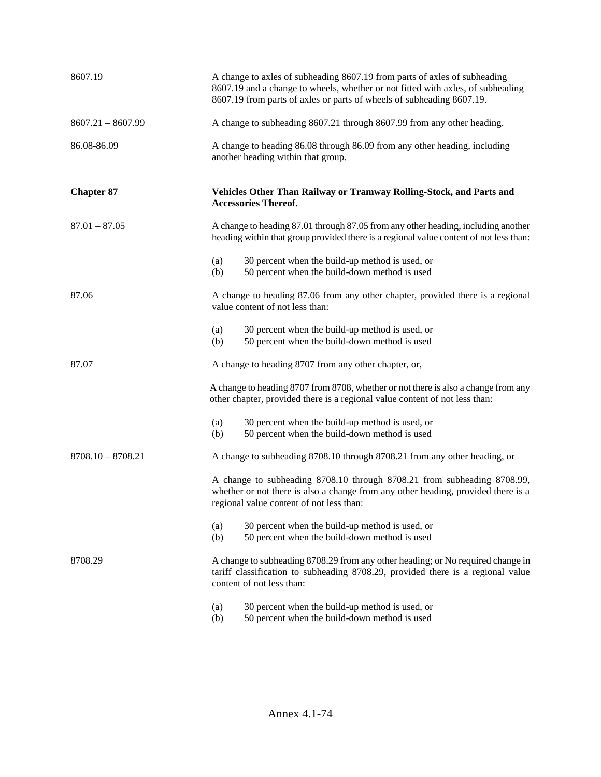| 8607.19             | A change to axles of subheading 8607.19 from parts of axles of subheading<br>8607.19 and a change to wheels, whether or not fitted with axles, of subheading<br>8607.19 from parts of axles or parts of wheels of subheading 8607.19. |  |  |
|---------------------|---------------------------------------------------------------------------------------------------------------------------------------------------------------------------------------------------------------------------------------|--|--|
| $8607.21 - 8607.99$ | A change to subheading 8607.21 through 8607.99 from any other heading.                                                                                                                                                                |  |  |
| 86.08-86.09         | A change to heading 86.08 through 86.09 from any other heading, including<br>another heading within that group.                                                                                                                       |  |  |
| <b>Chapter 87</b>   | Vehicles Other Than Railway or Tramway Rolling-Stock, and Parts and<br><b>Accessories Thereof.</b>                                                                                                                                    |  |  |
| $87.01 - 87.05$     | A change to heading 87.01 through 87.05 from any other heading, including another<br>heading within that group provided there is a regional value content of not less than:                                                           |  |  |
|                     | 30 percent when the build-up method is used, or<br>(a)<br>(b)<br>50 percent when the build-down method is used                                                                                                                        |  |  |
| 87.06               | A change to heading 87.06 from any other chapter, provided there is a regional<br>value content of not less than:                                                                                                                     |  |  |
|                     | 30 percent when the build-up method is used, or<br>(a)<br>50 percent when the build-down method is used<br>(b)                                                                                                                        |  |  |
| 87.07               | A change to heading 8707 from any other chapter, or,                                                                                                                                                                                  |  |  |
|                     | A change to heading 8707 from 8708, whether or not there is also a change from any<br>other chapter, provided there is a regional value content of not less than:                                                                     |  |  |
|                     | 30 percent when the build-up method is used, or<br>(a)<br>50 percent when the build-down method is used<br>(b)                                                                                                                        |  |  |
| $8708.10 - 8708.21$ | A change to subheading 8708.10 through 8708.21 from any other heading, or                                                                                                                                                             |  |  |
|                     | A change to subheading 8708.10 through 8708.21 from subheading 8708.99,<br>whether or not there is also a change from any other heading, provided there is a<br>regional value content of not less than:                              |  |  |
|                     | 30 percent when the build-up method is used, or<br>(a)<br>50 percent when the build-down method is used<br>(b)                                                                                                                        |  |  |
| 8708.29             | A change to subheading 8708.29 from any other heading; or No required change in<br>tariff classification to subheading 8708.29, provided there is a regional value<br>content of not less than:                                       |  |  |
|                     | 30 percent when the build-up method is used, or<br>(a)<br>50 percent when the build-down method is used<br>(b)                                                                                                                        |  |  |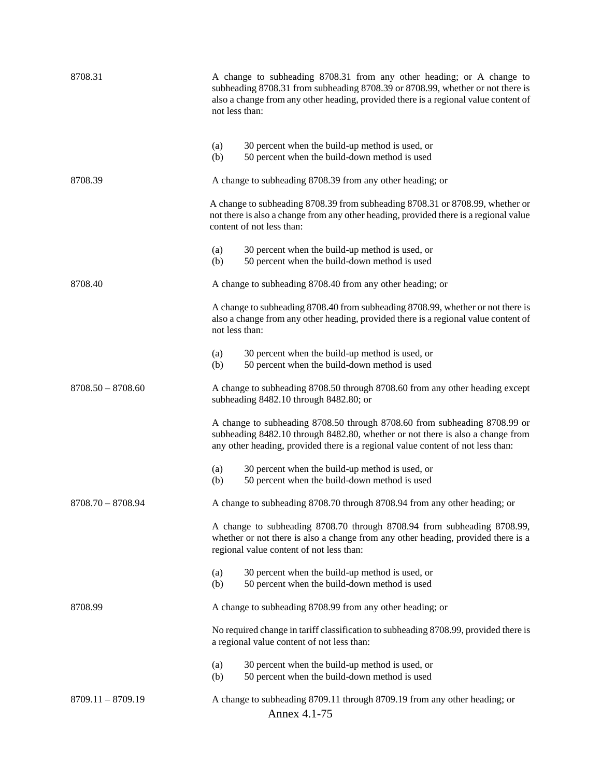| 8708.31             | A change to subheading 8708.31 from any other heading; or A change to<br>subheading 8708.31 from subheading 8708.39 or 8708.99, whether or not there is<br>also a change from any other heading, provided there is a regional value content of<br>not less than: |  |
|---------------------|------------------------------------------------------------------------------------------------------------------------------------------------------------------------------------------------------------------------------------------------------------------|--|
|                     | 30 percent when the build-up method is used, or<br>(a)<br>50 percent when the build-down method is used<br>(b)                                                                                                                                                   |  |
| 8708.39             | A change to subheading 8708.39 from any other heading; or                                                                                                                                                                                                        |  |
|                     | A change to subheading 8708.39 from subheading 8708.31 or 8708.99, whether or<br>not there is also a change from any other heading, provided there is a regional value<br>content of not less than:                                                              |  |
|                     | 30 percent when the build-up method is used, or<br>(a)<br>50 percent when the build-down method is used<br>(b)                                                                                                                                                   |  |
| 8708.40             | A change to subheading 8708.40 from any other heading; or                                                                                                                                                                                                        |  |
|                     | A change to subheading 8708.40 from subheading 8708.99, whether or not there is<br>also a change from any other heading, provided there is a regional value content of<br>not less than:                                                                         |  |
|                     | 30 percent when the build-up method is used, or<br>(a)<br>50 percent when the build-down method is used<br>(b)                                                                                                                                                   |  |
| $8708.50 - 8708.60$ | A change to subheading 8708.50 through 8708.60 from any other heading except<br>subheading 8482.10 through 8482.80; or                                                                                                                                           |  |
|                     | A change to subheading 8708.50 through 8708.60 from subheading 8708.99 or<br>subheading 8482.10 through 8482.80, whether or not there is also a change from<br>any other heading, provided there is a regional value content of not less than:                   |  |
|                     | 30 percent when the build-up method is used, or<br>(a)<br>50 percent when the build-down method is used<br>(b)                                                                                                                                                   |  |
| $8708.70 - 8708.94$ | A change to subheading 8708.70 through 8708.94 from any other heading; or                                                                                                                                                                                        |  |
|                     | A change to subheading 8708.70 through 8708.94 from subheading 8708.99,<br>whether or not there is also a change from any other heading, provided there is a<br>regional value content of not less than:                                                         |  |
|                     | 30 percent when the build-up method is used, or<br>(a)<br>50 percent when the build-down method is used<br>(b)                                                                                                                                                   |  |
| 8708.99             | A change to subheading 8708.99 from any other heading; or                                                                                                                                                                                                        |  |
|                     | No required change in tariff classification to subheading 8708.99, provided there is<br>a regional value content of not less than:                                                                                                                               |  |
|                     | 30 percent when the build-up method is used, or<br>(a)<br>50 percent when the build-down method is used<br>(b)                                                                                                                                                   |  |
| $8709.11 - 8709.19$ | A change to subheading 8709.11 through 8709.19 from any other heading; or<br>Annex 4.1-75                                                                                                                                                                        |  |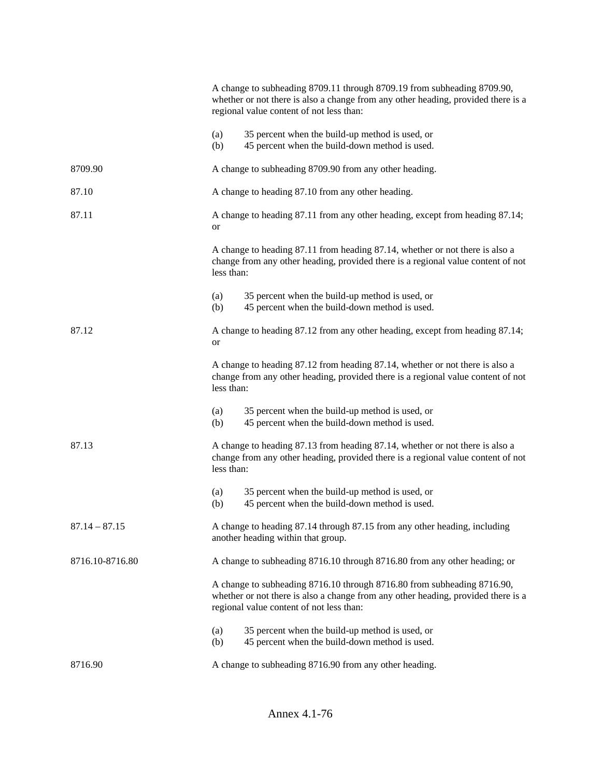|                 |                                                                                                                                                                                | A change to subheading 8709.11 through 8709.19 from subheading 8709.90,<br>whether or not there is also a change from any other heading, provided there is a<br>regional value content of not less than: |  |
|-----------------|--------------------------------------------------------------------------------------------------------------------------------------------------------------------------------|----------------------------------------------------------------------------------------------------------------------------------------------------------------------------------------------------------|--|
|                 | (a)<br>(b)                                                                                                                                                                     | 35 percent when the build-up method is used, or<br>45 percent when the build-down method is used.                                                                                                        |  |
| 8709.90         |                                                                                                                                                                                | A change to subheading 8709.90 from any other heading.                                                                                                                                                   |  |
| 87.10           |                                                                                                                                                                                | A change to heading 87.10 from any other heading.                                                                                                                                                        |  |
| 87.11           | or                                                                                                                                                                             | A change to heading 87.11 from any other heading, except from heading 87.14;                                                                                                                             |  |
|                 | less than:                                                                                                                                                                     | A change to heading 87.11 from heading 87.14, whether or not there is also a<br>change from any other heading, provided there is a regional value content of not                                         |  |
|                 | (a)<br>(b)                                                                                                                                                                     | 35 percent when the build-up method is used, or<br>45 percent when the build-down method is used.                                                                                                        |  |
| 87.12           | <b>or</b>                                                                                                                                                                      | A change to heading 87.12 from any other heading, except from heading 87.14;                                                                                                                             |  |
|                 | less than:                                                                                                                                                                     | A change to heading 87.12 from heading 87.14, whether or not there is also a<br>change from any other heading, provided there is a regional value content of not                                         |  |
|                 | (a)<br>(b)                                                                                                                                                                     | 35 percent when the build-up method is used, or<br>45 percent when the build-down method is used.                                                                                                        |  |
| 87.13           | A change to heading 87.13 from heading 87.14, whether or not there is also a<br>change from any other heading, provided there is a regional value content of not<br>less than: |                                                                                                                                                                                                          |  |
|                 | (a)<br>(b)                                                                                                                                                                     | 35 percent when the build-up method is used, or<br>45 percent when the build-down method is used.                                                                                                        |  |
| $87.14 - 87.15$ |                                                                                                                                                                                | A change to heading 87.14 through 87.15 from any other heading, including<br>another heading within that group.                                                                                          |  |
| 8716.10-8716.80 |                                                                                                                                                                                | A change to subheading 8716.10 through 8716.80 from any other heading; or                                                                                                                                |  |
|                 |                                                                                                                                                                                | A change to subheading 8716.10 through 8716.80 from subheading 8716.90,<br>whether or not there is also a change from any other heading, provided there is a<br>regional value content of not less than: |  |
|                 | (a)<br>(b)                                                                                                                                                                     | 35 percent when the build-up method is used, or<br>45 percent when the build-down method is used.                                                                                                        |  |
| 8716.90         |                                                                                                                                                                                | A change to subheading 8716.90 from any other heading.                                                                                                                                                   |  |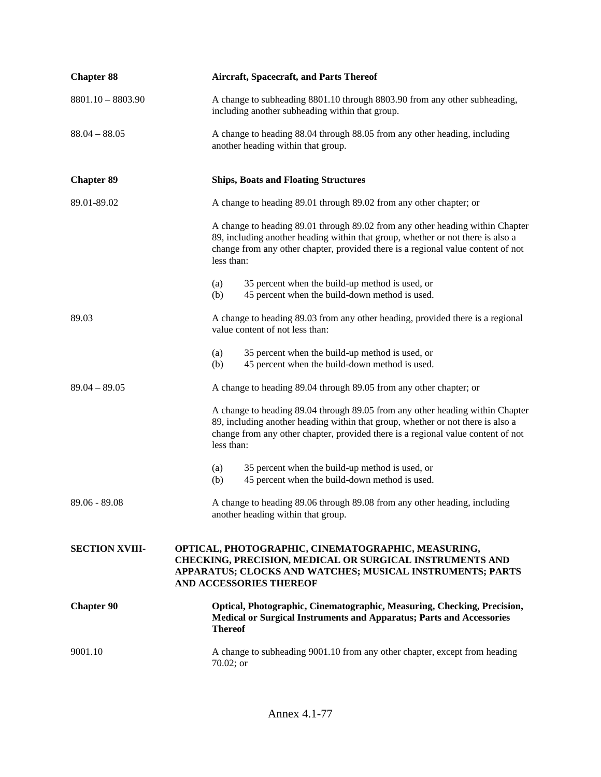| <b>Chapter 88</b>     | <b>Aircraft, Spacecraft, and Parts Thereof</b>                                                                                                                                                                                                                     |  |
|-----------------------|--------------------------------------------------------------------------------------------------------------------------------------------------------------------------------------------------------------------------------------------------------------------|--|
| $8801.10 - 8803.90$   | A change to subheading 8801.10 through 8803.90 from any other subheading,<br>including another subheading within that group.                                                                                                                                       |  |
| $88.04 - 88.05$       | A change to heading 88.04 through 88.05 from any other heading, including<br>another heading within that group.                                                                                                                                                    |  |
| <b>Chapter 89</b>     | <b>Ships, Boats and Floating Structures</b>                                                                                                                                                                                                                        |  |
| 89.01-89.02           | A change to heading 89.01 through 89.02 from any other chapter; or                                                                                                                                                                                                 |  |
|                       | A change to heading 89.01 through 89.02 from any other heading within Chapter<br>89, including another heading within that group, whether or not there is also a<br>change from any other chapter, provided there is a regional value content of not<br>less than: |  |
|                       | 35 percent when the build-up method is used, or<br>(a)<br>45 percent when the build-down method is used.<br>(b)                                                                                                                                                    |  |
| 89.03                 | A change to heading 89.03 from any other heading, provided there is a regional<br>value content of not less than:                                                                                                                                                  |  |
|                       | 35 percent when the build-up method is used, or<br>(a)<br>45 percent when the build-down method is used.<br>(b)                                                                                                                                                    |  |
| $89.04 - 89.05$       | A change to heading 89.04 through 89.05 from any other chapter; or                                                                                                                                                                                                 |  |
|                       | A change to heading 89.04 through 89.05 from any other heading within Chapter<br>89, including another heading within that group, whether or not there is also a<br>change from any other chapter, provided there is a regional value content of not<br>less than: |  |
|                       | 35 percent when the build-up method is used, or<br>(a)<br>45 percent when the build-down method is used.<br>(b)                                                                                                                                                    |  |
| $89.06 - 89.08$       | A change to heading 89.06 through 89.08 from any other heading, including<br>another heading within that group.                                                                                                                                                    |  |
| <b>SECTION XVIII-</b> | OPTICAL, PHOTOGRAPHIC, CINEMATOGRAPHIC, MEASURING,<br>CHECKING, PRECISION, MEDICAL OR SURGICAL INSTRUMENTS AND<br>APPARATUS; CLOCKS AND WATCHES; MUSICAL INSTRUMENTS; PARTS<br>AND ACCESSORIES THEREOF                                                             |  |
| <b>Chapter 90</b>     | Optical, Photographic, Cinematographic, Measuring, Checking, Precision,<br>Medical or Surgical Instruments and Apparatus; Parts and Accessories<br><b>Thereof</b>                                                                                                  |  |
| 9001.10               | A change to subheading 9001.10 from any other chapter, except from heading<br>70.02; or                                                                                                                                                                            |  |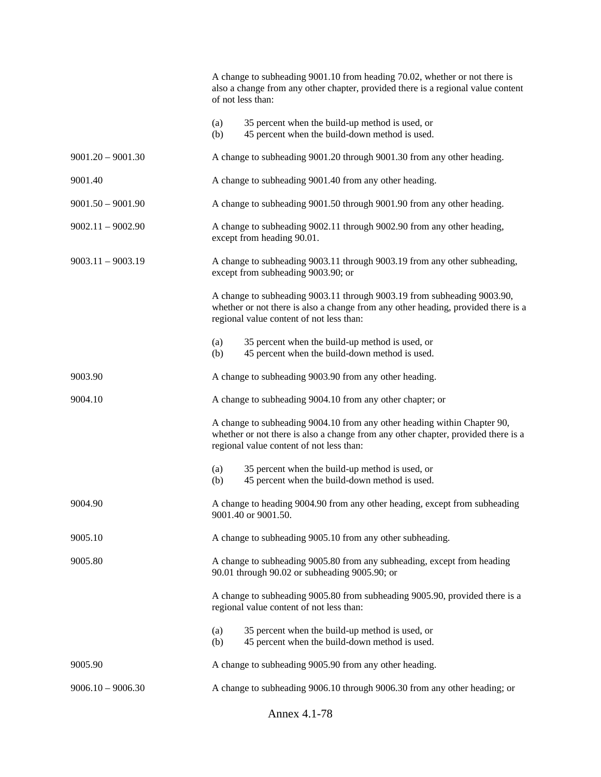|                     |            | A change to subheading 9001.10 from heading 70.02, whether or not there is<br>also a change from any other chapter, provided there is a regional value content<br>of not less than:                       |
|---------------------|------------|-----------------------------------------------------------------------------------------------------------------------------------------------------------------------------------------------------------|
|                     | (a)<br>(b) | 35 percent when the build-up method is used, or<br>45 percent when the build-down method is used.                                                                                                         |
| $9001.20 - 9001.30$ |            | A change to subheading 9001.20 through 9001.30 from any other heading.                                                                                                                                    |
| 9001.40             |            | A change to subheading 9001.40 from any other heading.                                                                                                                                                    |
| $9001.50 - 9001.90$ |            | A change to subheading 9001.50 through 9001.90 from any other heading.                                                                                                                                    |
| $9002.11 - 9002.90$ |            | A change to subheading 9002.11 through 9002.90 from any other heading,<br>except from heading 90.01.                                                                                                      |
| $9003.11 - 9003.19$ |            | A change to subheading 9003.11 through 9003.19 from any other subheading,<br>except from subheading 9003.90; or                                                                                           |
|                     |            | A change to subheading 9003.11 through 9003.19 from subheading 9003.90,<br>whether or not there is also a change from any other heading, provided there is a<br>regional value content of not less than:  |
|                     | (a)<br>(b) | 35 percent when the build-up method is used, or<br>45 percent when the build-down method is used.                                                                                                         |
| 9003.90             |            | A change to subheading 9003.90 from any other heading.                                                                                                                                                    |
| 9004.10             |            | A change to subheading 9004.10 from any other chapter; or                                                                                                                                                 |
|                     |            | A change to subheading 9004.10 from any other heading within Chapter 90,<br>whether or not there is also a change from any other chapter, provided there is a<br>regional value content of not less than: |
|                     | (a)<br>(b) | 35 percent when the build-up method is used, or<br>45 percent when the build-down method is used.                                                                                                         |
| 9004.90             |            | A change to heading 9004.90 from any other heading, except from subheading<br>9001.40 or 9001.50.                                                                                                         |
| 9005.10             |            | A change to subheading 9005.10 from any other subheading.                                                                                                                                                 |
| 9005.80             |            | A change to subheading 9005.80 from any subheading, except from heading<br>90.01 through 90.02 or subheading 9005.90; or                                                                                  |
|                     |            | A change to subheading 9005.80 from subheading 9005.90, provided there is a<br>regional value content of not less than:                                                                                   |
|                     | (a)<br>(b) | 35 percent when the build-up method is used, or<br>45 percent when the build-down method is used.                                                                                                         |
| 9005.90             |            | A change to subheading 9005.90 from any other heading.                                                                                                                                                    |
| $9006.10 - 9006.30$ |            | A change to subheading 9006.10 through 9006.30 from any other heading; or                                                                                                                                 |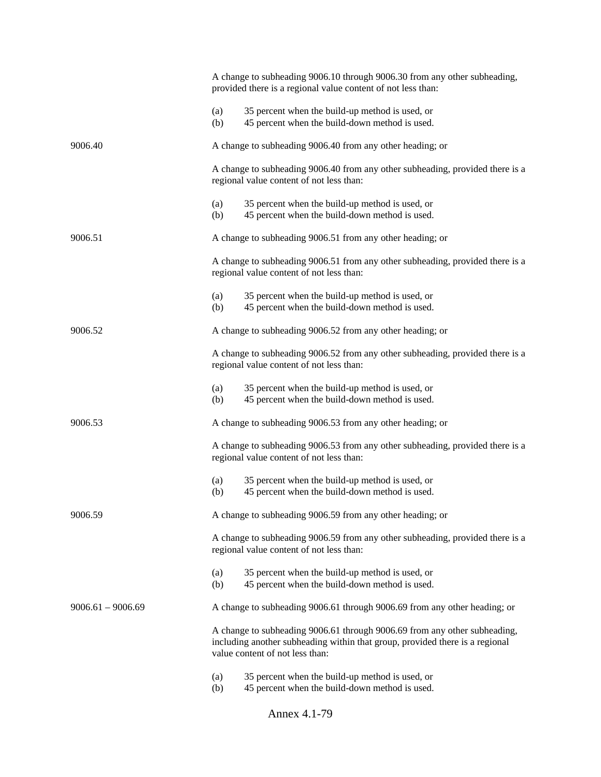|                     | Annex 4.1-79                                                                                                                                                                                 |  |  |
|---------------------|----------------------------------------------------------------------------------------------------------------------------------------------------------------------------------------------|--|--|
|                     | 35 percent when the build-up method is used, or<br>(a)<br>45 percent when the build-down method is used.<br>(b)                                                                              |  |  |
|                     | A change to subheading 9006.61 through 9006.69 from any other subheading,<br>including another subheading within that group, provided there is a regional<br>value content of not less than: |  |  |
| $9006.61 - 9006.69$ | A change to subheading 9006.61 through 9006.69 from any other heading; or                                                                                                                    |  |  |
|                     | 35 percent when the build-up method is used, or<br>(a)<br>(b)<br>45 percent when the build-down method is used.                                                                              |  |  |
|                     | A change to subheading 9006.59 from any other subheading, provided there is a<br>regional value content of not less than:                                                                    |  |  |
| 9006.59             | A change to subheading 9006.59 from any other heading; or                                                                                                                                    |  |  |
|                     | 35 percent when the build-up method is used, or<br>(a)<br>45 percent when the build-down method is used.<br>(b)                                                                              |  |  |
|                     | A change to subheading 9006.53 from any other subheading, provided there is a<br>regional value content of not less than:                                                                    |  |  |
| 9006.53             | A change to subheading 9006.53 from any other heading; or                                                                                                                                    |  |  |
|                     | 35 percent when the build-up method is used, or<br>(a)<br>45 percent when the build-down method is used.<br>(b)                                                                              |  |  |
|                     | A change to subheading 9006.52 from any other subheading, provided there is a<br>regional value content of not less than:                                                                    |  |  |
| 9006.52             | A change to subheading 9006.52 from any other heading; or                                                                                                                                    |  |  |
|                     | 35 percent when the build-up method is used, or<br>(a)<br>45 percent when the build-down method is used.<br>(b)                                                                              |  |  |
|                     | A change to subheading 9006.51 from any other subheading, provided there is a<br>regional value content of not less than:                                                                    |  |  |
| 9006.51             | A change to subheading 9006.51 from any other heading; or                                                                                                                                    |  |  |
|                     | (a)<br>35 percent when the build-up method is used, or<br>45 percent when the build-down method is used.<br>(b)                                                                              |  |  |
|                     | A change to subheading 9006.40 from any other subheading, provided there is a<br>regional value content of not less than:                                                                    |  |  |
| 9006.40             | A change to subheading 9006.40 from any other heading; or                                                                                                                                    |  |  |
|                     | 35 percent when the build-up method is used, or<br>(a)<br>(b)<br>45 percent when the build-down method is used.                                                                              |  |  |
|                     | A change to subheading 9006.10 through 9006.30 from any other subheading,<br>provided there is a regional value content of not less than:                                                    |  |  |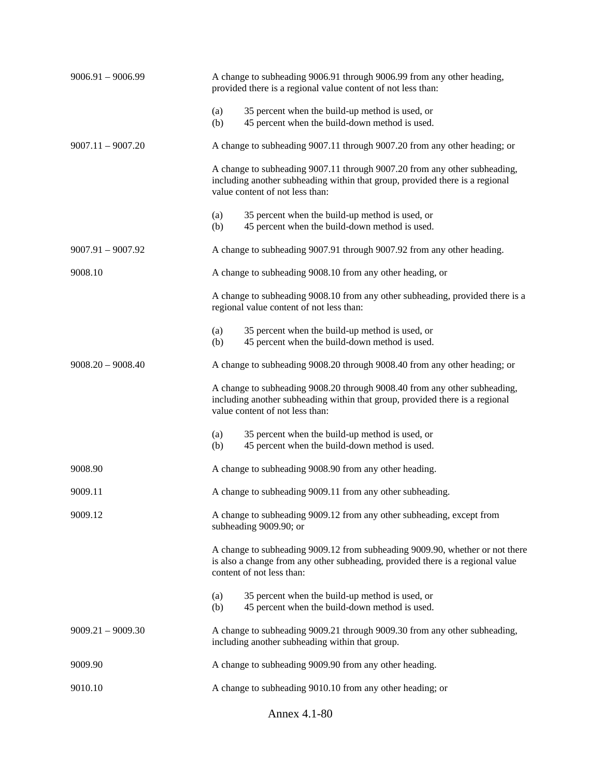| $9006.91 - 9006.99$ | A change to subheading 9006.91 through 9006.99 from any other heading,<br>provided there is a regional value content of not less than:                                                       |  |
|---------------------|----------------------------------------------------------------------------------------------------------------------------------------------------------------------------------------------|--|
|                     | 35 percent when the build-up method is used, or<br>(a)<br>(b)<br>45 percent when the build-down method is used.                                                                              |  |
| $9007.11 - 9007.20$ | A change to subheading 9007.11 through 9007.20 from any other heading; or                                                                                                                    |  |
|                     | A change to subheading 9007.11 through 9007.20 from any other subheading,<br>including another subheading within that group, provided there is a regional<br>value content of not less than: |  |
|                     | 35 percent when the build-up method is used, or<br>(a)<br>45 percent when the build-down method is used.<br>(b)                                                                              |  |
| $9007.91 - 9007.92$ | A change to subheading 9007.91 through 9007.92 from any other heading.                                                                                                                       |  |
| 9008.10             | A change to subheading 9008.10 from any other heading, or                                                                                                                                    |  |
|                     | A change to subheading 9008.10 from any other subheading, provided there is a<br>regional value content of not less than:                                                                    |  |
|                     | 35 percent when the build-up method is used, or<br>(a)<br>(b)<br>45 percent when the build-down method is used.                                                                              |  |
| $9008.20 - 9008.40$ | A change to subheading 9008.20 through 9008.40 from any other heading; or                                                                                                                    |  |
|                     | A change to subheading 9008.20 through 9008.40 from any other subheading,<br>including another subheading within that group, provided there is a regional<br>value content of not less than: |  |
|                     | 35 percent when the build-up method is used, or<br>(a)<br>(b)<br>45 percent when the build-down method is used.                                                                              |  |
| 9008.90             | A change to subheading 9008.90 from any other heading.                                                                                                                                       |  |
| 9009.11             | A change to subheading 9009.11 from any other subheading.                                                                                                                                    |  |
| 9009.12             | A change to subheading 9009.12 from any other subheading, except from<br>subheading 9009.90; or                                                                                              |  |
|                     | A change to subheading 9009.12 from subheading 9009.90, whether or not there<br>is also a change from any other subheading, provided there is a regional value<br>content of not less than:  |  |
|                     | 35 percent when the build-up method is used, or<br>(a)<br>(b)<br>45 percent when the build-down method is used.                                                                              |  |
| $9009.21 - 9009.30$ | A change to subheading 9009.21 through 9009.30 from any other subheading,<br>including another subheading within that group.                                                                 |  |
| 9009.90             | A change to subheading 9009.90 from any other heading.                                                                                                                                       |  |
| 9010.10             | A change to subheading 9010.10 from any other heading; or                                                                                                                                    |  |
|                     | Annex 4.1-80                                                                                                                                                                                 |  |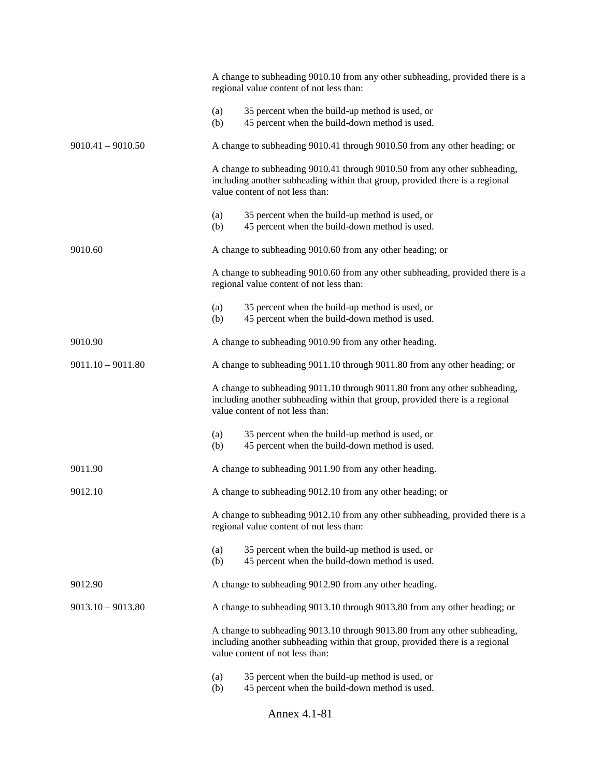|                     |                                                                                                                                                                                              | A change to subheading 9010.10 from any other subheading, provided there is a<br>regional value content of not less than:                                                                    |  |
|---------------------|----------------------------------------------------------------------------------------------------------------------------------------------------------------------------------------------|----------------------------------------------------------------------------------------------------------------------------------------------------------------------------------------------|--|
|                     | (a)<br>(b)                                                                                                                                                                                   | 35 percent when the build-up method is used, or<br>45 percent when the build-down method is used.                                                                                            |  |
| $9010.41 - 9010.50$ |                                                                                                                                                                                              | A change to subheading 9010.41 through 9010.50 from any other heading; or                                                                                                                    |  |
|                     |                                                                                                                                                                                              | A change to subheading 9010.41 through 9010.50 from any other subheading,<br>including another subheading within that group, provided there is a regional<br>value content of not less than: |  |
|                     | (a)<br>(b)                                                                                                                                                                                   | 35 percent when the build-up method is used, or<br>45 percent when the build-down method is used.                                                                                            |  |
| 9010.60             |                                                                                                                                                                                              | A change to subheading 9010.60 from any other heading; or                                                                                                                                    |  |
|                     |                                                                                                                                                                                              | A change to subheading 9010.60 from any other subheading, provided there is a<br>regional value content of not less than:                                                                    |  |
|                     | (a)<br>(b)                                                                                                                                                                                   | 35 percent when the build-up method is used, or<br>45 percent when the build-down method is used.                                                                                            |  |
| 9010.90             |                                                                                                                                                                                              | A change to subheading 9010.90 from any other heading.                                                                                                                                       |  |
| $9011.10 - 9011.80$ |                                                                                                                                                                                              | A change to subheading 9011.10 through 9011.80 from any other heading; or                                                                                                                    |  |
|                     | A change to subheading 9011.10 through 9011.80 from any other subheading,<br>including another subheading within that group, provided there is a regional<br>value content of not less than: |                                                                                                                                                                                              |  |
|                     | (a)<br>(b)                                                                                                                                                                                   | 35 percent when the build-up method is used, or<br>45 percent when the build-down method is used.                                                                                            |  |
| 9011.90             |                                                                                                                                                                                              | A change to subheading 9011.90 from any other heading.                                                                                                                                       |  |
| 9012.10             |                                                                                                                                                                                              | A change to subheading 9012.10 from any other heading; or                                                                                                                                    |  |
|                     |                                                                                                                                                                                              | A change to subheading 9012.10 from any other subheading, provided there is a<br>regional value content of not less than:                                                                    |  |
|                     | (a)<br>(b)                                                                                                                                                                                   | 35 percent when the build-up method is used, or<br>45 percent when the build-down method is used.                                                                                            |  |
| 9012.90             |                                                                                                                                                                                              | A change to subheading 9012.90 from any other heading.                                                                                                                                       |  |
| $9013.10 - 9013.80$ |                                                                                                                                                                                              | A change to subheading 9013.10 through 9013.80 from any other heading; or                                                                                                                    |  |
|                     |                                                                                                                                                                                              | A change to subheading 9013.10 through 9013.80 from any other subheading,<br>including another subheading within that group, provided there is a regional<br>value content of not less than: |  |
|                     | (a)<br>(b)                                                                                                                                                                                   | 35 percent when the build-up method is used, or<br>45 percent when the build-down method is used.                                                                                            |  |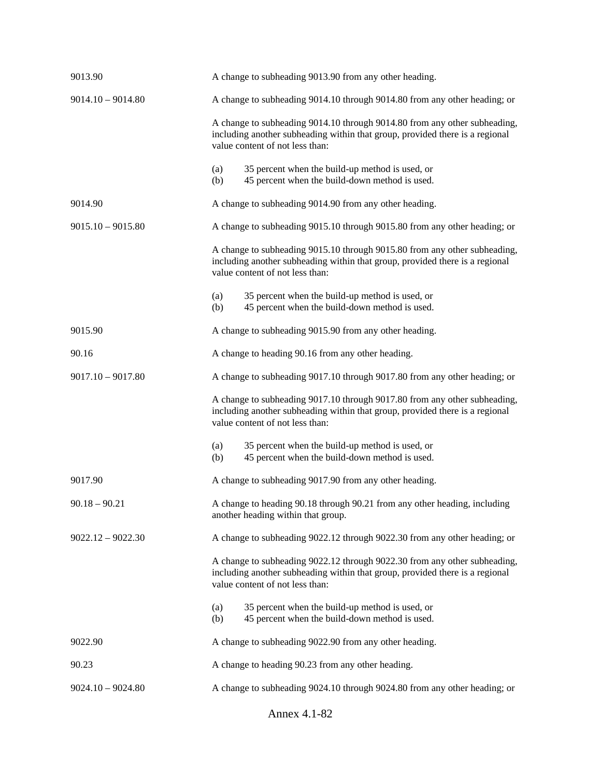| 9013.90             | A change to subheading 9013.90 from any other heading.                                                                                                                                       |  |  |
|---------------------|----------------------------------------------------------------------------------------------------------------------------------------------------------------------------------------------|--|--|
| $9014.10 - 9014.80$ | A change to subheading 9014.10 through 9014.80 from any other heading; or                                                                                                                    |  |  |
|                     | A change to subheading 9014.10 through 9014.80 from any other subheading,<br>including another subheading within that group, provided there is a regional<br>value content of not less than: |  |  |
|                     | 35 percent when the build-up method is used, or<br>(a)<br>45 percent when the build-down method is used.<br>(b)                                                                              |  |  |
| 9014.90             | A change to subheading 9014.90 from any other heading.                                                                                                                                       |  |  |
| $9015.10 - 9015.80$ | A change to subheading 9015.10 through 9015.80 from any other heading; or                                                                                                                    |  |  |
|                     | A change to subheading 9015.10 through 9015.80 from any other subheading,<br>including another subheading within that group, provided there is a regional<br>value content of not less than: |  |  |
|                     | 35 percent when the build-up method is used, or<br>(a)<br>45 percent when the build-down method is used.<br>(b)                                                                              |  |  |
| 9015.90             | A change to subheading 9015.90 from any other heading.                                                                                                                                       |  |  |
| 90.16               | A change to heading 90.16 from any other heading.                                                                                                                                            |  |  |
| $9017.10 - 9017.80$ | A change to subheading 9017.10 through 9017.80 from any other heading; or                                                                                                                    |  |  |
|                     | A change to subheading 9017.10 through 9017.80 from any other subheading,<br>including another subheading within that group, provided there is a regional<br>value content of not less than: |  |  |
|                     | 35 percent when the build-up method is used, or<br>(a)<br>45 percent when the build-down method is used.<br>(b)                                                                              |  |  |
| 9017.90             | A change to subheading 9017.90 from any other heading.                                                                                                                                       |  |  |
| $90.18 - 90.21$     | A change to heading 90.18 through 90.21 from any other heading, including<br>another heading within that group.                                                                              |  |  |
| $9022.12 - 9022.30$ | A change to subheading 9022.12 through 9022.30 from any other heading; or                                                                                                                    |  |  |
|                     | A change to subheading 9022.12 through 9022.30 from any other subheading,<br>including another subheading within that group, provided there is a regional<br>value content of not less than: |  |  |
|                     | 35 percent when the build-up method is used, or<br>(a)<br>45 percent when the build-down method is used.<br>(b)                                                                              |  |  |
| 9022.90             | A change to subheading 9022.90 from any other heading.                                                                                                                                       |  |  |
| 90.23               | A change to heading 90.23 from any other heading.                                                                                                                                            |  |  |
| $9024.10 - 9024.80$ | A change to subheading 9024.10 through 9024.80 from any other heading; or                                                                                                                    |  |  |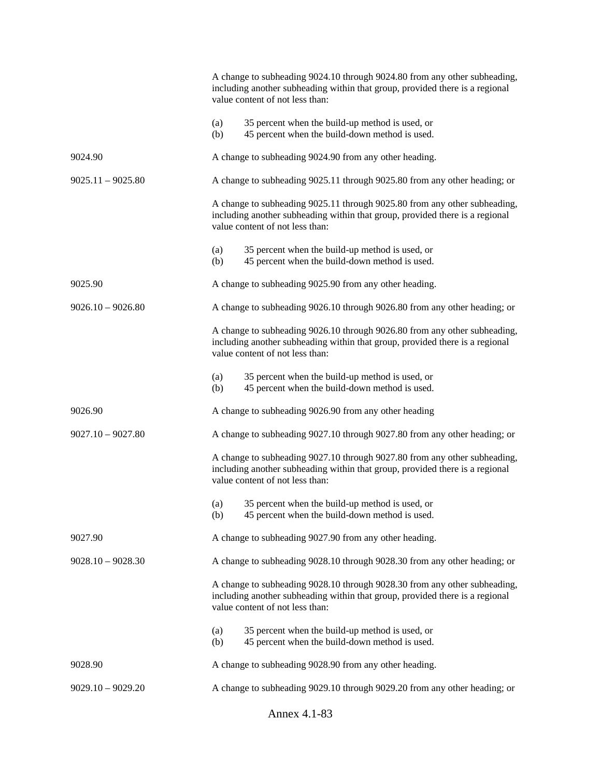|                     | A change to subheading 9024.10 through 9024.80 from any other subheading,<br>including another subheading within that group, provided there is a regional<br>value content of not less than: |
|---------------------|----------------------------------------------------------------------------------------------------------------------------------------------------------------------------------------------|
|                     | (a)<br>35 percent when the build-up method is used, or<br>45 percent when the build-down method is used.<br>(b)                                                                              |
| 9024.90             | A change to subheading 9024.90 from any other heading.                                                                                                                                       |
| $9025.11 - 9025.80$ | A change to subheading 9025.11 through 9025.80 from any other heading; or                                                                                                                    |
|                     | A change to subheading 9025.11 through 9025.80 from any other subheading,<br>including another subheading within that group, provided there is a regional<br>value content of not less than: |
|                     | 35 percent when the build-up method is used, or<br>(a)<br>45 percent when the build-down method is used.<br>(b)                                                                              |
| 9025.90             | A change to subheading 9025.90 from any other heading.                                                                                                                                       |
| $9026.10 - 9026.80$ | A change to subheading 9026.10 through 9026.80 from any other heading; or                                                                                                                    |
|                     | A change to subheading 9026.10 through 9026.80 from any other subheading,<br>including another subheading within that group, provided there is a regional<br>value content of not less than: |
|                     | 35 percent when the build-up method is used, or<br>(a)<br>45 percent when the build-down method is used.<br>(b)                                                                              |
| 9026.90             | A change to subheading 9026.90 from any other heading                                                                                                                                        |
| $9027.10 - 9027.80$ | A change to subheading 9027.10 through 9027.80 from any other heading; or                                                                                                                    |
|                     | A change to subheading 9027.10 through 9027.80 from any other subheading,<br>including another subheading within that group, provided there is a regional<br>value content of not less than: |
|                     | 35 percent when the build-up method is used, or<br>(a)<br>45 percent when the build-down method is used.<br>(b)                                                                              |
| 9027.90             | A change to subheading 9027.90 from any other heading.                                                                                                                                       |
| $9028.10 - 9028.30$ | A change to subheading 9028.10 through 9028.30 from any other heading; or                                                                                                                    |
|                     | A change to subheading 9028.10 through 9028.30 from any other subheading,<br>including another subheading within that group, provided there is a regional<br>value content of not less than: |
|                     | 35 percent when the build-up method is used, or<br>(a)<br>45 percent when the build-down method is used.<br>(b)                                                                              |
| 9028.90             | A change to subheading 9028.90 from any other heading.                                                                                                                                       |
| $9029.10 - 9029.20$ | A change to subheading 9029.10 through 9029.20 from any other heading; or                                                                                                                    |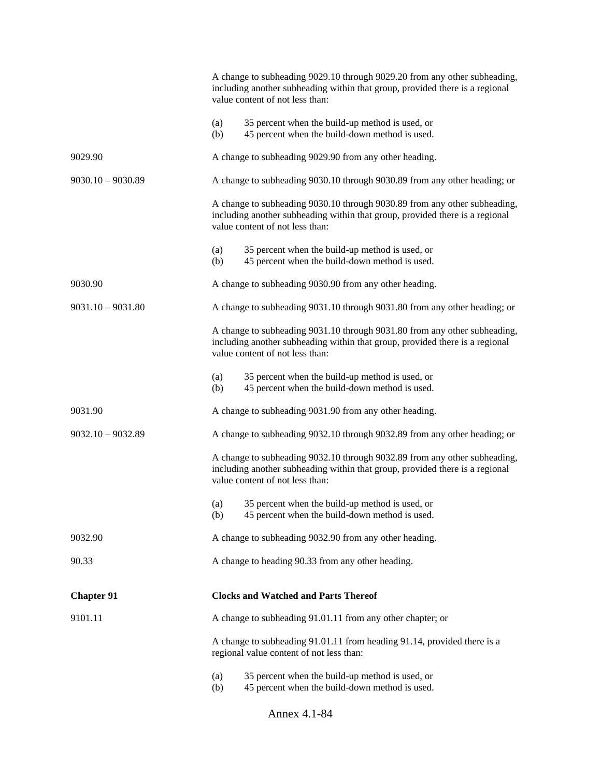|                     | A change to subheading 9029.10 through 9029.20 from any other subheading,<br>including another subheading within that group, provided there is a regional<br>value content of not less than: |
|---------------------|----------------------------------------------------------------------------------------------------------------------------------------------------------------------------------------------|
|                     | 35 percent when the build-up method is used, or<br>(a)<br>45 percent when the build-down method is used.<br>(b)                                                                              |
| 9029.90             | A change to subheading 9029.90 from any other heading.                                                                                                                                       |
| $9030.10 - 9030.89$ | A change to subheading 9030.10 through 9030.89 from any other heading; or                                                                                                                    |
|                     | A change to subheading 9030.10 through 9030.89 from any other subheading,<br>including another subheading within that group, provided there is a regional<br>value content of not less than: |
|                     | 35 percent when the build-up method is used, or<br>(a)<br>45 percent when the build-down method is used.<br>(b)                                                                              |
| 9030.90             | A change to subheading 9030.90 from any other heading.                                                                                                                                       |
| $9031.10 - 9031.80$ | A change to subheading 9031.10 through 9031.80 from any other heading; or                                                                                                                    |
|                     | A change to subheading 9031.10 through 9031.80 from any other subheading,<br>including another subheading within that group, provided there is a regional<br>value content of not less than: |
|                     | 35 percent when the build-up method is used, or<br>(a)<br>45 percent when the build-down method is used.<br>(b)                                                                              |
| 9031.90             | A change to subheading 9031.90 from any other heading.                                                                                                                                       |
| $9032.10 - 9032.89$ | A change to subheading 9032.10 through 9032.89 from any other heading; or                                                                                                                    |
|                     | A change to subheading 9032.10 through 9032.89 from any other subheading,<br>including another subheading within that group, provided there is a regional<br>value content of not less than: |
|                     | 35 percent when the build-up method is used, or<br>(a)<br>45 percent when the build-down method is used.<br>(b)                                                                              |
| 9032.90             | A change to subheading 9032.90 from any other heading.                                                                                                                                       |
| 90.33               | A change to heading 90.33 from any other heading.                                                                                                                                            |
| <b>Chapter 91</b>   | <b>Clocks and Watched and Parts Thereof</b>                                                                                                                                                  |
| 9101.11             | A change to subheading 91.01.11 from any other chapter; or                                                                                                                                   |
|                     | A change to subheading 91.01.11 from heading 91.14, provided there is a<br>regional value content of not less than:                                                                          |
|                     | 35 percent when the build-up method is used, or<br>(a)<br>45 percent when the build-down method is used.<br>(b)                                                                              |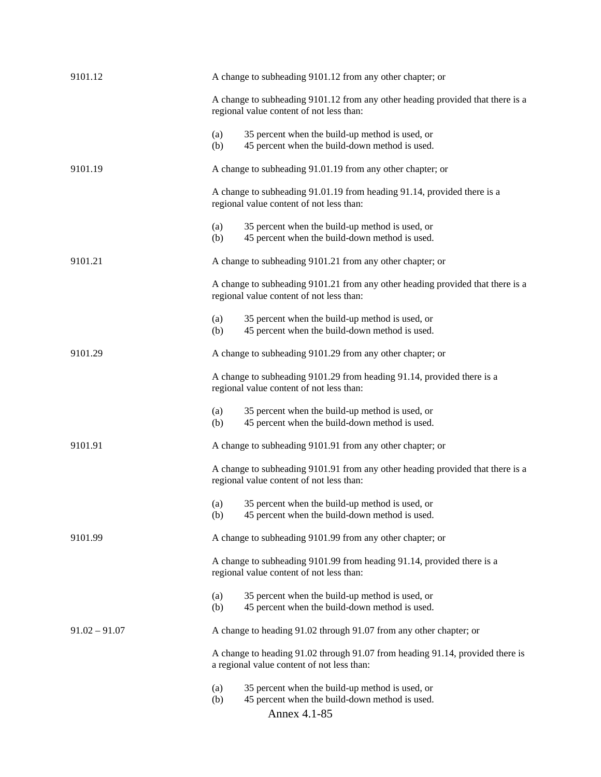| 9101.12         | A change to subheading 9101.12 from any other chapter; or                                                                       |
|-----------------|---------------------------------------------------------------------------------------------------------------------------------|
|                 | A change to subheading 9101.12 from any other heading provided that there is a<br>regional value content of not less than:      |
|                 | 35 percent when the build-up method is used, or<br>(a)<br>45 percent when the build-down method is used.<br>(b)                 |
| 9101.19         | A change to subheading 91.01.19 from any other chapter; or                                                                      |
|                 | A change to subheading 91.01.19 from heading 91.14, provided there is a<br>regional value content of not less than:             |
|                 | 35 percent when the build-up method is used, or<br>(a)<br>45 percent when the build-down method is used.<br>(b)                 |
| 9101.21         | A change to subheading 9101.21 from any other chapter; or                                                                       |
|                 | A change to subheading 9101.21 from any other heading provided that there is a<br>regional value content of not less than:      |
|                 | 35 percent when the build-up method is used, or<br>(a)<br>45 percent when the build-down method is used.<br>(b)                 |
| 9101.29         | A change to subheading 9101.29 from any other chapter; or                                                                       |
|                 | A change to subheading 9101.29 from heading 91.14, provided there is a<br>regional value content of not less than:              |
|                 | 35 percent when the build-up method is used, or<br>(a)<br>45 percent when the build-down method is used.<br>(b)                 |
| 9101.91         | A change to subheading 9101.91 from any other chapter; or                                                                       |
|                 | A change to subheading 9101.91 from any other heading provided that there is a<br>regional value content of not less than:      |
|                 | 35 percent when the build-up method is used, or<br>(a)<br>45 percent when the build-down method is used.<br>(b)                 |
| 9101.99         | A change to subheading 9101.99 from any other chapter; or                                                                       |
|                 | A change to subheading 9101.99 from heading 91.14, provided there is a<br>regional value content of not less than:              |
|                 | 35 percent when the build-up method is used, or<br>(a)<br>45 percent when the build-down method is used.<br>(b)                 |
| $91.02 - 91.07$ | A change to heading 91.02 through 91.07 from any other chapter; or                                                              |
|                 | A change to heading 91.02 through 91.07 from heading 91.14, provided there is<br>a regional value content of not less than:     |
|                 | 35 percent when the build-up method is used, or<br>(a)<br>(b)<br>45 percent when the build-down method is used.<br>Annex 4.1-85 |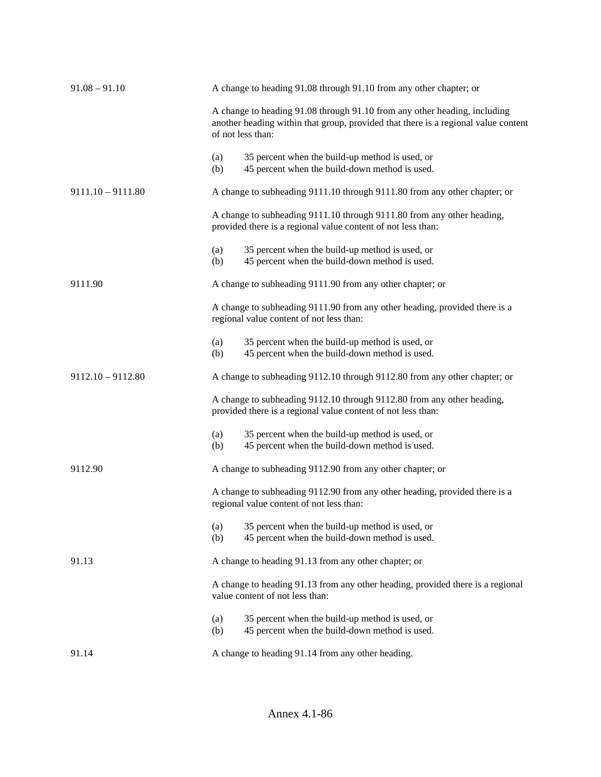| $91.08 - 91.10$     |                                                                                                                                        | A change to heading 91.08 through 91.10 from any other chapter; or                                                                                                                   |  |  |  |
|---------------------|----------------------------------------------------------------------------------------------------------------------------------------|--------------------------------------------------------------------------------------------------------------------------------------------------------------------------------------|--|--|--|
|                     |                                                                                                                                        | A change to heading 91.08 through 91.10 from any other heading, including<br>another heading within that group, provided that there is a regional value content<br>of not less than: |  |  |  |
|                     | (a)<br>(b)                                                                                                                             | 35 percent when the build-up method is used, or<br>45 percent when the build-down method is used.                                                                                    |  |  |  |
| $9111.10 - 9111.80$ | A change to subheading 9111.10 through 9111.80 from any other chapter; or                                                              |                                                                                                                                                                                      |  |  |  |
|                     | A change to subheading 9111.10 through 9111.80 from any other heading,<br>provided there is a regional value content of not less than: |                                                                                                                                                                                      |  |  |  |
|                     | (a)<br>(b)                                                                                                                             | 35 percent when the build-up method is used, or<br>45 percent when the build-down method is used.                                                                                    |  |  |  |
| 9111.90             |                                                                                                                                        | A change to subheading 9111.90 from any other chapter; or                                                                                                                            |  |  |  |
|                     | A change to subheading 9111.90 from any other heading, provided there is a<br>regional value content of not less than:                 |                                                                                                                                                                                      |  |  |  |
|                     | (a)<br>(b)                                                                                                                             | 35 percent when the build-up method is used, or<br>45 percent when the build-down method is used.                                                                                    |  |  |  |
| $9112.10 - 9112.80$ |                                                                                                                                        | A change to subheading 9112.10 through 9112.80 from any other chapter; or                                                                                                            |  |  |  |
|                     | A change to subheading 9112.10 through 9112.80 from any other heading,<br>provided there is a regional value content of not less than: |                                                                                                                                                                                      |  |  |  |
|                     | (a)<br>(b)                                                                                                                             | 35 percent when the build-up method is used, or<br>45 percent when the build-down method is used.                                                                                    |  |  |  |
| 9112.90             |                                                                                                                                        | A change to subheading 9112.90 from any other chapter; or                                                                                                                            |  |  |  |
|                     |                                                                                                                                        | A change to subheading 9112.90 from any other heading, provided there is a<br>regional value content of not less than:                                                               |  |  |  |
|                     | (a)<br>(b)                                                                                                                             | 35 percent when the build-up method is used, or<br>45 percent when the build-down method is used.                                                                                    |  |  |  |
| 91.13               |                                                                                                                                        | A change to heading 91.13 from any other chapter; or                                                                                                                                 |  |  |  |
|                     | A change to heading 91.13 from any other heading, provided there is a regional<br>value content of not less than:                      |                                                                                                                                                                                      |  |  |  |
|                     | (a)<br>(b)                                                                                                                             | 35 percent when the build-up method is used, or<br>45 percent when the build-down method is used.                                                                                    |  |  |  |
| 91.14               |                                                                                                                                        | A change to heading 91.14 from any other heading.                                                                                                                                    |  |  |  |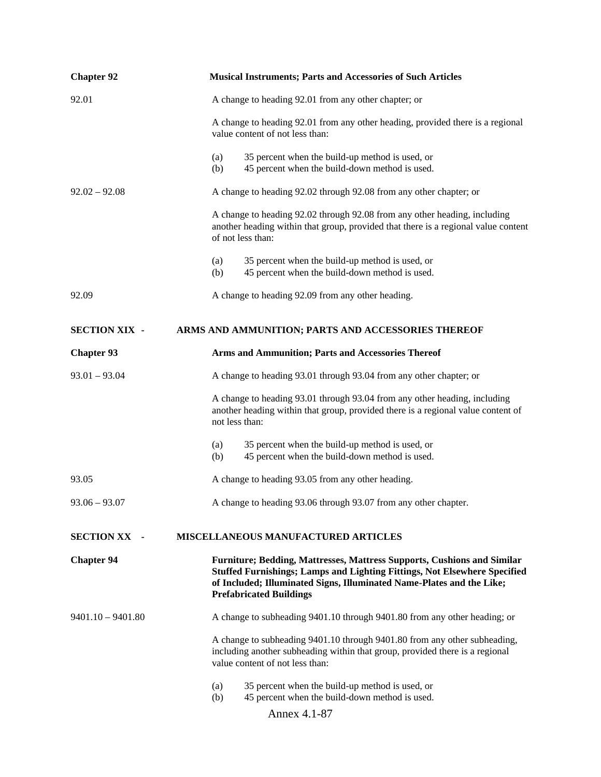| <b>Chapter 92</b>    | <b>Musical Instruments; Parts and Accessories of Such Articles</b>                                                                                                                                                                                              |
|----------------------|-----------------------------------------------------------------------------------------------------------------------------------------------------------------------------------------------------------------------------------------------------------------|
| 92.01                | A change to heading 92.01 from any other chapter; or                                                                                                                                                                                                            |
|                      | A change to heading 92.01 from any other heading, provided there is a regional<br>value content of not less than:                                                                                                                                               |
|                      | 35 percent when the build-up method is used, or<br>(a)<br>45 percent when the build-down method is used.<br>(b)                                                                                                                                                 |
| $92.02 - 92.08$      | A change to heading 92.02 through 92.08 from any other chapter; or                                                                                                                                                                                              |
|                      | A change to heading 92.02 through 92.08 from any other heading, including<br>another heading within that group, provided that there is a regional value content<br>of not less than:                                                                            |
|                      | 35 percent when the build-up method is used, or<br>(a)<br>45 percent when the build-down method is used.<br>(b)                                                                                                                                                 |
| 92.09                | A change to heading 92.09 from any other heading.                                                                                                                                                                                                               |
| <b>SECTION XIX -</b> | ARMS AND AMMUNITION; PARTS AND ACCESSORIES THEREOF                                                                                                                                                                                                              |
| <b>Chapter 93</b>    | Arms and Ammunition; Parts and Accessories Thereof                                                                                                                                                                                                              |
| $93.01 - 93.04$      | A change to heading 93.01 through 93.04 from any other chapter; or                                                                                                                                                                                              |
|                      | A change to heading 93.01 through 93.04 from any other heading, including<br>another heading within that group, provided there is a regional value content of<br>not less than:                                                                                 |
|                      | 35 percent when the build-up method is used, or<br>(a)<br>45 percent when the build-down method is used.<br>(b)                                                                                                                                                 |
| 93.05                | A change to heading 93.05 from any other heading.                                                                                                                                                                                                               |
| $93.06 - 93.07$      | A change to heading 93.06 through 93.07 from any other chapter.                                                                                                                                                                                                 |
| <b>SECTION XX -</b>  | MISCELLANEOUS MANUFACTURED ARTICLES                                                                                                                                                                                                                             |
| <b>Chapter 94</b>    | Furniture; Bedding, Mattresses, Mattress Supports, Cushions and Similar<br>Stuffed Furnishings; Lamps and Lighting Fittings, Not Elsewhere Specified<br>of Included; Illuminated Signs, Illuminated Name-Plates and the Like;<br><b>Prefabricated Buildings</b> |
| $9401.10 - 9401.80$  | A change to subheading 9401.10 through 9401.80 from any other heading; or                                                                                                                                                                                       |
|                      | A change to subheading 9401.10 through 9401.80 from any other subheading,<br>including another subheading within that group, provided there is a regional<br>value content of not less than:                                                                    |
|                      | 35 percent when the build-up method is used, or<br>(a)<br>45 percent when the build-down method is used.<br>(b)                                                                                                                                                 |
|                      | Annex 4.1-87                                                                                                                                                                                                                                                    |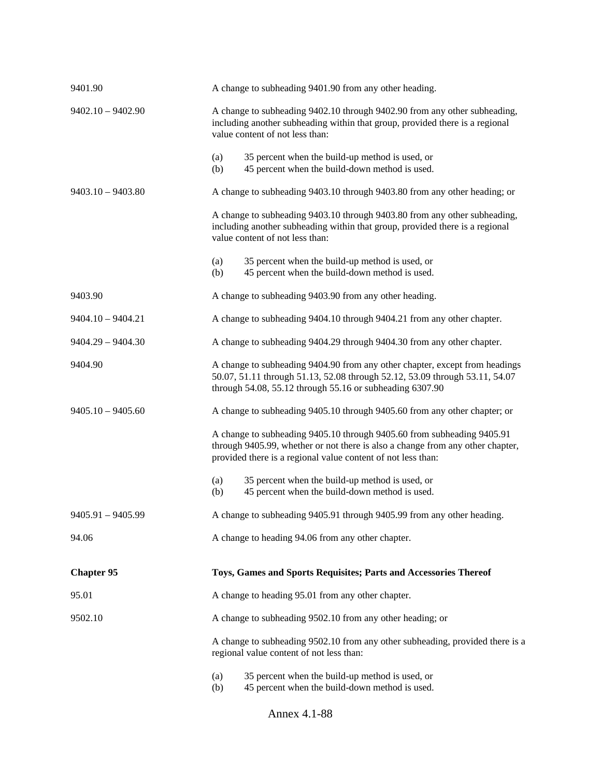| 9401.90             | A change to subheading 9401.90 from any other heading.                                                                                                                                                                   |  |  |
|---------------------|--------------------------------------------------------------------------------------------------------------------------------------------------------------------------------------------------------------------------|--|--|
| $9402.10 - 9402.90$ | A change to subheading 9402.10 through 9402.90 from any other subheading,<br>including another subheading within that group, provided there is a regional<br>value content of not less than:                             |  |  |
|                     | 35 percent when the build-up method is used, or<br>(a)<br>45 percent when the build-down method is used.<br>(b)                                                                                                          |  |  |
| $9403.10 - 9403.80$ | A change to subheading 9403.10 through 9403.80 from any other heading; or                                                                                                                                                |  |  |
|                     | A change to subheading 9403.10 through 9403.80 from any other subheading,<br>including another subheading within that group, provided there is a regional<br>value content of not less than:                             |  |  |
|                     | 35 percent when the build-up method is used, or<br>(a)<br>45 percent when the build-down method is used.<br>(b)                                                                                                          |  |  |
| 9403.90             | A change to subheading 9403.90 from any other heading.                                                                                                                                                                   |  |  |
| $9404.10 - 9404.21$ | A change to subheading 9404.10 through 9404.21 from any other chapter.                                                                                                                                                   |  |  |
| $9404.29 - 9404.30$ | A change to subheading 9404.29 through 9404.30 from any other chapter.                                                                                                                                                   |  |  |
| 9404.90             | A change to subheading 9404.90 from any other chapter, except from headings<br>50.07, 51.11 through 51.13, 52.08 through 52.12, 53.09 through 53.11, 54.07<br>through 54.08, 55.12 through 55.16 or subheading 6307.90   |  |  |
| $9405.10 - 9405.60$ | A change to subheading 9405.10 through 9405.60 from any other chapter; or                                                                                                                                                |  |  |
|                     | A change to subheading 9405.10 through 9405.60 from subheading 9405.91<br>through 9405.99, whether or not there is also a change from any other chapter,<br>provided there is a regional value content of not less than: |  |  |
|                     | 35 percent when the build-up method is used, or<br>(a)<br>45 percent when the build-down method is used.<br>(b)                                                                                                          |  |  |
| $9405.91 - 9405.99$ | A change to subheading 9405.91 through 9405.99 from any other heading.                                                                                                                                                   |  |  |
| 94.06               | A change to heading 94.06 from any other chapter.                                                                                                                                                                        |  |  |
| <b>Chapter 95</b>   | Toys, Games and Sports Requisites; Parts and Accessories Thereof                                                                                                                                                         |  |  |
| 95.01               | A change to heading 95.01 from any other chapter.                                                                                                                                                                        |  |  |
| 9502.10             | A change to subheading 9502.10 from any other heading; or                                                                                                                                                                |  |  |
|                     | A change to subheading 9502.10 from any other subheading, provided there is a<br>regional value content of not less than:                                                                                                |  |  |
|                     | 35 percent when the build-up method is used, or<br>(a)<br>45 percent when the build-down method is used.<br>(b)                                                                                                          |  |  |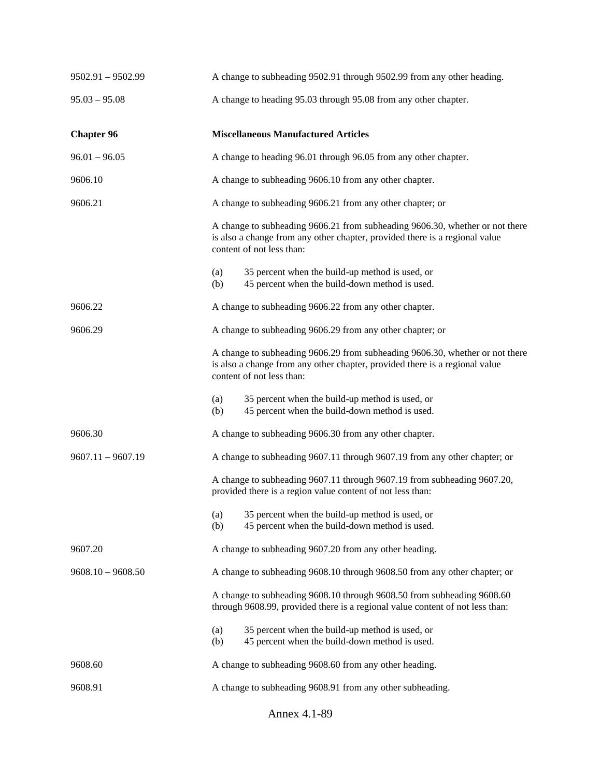| $9502.91 - 9502.99$ | A change to subheading 9502.91 through 9502.99 from any other heading.                                                                                                                   |                                                                                                                                                                                          |  |
|---------------------|------------------------------------------------------------------------------------------------------------------------------------------------------------------------------------------|------------------------------------------------------------------------------------------------------------------------------------------------------------------------------------------|--|
| $95.03 - 95.08$     | A change to heading 95.03 through 95.08 from any other chapter.                                                                                                                          |                                                                                                                                                                                          |  |
| <b>Chapter 96</b>   | <b>Miscellaneous Manufactured Articles</b>                                                                                                                                               |                                                                                                                                                                                          |  |
| $96.01 - 96.05$     | A change to heading 96.01 through 96.05 from any other chapter.                                                                                                                          |                                                                                                                                                                                          |  |
| 9606.10             | A change to subheading 9606.10 from any other chapter.                                                                                                                                   |                                                                                                                                                                                          |  |
| 9606.21             | A change to subheading 9606.21 from any other chapter; or                                                                                                                                |                                                                                                                                                                                          |  |
|                     | A change to subheading 9606.21 from subheading 9606.30, whether or not there<br>is also a change from any other chapter, provided there is a regional value<br>content of not less than: |                                                                                                                                                                                          |  |
|                     | (a)<br>(b)                                                                                                                                                                               | 35 percent when the build-up method is used, or<br>45 percent when the build-down method is used.                                                                                        |  |
| 9606.22             |                                                                                                                                                                                          | A change to subheading 9606.22 from any other chapter.                                                                                                                                   |  |
| 9606.29             | A change to subheading 9606.29 from any other chapter; or                                                                                                                                |                                                                                                                                                                                          |  |
|                     |                                                                                                                                                                                          | A change to subheading 9606.29 from subheading 9606.30, whether or not there<br>is also a change from any other chapter, provided there is a regional value<br>content of not less than: |  |
|                     | (a)<br>(b)                                                                                                                                                                               | 35 percent when the build-up method is used, or<br>45 percent when the build-down method is used.                                                                                        |  |
| 9606.30             | A change to subheading 9606.30 from any other chapter.                                                                                                                                   |                                                                                                                                                                                          |  |
| $9607.11 - 9607.19$ | A change to subheading 9607.11 through 9607.19 from any other chapter; or                                                                                                                |                                                                                                                                                                                          |  |
|                     |                                                                                                                                                                                          | A change to subheading 9607.11 through 9607.19 from subheading 9607.20,<br>provided there is a region value content of not less than:                                                    |  |
|                     | (a)<br>(b)                                                                                                                                                                               | 35 percent when the build-up method is used, or<br>45 percent when the build-down method is used.                                                                                        |  |
| 9607.20             | A change to subheading 9607.20 from any other heading.                                                                                                                                   |                                                                                                                                                                                          |  |
| $9608.10 - 9608.50$ | A change to subheading 9608.10 through 9608.50 from any other chapter; or                                                                                                                |                                                                                                                                                                                          |  |
|                     |                                                                                                                                                                                          | A change to subheading 9608.10 through 9608.50 from subheading 9608.60<br>through 9608.99, provided there is a regional value content of not less than:                                  |  |
|                     | (a)<br>(b)                                                                                                                                                                               | 35 percent when the build-up method is used, or<br>45 percent when the build-down method is used.                                                                                        |  |
| 9608.60             |                                                                                                                                                                                          | A change to subheading 9608.60 from any other heading.                                                                                                                                   |  |
| 9608.91             | A change to subheading 9608.91 from any other subheading.                                                                                                                                |                                                                                                                                                                                          |  |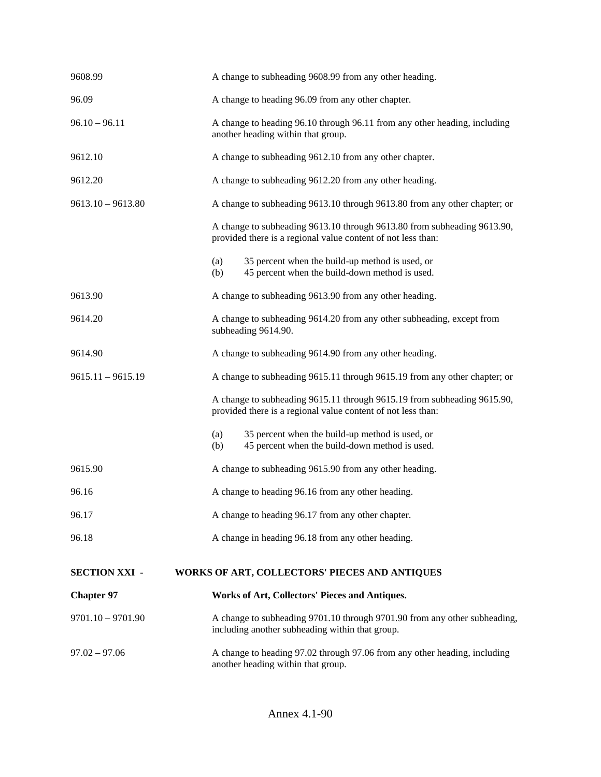| 9608.99              | A change to subheading 9608.99 from any other heading.                                                                                  |  |  |
|----------------------|-----------------------------------------------------------------------------------------------------------------------------------------|--|--|
| 96.09                | A change to heading 96.09 from any other chapter.                                                                                       |  |  |
| $96.10 - 96.11$      | A change to heading 96.10 through 96.11 from any other heading, including<br>another heading within that group.                         |  |  |
| 9612.10              | A change to subheading 9612.10 from any other chapter.                                                                                  |  |  |
| 9612.20              | A change to subheading 9612.20 from any other heading.                                                                                  |  |  |
| $9613.10 - 9613.80$  | A change to subheading 9613.10 through 9613.80 from any other chapter; or                                                               |  |  |
|                      | A change to subheading 9613.10 through 9613.80 from subheading 9613.90,<br>provided there is a regional value content of not less than: |  |  |
|                      | (a)<br>35 percent when the build-up method is used, or<br>45 percent when the build-down method is used.<br>(b)                         |  |  |
| 9613.90              | A change to subheading 9613.90 from any other heading.                                                                                  |  |  |
| 9614.20              | A change to subheading 9614.20 from any other subheading, except from<br>subheading 9614.90.                                            |  |  |
| 9614.90              | A change to subheading 9614.90 from any other heading.                                                                                  |  |  |
| $9615.11 - 9615.19$  | A change to subheading 9615.11 through 9615.19 from any other chapter; or                                                               |  |  |
|                      | A change to subheading 9615.11 through 9615.19 from subheading 9615.90,<br>provided there is a regional value content of not less than: |  |  |
|                      | 35 percent when the build-up method is used, or<br>(a)<br>45 percent when the build-down method is used.<br>(b)                         |  |  |
| 9615.90              | A change to subheading 9615.90 from any other heading.                                                                                  |  |  |
| 96.16                | A change to heading 96.16 from any other heading.                                                                                       |  |  |
| 96.17                | A change to heading 96.17 from any other chapter.                                                                                       |  |  |
| 96.18                | A change in heading 96.18 from any other heading.                                                                                       |  |  |
| <b>SECTION XXI -</b> | WORKS OF ART, COLLECTORS' PIECES AND ANTIQUES                                                                                           |  |  |
| <b>Chapter 97</b>    | Works of Art, Collectors' Pieces and Antiques.                                                                                          |  |  |
| $9701.10 - 9701.90$  | A change to subheading 9701.10 through 9701.90 from any other subheading,<br>including another subheading within that group.            |  |  |
| $97.02 - 97.06$      | A change to heading 97.02 through 97.06 from any other heading, including<br>another heading within that group.                         |  |  |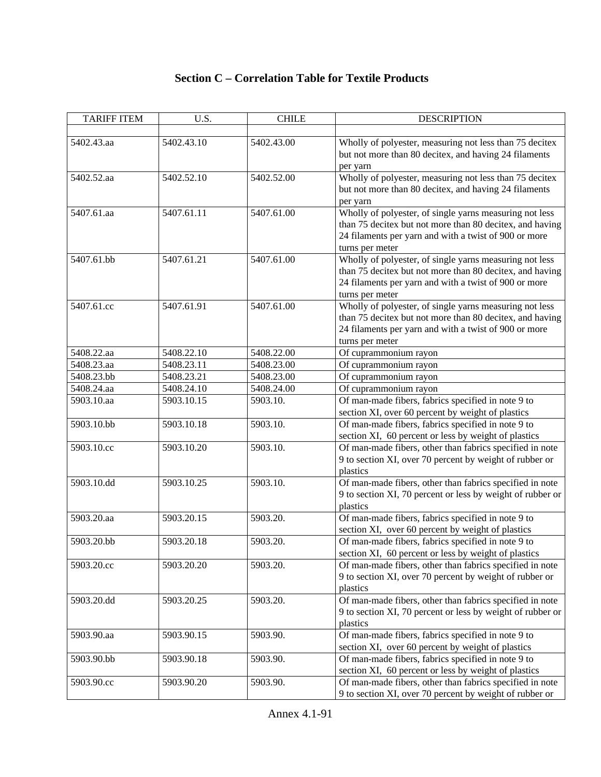| <b>TARIFF ITEM</b> | U.S.       | <b>CHILE</b> | <b>DESCRIPTION</b>                                                                                                                                                                              |
|--------------------|------------|--------------|-------------------------------------------------------------------------------------------------------------------------------------------------------------------------------------------------|
| 5402.43.aa         | 5402.43.10 | 5402.43.00   | Wholly of polyester, measuring not less than 75 decitex<br>but not more than 80 decitex, and having 24 filaments                                                                                |
| 5402.52.aa         | 5402.52.10 | 5402.52.00   | per yarn<br>Wholly of polyester, measuring not less than 75 decitex<br>but not more than 80 decitex, and having 24 filaments<br>per yarn                                                        |
| 5407.61.aa         | 5407.61.11 | 5407.61.00   | Wholly of polyester, of single yarns measuring not less<br>than 75 decitex but not more than 80 decitex, and having<br>24 filaments per yarn and with a twist of 900 or more<br>turns per meter |
| 5407.61.bb         | 5407.61.21 | 5407.61.00   | Wholly of polyester, of single yarns measuring not less<br>than 75 decitex but not more than 80 decitex, and having<br>24 filaments per yarn and with a twist of 900 or more<br>turns per meter |
| 5407.61.cc         | 5407.61.91 | 5407.61.00   | Wholly of polyester, of single yarns measuring not less<br>than 75 decitex but not more than 80 decitex, and having<br>24 filaments per yarn and with a twist of 900 or more<br>turns per meter |
| 5408.22.aa         | 5408.22.10 | 5408.22.00   | Of cuprammonium rayon                                                                                                                                                                           |
| 5408.23.aa         | 5408.23.11 | 5408.23.00   | Of cuprammonium rayon                                                                                                                                                                           |
| 5408.23.bb         | 5408.23.21 | 5408.23.00   | Of cuprammonium rayon                                                                                                                                                                           |
| 5408.24.aa         | 5408.24.10 | 5408.24.00   | Of cuprammonium rayon                                                                                                                                                                           |
| 5903.10.aa         | 5903.10.15 | 5903.10.     | Of man-made fibers, fabrics specified in note 9 to<br>section XI, over 60 percent by weight of plastics                                                                                         |
| 5903.10.bb         | 5903.10.18 | 5903.10.     | Of man-made fibers, fabrics specified in note 9 to<br>section XI, 60 percent or less by weight of plastics                                                                                      |
| 5903.10.cc         | 5903.10.20 | 5903.10.     | Of man-made fibers, other than fabrics specified in note<br>9 to section XI, over 70 percent by weight of rubber or<br>plastics                                                                 |
| 5903.10.dd         | 5903.10.25 | 5903.10.     | Of man-made fibers, other than fabrics specified in note<br>9 to section XI, 70 percent or less by weight of rubber or<br>plastics                                                              |
| 5903.20.aa         | 5903.20.15 | 5903.20.     | Of man-made fibers, fabrics specified in note 9 to<br>section XI, over 60 percent by weight of plastics                                                                                         |
| 5903.20.bb         | 5903.20.18 | 5903.20.     | Of man-made fibers, fabrics specified in note 9 to<br>section XI, 60 percent or less by weight of plastics                                                                                      |
| 5903.20.cc         | 5903.20.20 | 5903.20.     | Of man-made fibers, other than fabrics specified in note<br>9 to section XI, over 70 percent by weight of rubber or<br>plastics                                                                 |
| 5903.20.dd         | 5903.20.25 | 5903.20.     | Of man-made fibers, other than fabrics specified in note<br>9 to section XI, 70 percent or less by weight of rubber or<br>plastics                                                              |
| 5903.90.aa         | 5903.90.15 | 5903.90.     | Of man-made fibers, fabrics specified in note 9 to<br>section XI, over 60 percent by weight of plastics                                                                                         |
| 5903.90.bb         | 5903.90.18 | 5903.90.     | Of man-made fibers, fabrics specified in note 9 to<br>section XI, 60 percent or less by weight of plastics                                                                                      |
| 5903.90.cc         | 5903.90.20 | 5903.90.     | Of man-made fibers, other than fabrics specified in note<br>9 to section XI, over 70 percent by weight of rubber or                                                                             |

## **Section C – Correlation Table for Textile Products**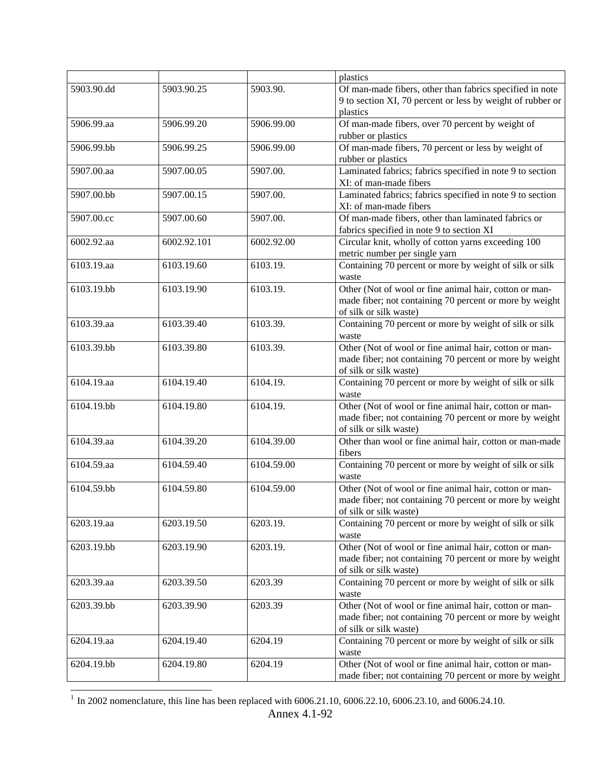|            |             |            | plastics                                                   |
|------------|-------------|------------|------------------------------------------------------------|
| 5903.90.dd | 5903.90.25  | 5903.90.   | Of man-made fibers, other than fabrics specified in note   |
|            |             |            | 9 to section XI, 70 percent or less by weight of rubber or |
|            |             |            | plastics                                                   |
| 5906.99.aa | 5906.99.20  | 5906.99.00 | Of man-made fibers, over 70 percent by weight of           |
|            |             |            | rubber or plastics                                         |
| 5906.99.bb | 5906.99.25  | 5906.99.00 | Of man-made fibers, 70 percent or less by weight of        |
|            |             |            |                                                            |
|            |             |            | rubber or plastics                                         |
| 5907.00.aa | 5907.00.05  | 5907.00.   | Laminated fabrics; fabrics specified in note 9 to section  |
|            |             |            | XI: of man-made fibers                                     |
| 5907.00.bb | 5907.00.15  | 5907.00.   | Laminated fabrics; fabrics specified in note 9 to section  |
|            |             |            | XI: of man-made fibers                                     |
| 5907.00.cc | 5907.00.60  | 5907.00.   | Of man-made fibers, other than laminated fabrics or        |
|            |             |            | fabrics specified in note 9 to section XI                  |
| 6002.92.aa | 6002.92.101 | 6002.92.00 | Circular knit, wholly of cotton yarns exceeding 100        |
|            |             |            | metric number per single yarn                              |
| 6103.19.aa | 6103.19.60  | 6103.19.   | Containing 70 percent or more by weight of silk or silk    |
|            |             |            | waste                                                      |
| 6103.19.bb | 6103.19.90  | 6103.19.   | Other (Not of wool or fine animal hair, cotton or man-     |
|            |             |            | made fiber; not containing 70 percent or more by weight    |
|            |             |            | of silk or silk waste)                                     |
|            |             |            |                                                            |
| 6103.39.aa | 6103.39.40  | 6103.39.   | Containing 70 percent or more by weight of silk or silk    |
|            |             |            | waste                                                      |
| 6103.39.bb | 6103.39.80  | 6103.39.   | Other (Not of wool or fine animal hair, cotton or man-     |
|            |             |            | made fiber; not containing 70 percent or more by weight    |
|            |             |            | of silk or silk waste)                                     |
| 6104.19.aa | 6104.19.40  | 6104.19.   | Containing 70 percent or more by weight of silk or silk    |
|            |             |            | waste                                                      |
| 6104.19.bb | 6104.19.80  | 6104.19.   | Other (Not of wool or fine animal hair, cotton or man-     |
|            |             |            | made fiber; not containing 70 percent or more by weight    |
|            |             |            | of silk or silk waste)                                     |
| 6104.39.aa | 6104.39.20  | 6104.39.00 | Other than wool or fine animal hair, cotton or man-made    |
|            |             |            | fibers                                                     |
| 6104.59.aa | 6104.59.40  | 6104.59.00 | Containing 70 percent or more by weight of silk or silk    |
|            |             |            |                                                            |
| 6104.59.bb |             |            | waste                                                      |
|            | 6104.59.80  | 6104.59.00 | Other (Not of wool or fine animal hair, cotton or man-     |
|            |             |            | made fiber; not containing 70 percent or more by weight    |
|            |             |            | of silk or silk waste)                                     |
| 6203.19.aa | 6203.19.50  | 6203.19.   | Containing 70 percent or more by weight of silk or silk    |
|            |             |            | waste                                                      |
| 6203.19.bb | 6203.19.90  | 6203.19.   | Other (Not of wool or fine animal hair, cotton or man-     |
|            |             |            | made fiber; not containing 70 percent or more by weight    |
|            |             |            | of silk or silk waste)                                     |
| 6203.39.aa | 6203.39.50  | 6203.39    | Containing 70 percent or more by weight of silk or silk    |
|            |             |            | waste                                                      |
| 6203.39.bb | 6203.39.90  | 6203.39    | Other (Not of wool or fine animal hair, cotton or man-     |
|            |             |            | made fiber; not containing 70 percent or more by weight    |
|            |             |            | of silk or silk waste)                                     |
| 6204.19.aa | 6204.19.40  | 6204.19    | Containing 70 percent or more by weight of silk or silk    |
|            |             |            |                                                            |
|            |             |            | waste                                                      |
| 6204.19.bb | 6204.19.80  | 6204.19    | Other (Not of wool or fine animal hair, cotton or man-     |
|            |             |            | made fiber; not containing 70 percent or more by weight    |

 $1$  In 2002 nomenclature, this line has been replaced with 6006.21.10, 6006.22.10, 6006.23.10, and 6006.24.10.

 $\overline{a}$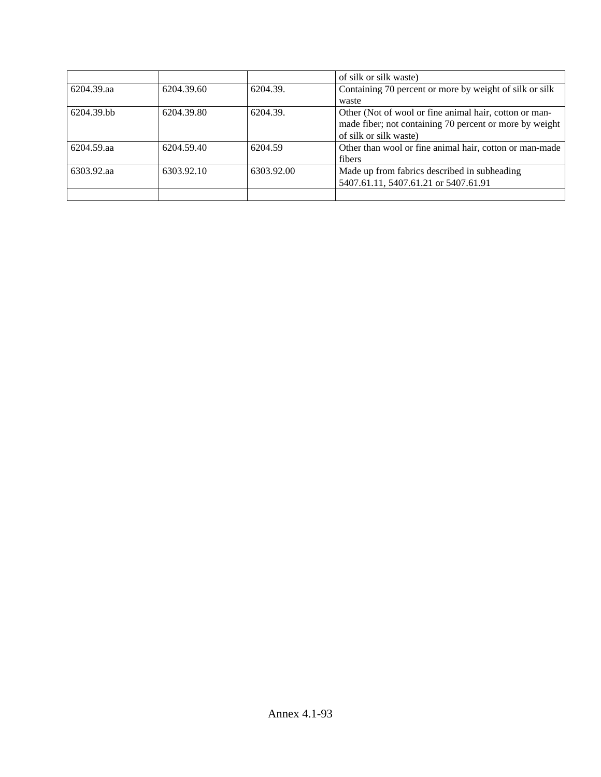|            |            |            | of silk or silk waste)                                  |
|------------|------------|------------|---------------------------------------------------------|
| 6204.39.aa | 6204.39.60 | 6204.39.   | Containing 70 percent or more by weight of silk or silk |
|            |            |            | waste                                                   |
| 6204.39.bb | 6204.39.80 | 6204.39.   | Other (Not of wool or fine animal hair, cotton or man-  |
|            |            |            | made fiber; not containing 70 percent or more by weight |
|            |            |            | of silk or silk waste)                                  |
| 6204.59.aa | 6204.59.40 | 6204.59    | Other than wool or fine animal hair, cotton or man-made |
|            |            |            | fibers                                                  |
| 6303.92.aa | 6303.92.10 | 6303.92.00 | Made up from fabrics described in subheading            |
|            |            |            | 5407.61.11, 5407.61.21 or 5407.61.91                    |
|            |            |            |                                                         |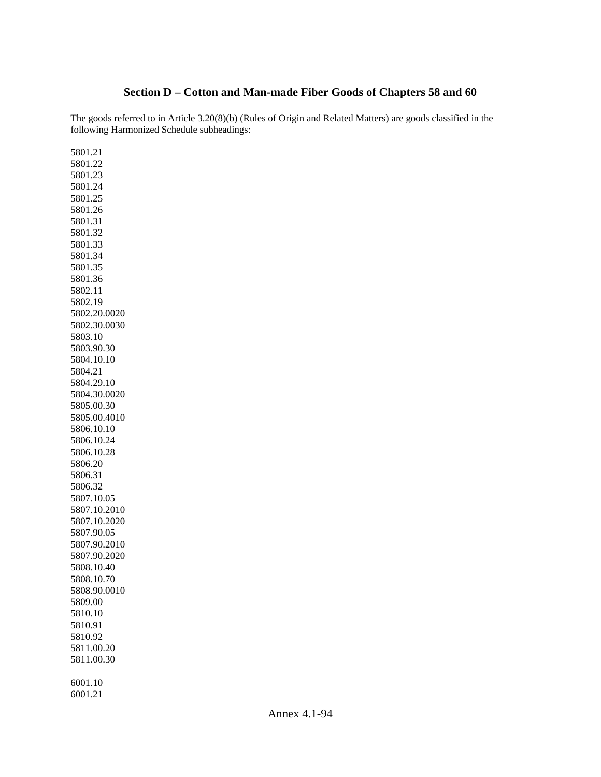## **Section D – Cotton and Man-made Fiber Goods of Chapters 58 and 60**

The goods referred to in Article 3.20(8)(b) (Rules of Origin and Related Matters) are goods classified in the following Harmonized Schedule subheadings:

5801.21 5801.22 5801.23 5801.24 5801.25 5801.26 5801.31 5801.32 5801.33 5801.34 5801.35 5801.36 5802.11 5802.19 5802.20.0020 5802.30.0030 5803.10 5803.90.30 5804.10.10 5804.21 5804.29.10 5804.30.0020 5805.00.30 5805.00.4010 5806.10.10 5806.10.24 5806.10.28 5806.20 5806.31 5806.32 5807.10.05 5807.10.2010 5807.10.2020 5807.90.05 5807.90.2010 5807.90.2020 5808.10.40 5808.10.70 5808.90.0010 5809.00 5810.10 5810.91 5810.92 5811.00.20 5811.00.30 6001.10

6001.21